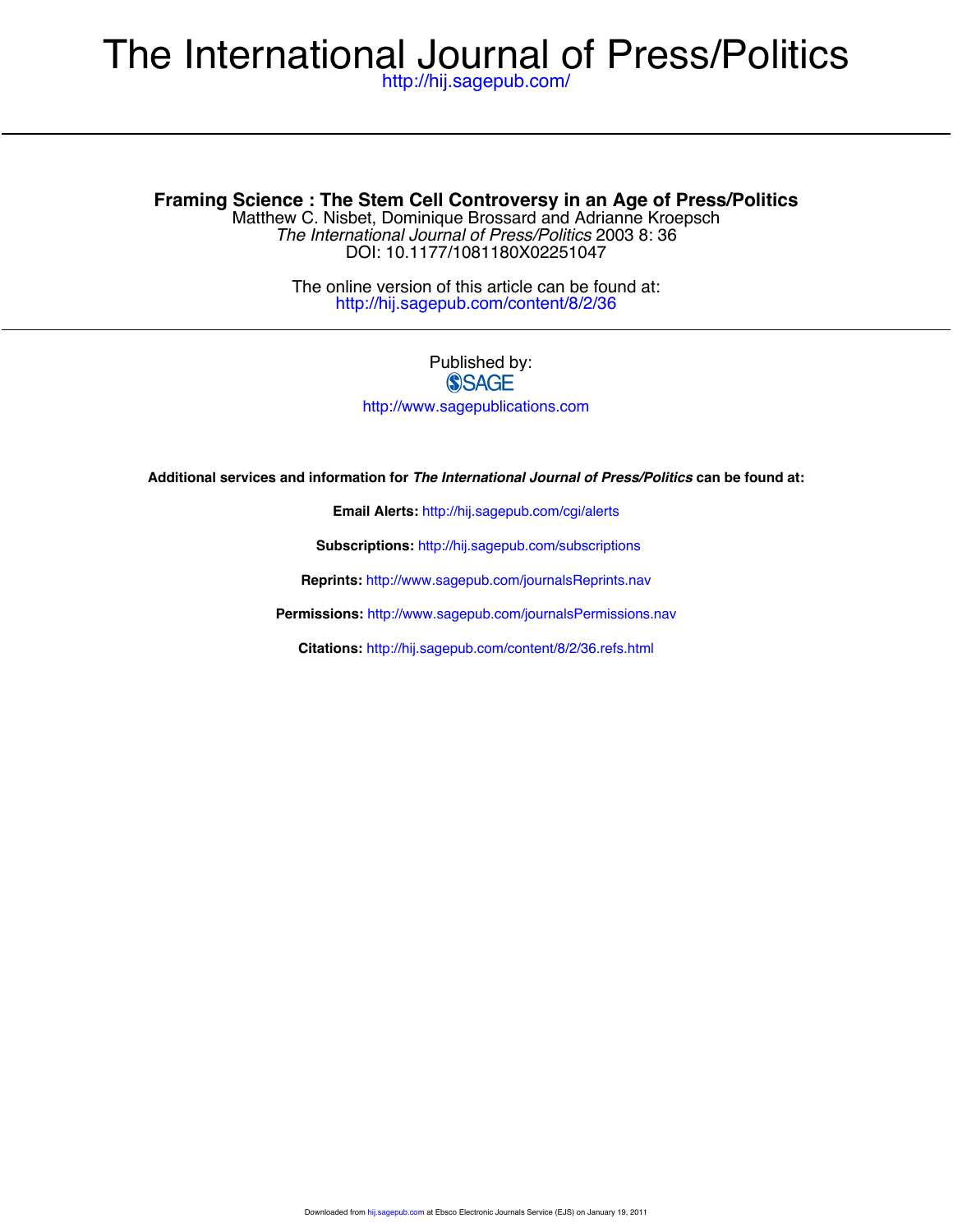# The International Journal of Press/Politics

<http://hij.sagepub.com/>

DOI: 10.1177/1081180X02251047 *The International Journal of Press/Politics* 2003 8: 36 Matthew C. Nisbet, Dominique Brossard and Adrianne Kroepsch **Framing Science : The Stem Cell Controversy in an Age of Press/Politics**

> <http://hij.sagepub.com/content/8/2/36> The online version of this article can be found at:

# Published by:<br>
SAGE

<http://www.sagepublications.com>

**Additional services and information for** *The International Journal of Press/Politics* **can be found at:**

**Email Alerts:** <http://hij.sagepub.com/cgi/alerts>

**Subscriptions:** <http://hij.sagepub.com/subscriptions>

**Reprints:** <http://www.sagepub.com/journalsReprints.nav>

**Permissions:** <http://www.sagepub.com/journalsPermissions.nav>

**Citations:** <http://hij.sagepub.com/content/8/2/36.refs.html>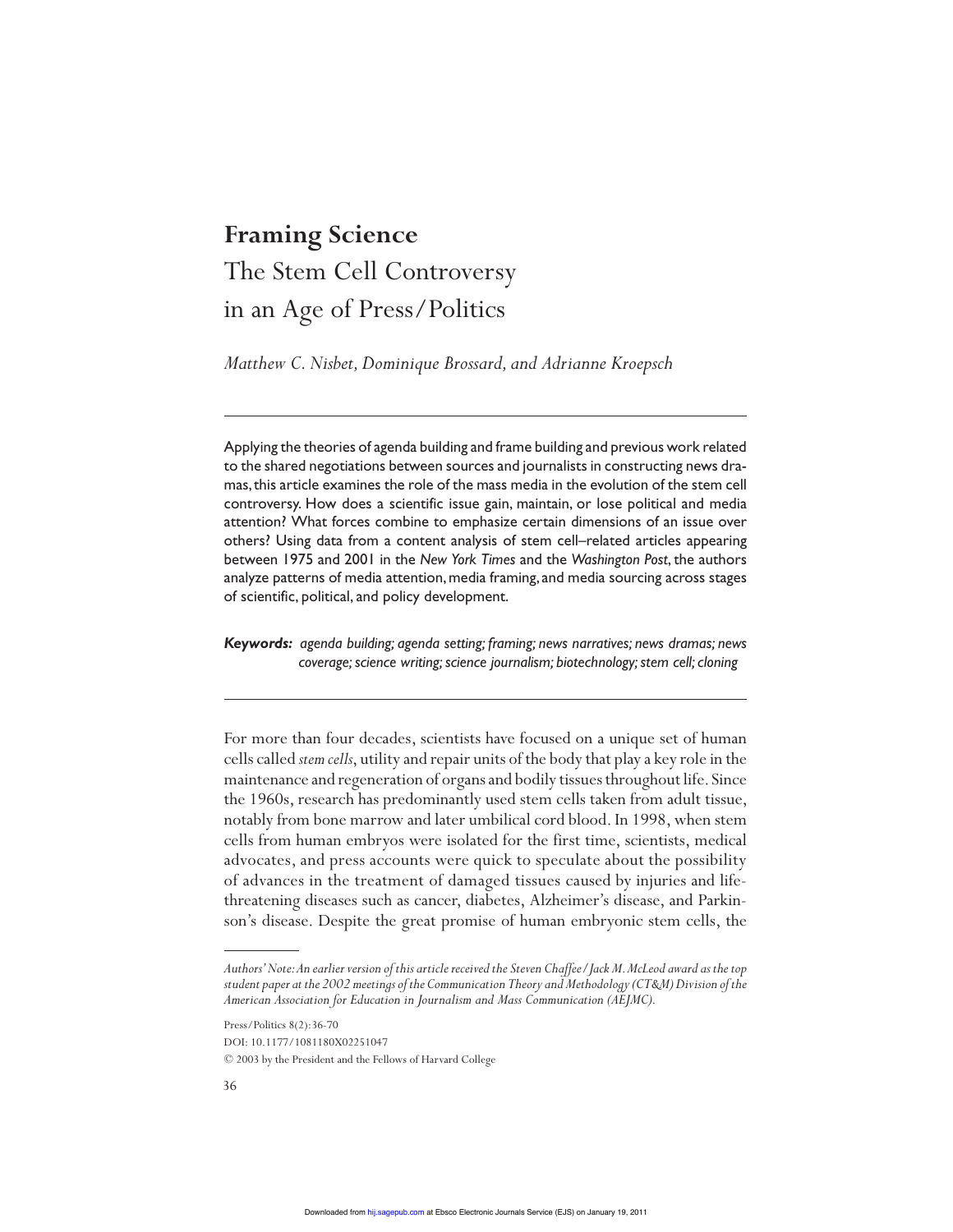# **Framing Science** The Stem Cell Controversy in an Age of Press/Politics

*Matthew C. Nisbet, Dominique Brossard, and Adrianne Kroepsch*

Applying the theories of agenda building and frame building and previous work related to the shared negotiations between sources and journalists in constructing news dramas,this article examines the role of the mass media in the evolution of the stem cell controversy. How does a scientific issue gain, maintain, or lose political and media attention? What forces combine to emphasize certain dimensions of an issue over others? Using data from a content analysis of stem cell–related articles appearing between 1975 and 2001 in the *New York Times* and the *Washington Post*, the authors analyze patterns of media attention, media framing, and media sourcing across stages of scientific, political, and policy development.

*Keywords: agenda building; agenda setting; framing; news narratives; news dramas; news coverage; science writing; science journalism; biotechnology; stem cell; cloning*

For more than four decades, scientists have focused on a unique set of human cells called *stem cells*, utility and repair units of the body that play a key role in the maintenance and regeneration of organs and bodily tissues throughout life.Since the 1960s, research has predominantly used stem cells taken from adult tissue, notably from bone marrow and later umbilical cord blood. In 1998, when stem cells from human embryos were isolated for the first time, scientists, medical advocates, and press accounts were quick to speculate about the possibility of advances in the treatment of damaged tissues caused by injuries and lifethreatening diseases such as cancer, diabetes, Alzheimer's disease, and Parkinson's disease. Despite the great promise of human embryonic stem cells, the

Press/Politics 8(2):36-70

DOI: 10.1177/1081180X02251047

© 2003 by the President and the Fellows of Harvard College

*Authors'Note:An earlier version of this article received the Steven Chaffee/Jack M.McLeod award as the top student paper at the 2002 meetings of the Communication Theory and Methodology (CT&M) Division of the American Association for Education in Journalism and Mass Communication (AEJMC).*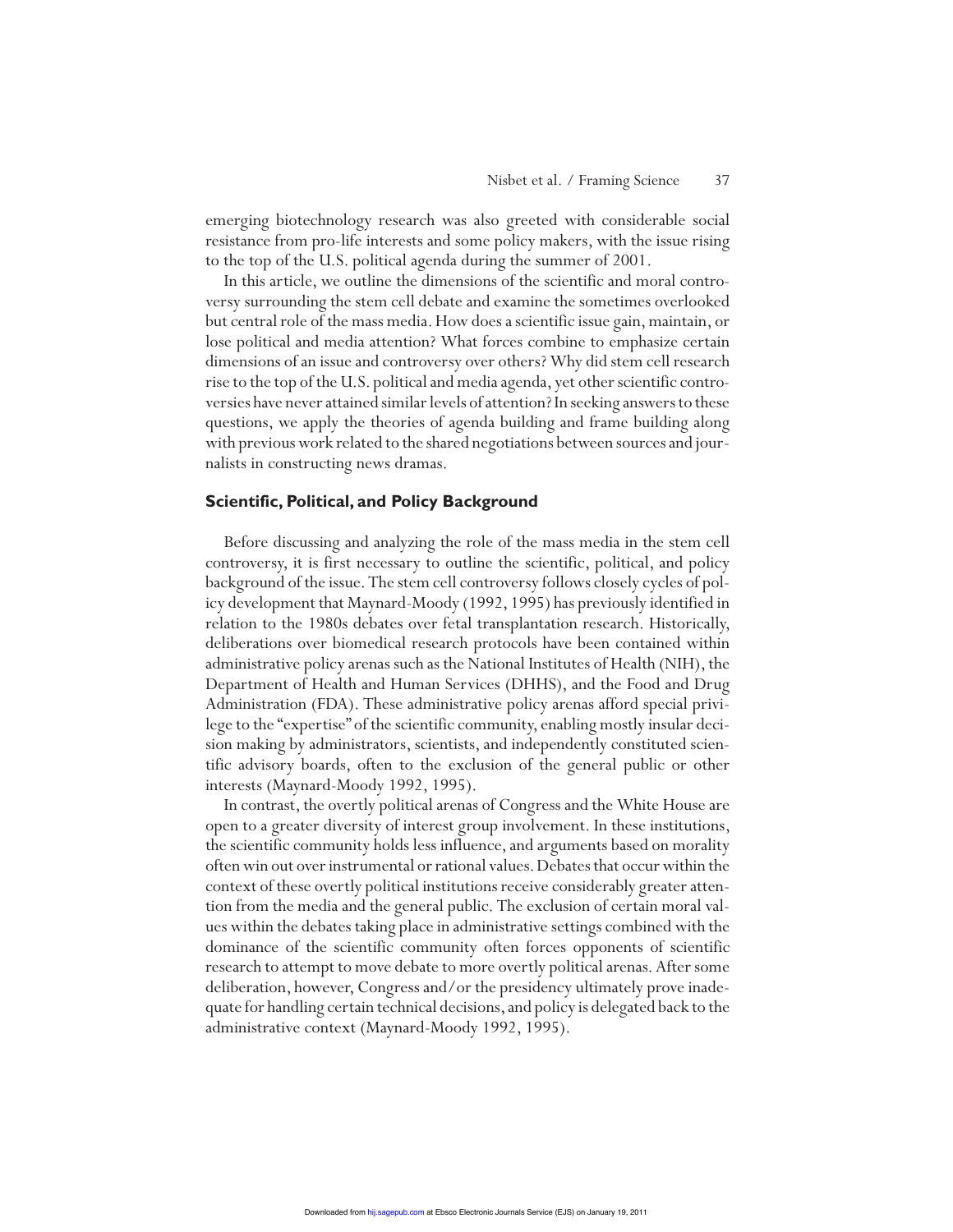emerging biotechnology research was also greeted with considerable social resistance from pro-life interests and some policy makers, with the issue rising to the top of the U.S. political agenda during the summer of 2001.

In this article, we outline the dimensions of the scientific and moral controversy surrounding the stem cell debate and examine the sometimes overlooked but central role of the mass media. How does a scientific issue gain, maintain, or lose political and media attention? What forces combine to emphasize certain dimensions of an issue and controversy over others? Why did stem cell research rise to the top of the U.S. political and media agenda, yet other scientific controversies have never attained similar levels of attention? In seeking answers to these questions, we apply the theories of agenda building and frame building along with previous work related to the shared negotiations between sources and journalists in constructing news dramas.

# **Scientific, Political, and Policy Background**

Before discussing and analyzing the role of the mass media in the stem cell controversy, it is first necessary to outline the scientific, political, and policy background of the issue. The stem cell controversy follows closely cycles of policy development that Maynard-Moody (1992, 1995) has previously identified in relation to the 1980s debates over fetal transplantation research. Historically, deliberations over biomedical research protocols have been contained within administrative policy arenas such as the National Institutes of Health (NIH), the Department of Health and Human Services (DHHS), and the Food and Drug Administration (FDA). These administrative policy arenas afford special privilege to the "expertise" of the scientific community, enabling mostly insular decision making by administrators, scientists, and independently constituted scientific advisory boards, often to the exclusion of the general public or other interests (Maynard-Moody 1992, 1995).

In contrast, the overtly political arenas of Congress and the White House are open to a greater diversity of interest group involvement. In these institutions, the scientific community holds less influence, and arguments based on morality often win out over instrumental or rational values.Debates that occur within the context of these overtly political institutions receive considerably greater attention from the media and the general public. The exclusion of certain moral values within the debates taking place in administrative settings combined with the dominance of the scientific community often forces opponents of scientific research to attempt to move debate to more overtly political arenas. After some deliberation, however, Congress and/or the presidency ultimately prove inadequate for handling certain technical decisions, and policy is delegated back to the administrative context (Maynard-Moody 1992, 1995).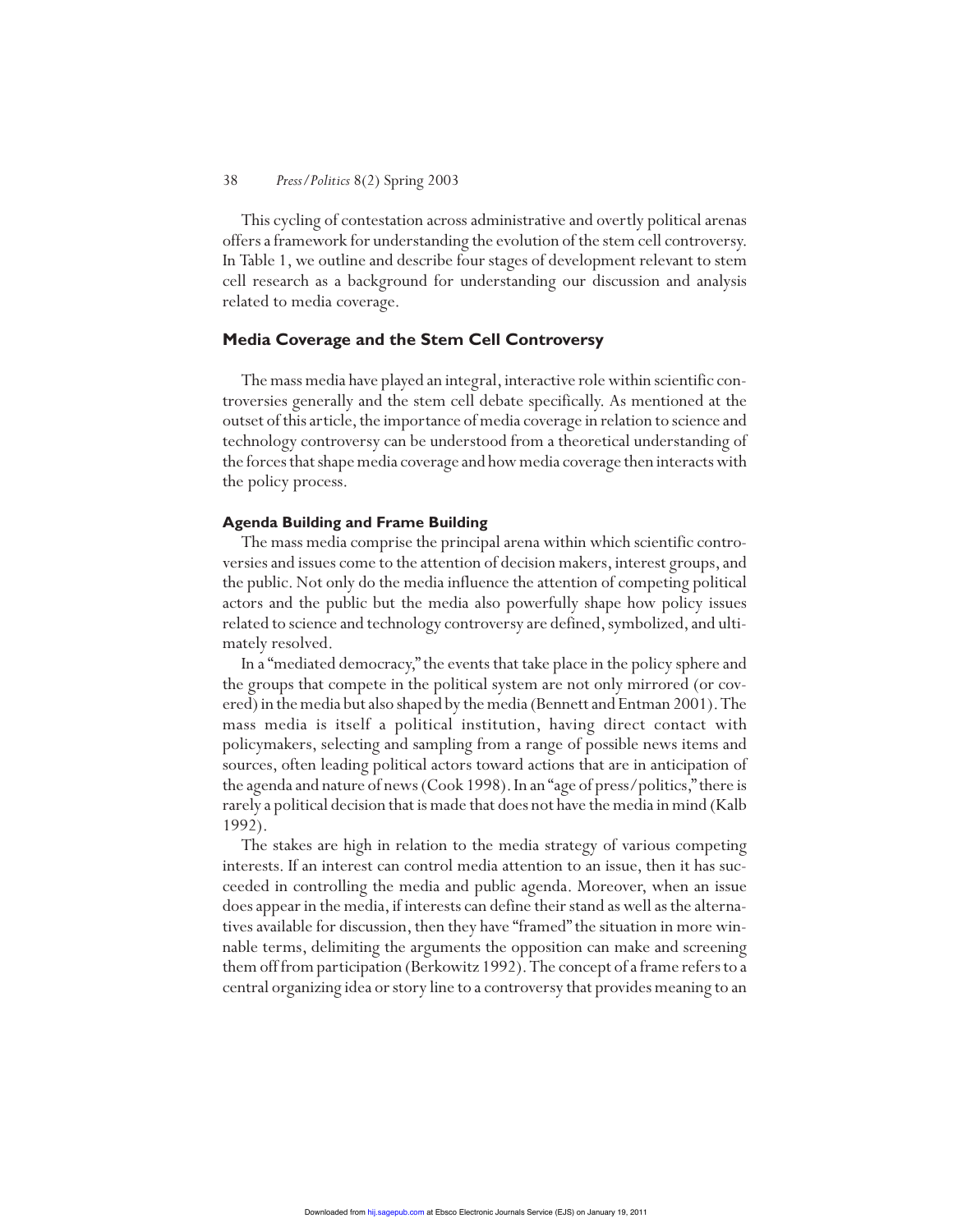This cycling of contestation across administrative and overtly political arenas offers a framework for understanding the evolution of the stem cell controversy. In Table 1, we outline and describe four stages of development relevant to stem cell research as a background for understanding our discussion and analysis related to media coverage.

# **Media Coverage and the Stem Cell Controversy**

The mass media have played an integral, interactive role within scientific controversies generally and the stem cell debate specifically. As mentioned at the outset of this article, the importance of media coverage in relation to science and technology controversy can be understood from a theoretical understanding of the forces that shape media coverage and how media coverage then interacts with the policy process.

#### **Agenda Building and Frame Building**

The mass media comprise the principal arena within which scientific controversies and issues come to the attention of decision makers, interest groups, and the public. Not only do the media influence the attention of competing political actors and the public but the media also powerfully shape how policy issues related to science and technology controversy are defined, symbolized, and ultimately resolved.

In a "mediated democracy," the events that take place in the policy sphere and the groups that compete in the political system are not only mirrored (or covered) in the media but also shaped by the media (Bennett and Entman 2001).The mass media is itself a political institution, having direct contact with policymakers, selecting and sampling from a range of possible news items and sources, often leading political actors toward actions that are in anticipation of the agenda and nature of news (Cook 1998). In an "age of press/politics," there is rarely a political decision that is made that does not have the media in mind (Kalb 1992).

The stakes are high in relation to the media strategy of various competing interests. If an interest can control media attention to an issue, then it has succeeded in controlling the media and public agenda. Moreover, when an issue does appear in the media, if interests can define their stand as well as the alternatives available for discussion, then they have "framed" the situation in more winnable terms, delimiting the arguments the opposition can make and screening them off from participation (Berkowitz 1992). The concept of a frame refers to a central organizing idea or story line to a controversy that provides meaning to an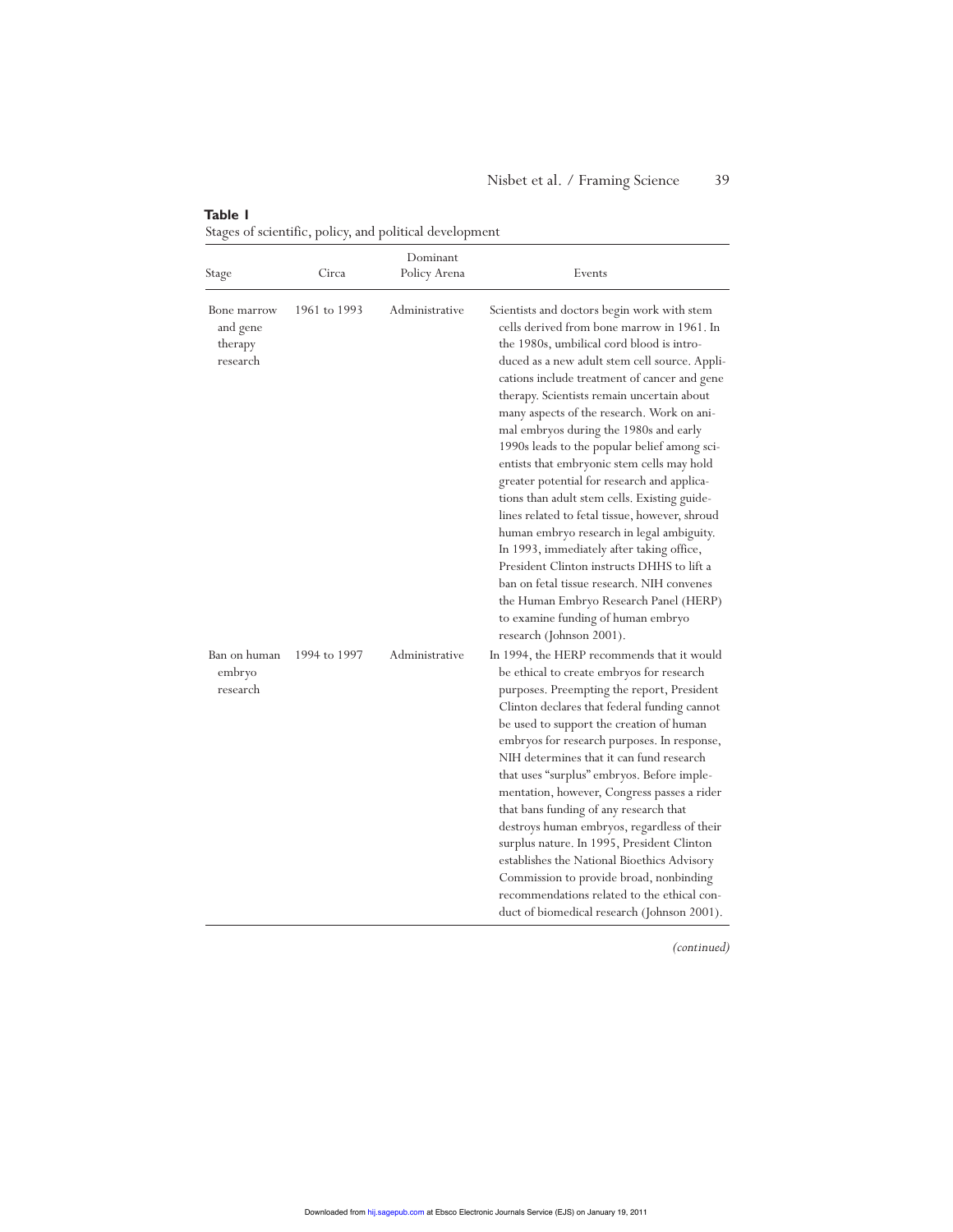| Stage                                          | Circa        | Dominant<br>Policy Arena | Events                                                                                                                                                                                                                                                                                                                                                                                                                                                                                                                                                                                                                                                                                                                                                                                                                                                                                                                         |
|------------------------------------------------|--------------|--------------------------|--------------------------------------------------------------------------------------------------------------------------------------------------------------------------------------------------------------------------------------------------------------------------------------------------------------------------------------------------------------------------------------------------------------------------------------------------------------------------------------------------------------------------------------------------------------------------------------------------------------------------------------------------------------------------------------------------------------------------------------------------------------------------------------------------------------------------------------------------------------------------------------------------------------------------------|
| Bone marrow<br>and gene<br>therapy<br>research | 1961 to 1993 | Administrative           | Scientists and doctors begin work with stem<br>cells derived from bone marrow in 1961. In<br>the 1980s, umbilical cord blood is intro-<br>duced as a new adult stem cell source. Appli-<br>cations include treatment of cancer and gene<br>therapy. Scientists remain uncertain about<br>many aspects of the research. Work on ani-<br>mal embryos during the 1980s and early<br>1990s leads to the popular belief among sci-<br>entists that embryonic stem cells may hold<br>greater potential for research and applica-<br>tions than adult stem cells. Existing guide-<br>lines related to fetal tissue, however, shroud<br>human embryo research in legal ambiguity.<br>In 1993, immediately after taking office,<br>President Clinton instructs DHHS to lift a<br>ban on fetal tissue research. NIH convenes<br>the Human Embryo Research Panel (HERP)<br>to examine funding of human embryo<br>research (Johnson 2001). |
| Ban on human<br>embryo<br>research             | 1994 to 1997 | Administrative           | In 1994, the HERP recommends that it would<br>be ethical to create embryos for research<br>purposes. Preempting the report, President<br>Clinton declares that federal funding cannot<br>be used to support the creation of human<br>embryos for research purposes. In response,<br>NIH determines that it can fund research<br>that uses "surplus" embryos. Before imple-<br>mentation, however, Congress passes a rider<br>that bans funding of any research that<br>destroys human embryos, regardless of their<br>surplus nature. In 1995, President Clinton<br>establishes the National Bioethics Advisory<br>Commission to provide broad, nonbinding<br>recommendations related to the ethical con-<br>duct of biomedical research (Johnson 2001).                                                                                                                                                                       |

**Table 1** Stages of scientific, policy, and political development

*(continued)*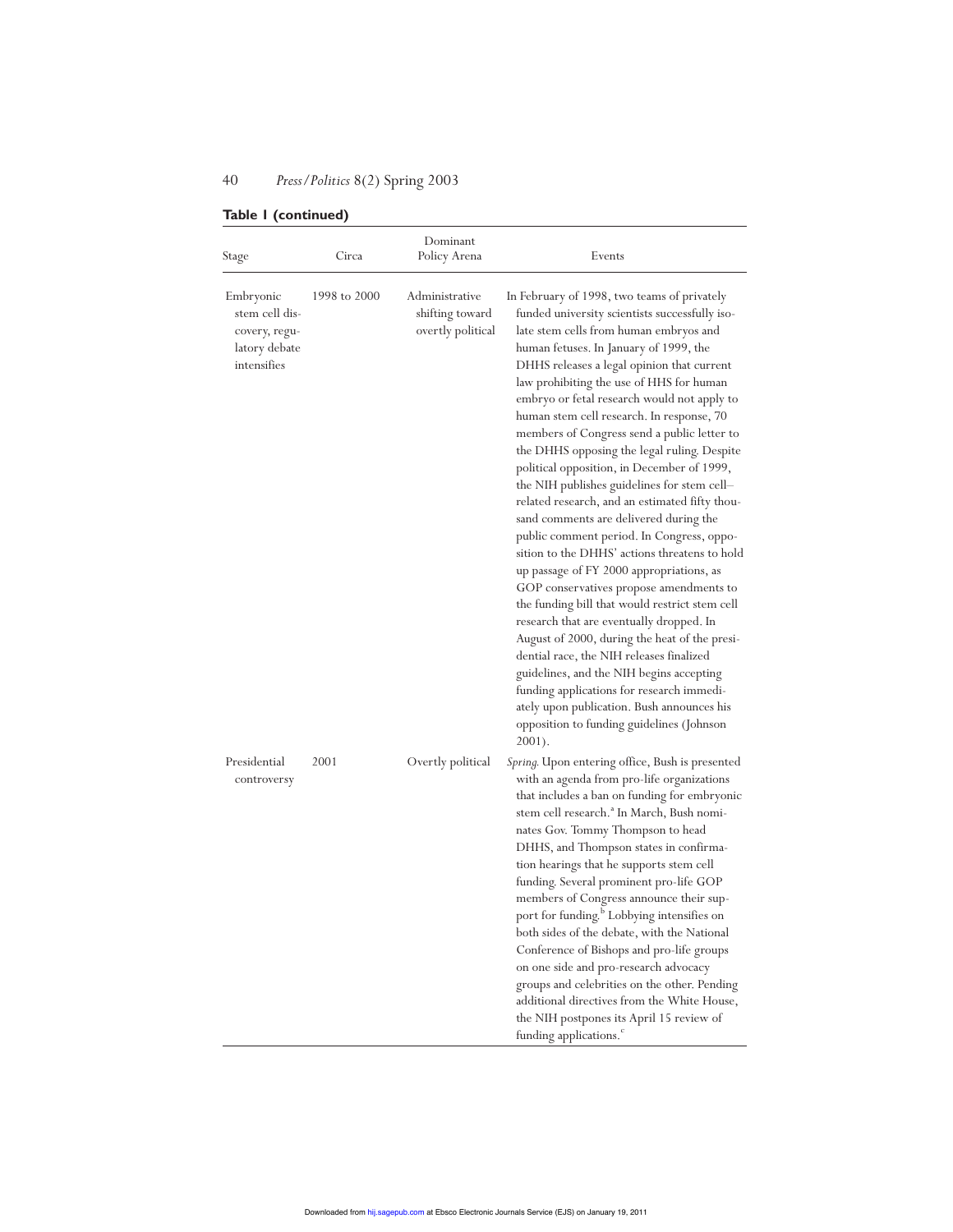| Stage                                                                        | Circa        | Dominant<br>Policy Arena                               | Events                                                                                                                                                                                                                                                                                                                                                                                                                                                                                                                                                                                                                                                                                                                                                                                                                                                                                                                                                                                                                                                                                                                                                                                                                                       |
|------------------------------------------------------------------------------|--------------|--------------------------------------------------------|----------------------------------------------------------------------------------------------------------------------------------------------------------------------------------------------------------------------------------------------------------------------------------------------------------------------------------------------------------------------------------------------------------------------------------------------------------------------------------------------------------------------------------------------------------------------------------------------------------------------------------------------------------------------------------------------------------------------------------------------------------------------------------------------------------------------------------------------------------------------------------------------------------------------------------------------------------------------------------------------------------------------------------------------------------------------------------------------------------------------------------------------------------------------------------------------------------------------------------------------|
| Embryonic<br>stem cell dis-<br>covery, regu-<br>latory debate<br>intensifies | 1998 to 2000 | Administrative<br>shifting toward<br>overtly political | In February of 1998, two teams of privately<br>funded university scientists successfully iso-<br>late stem cells from human embryos and<br>human fetuses. In January of 1999, the<br>DHHS releases a legal opinion that current<br>law prohibiting the use of HHS for human<br>embryo or fetal research would not apply to<br>human stem cell research. In response, 70<br>members of Congress send a public letter to<br>the DHHS opposing the legal ruling. Despite<br>political opposition, in December of 1999,<br>the NIH publishes guidelines for stem cell-<br>related research, and an estimated fifty thou-<br>sand comments are delivered during the<br>public comment period. In Congress, oppo-<br>sition to the DHHS' actions threatens to hold<br>up passage of FY 2000 appropriations, as<br>GOP conservatives propose amendments to<br>the funding bill that would restrict stem cell<br>research that are eventually dropped. In<br>August of 2000, during the heat of the presi-<br>dential race, the NIH releases finalized<br>guidelines, and the NIH begins accepting<br>funding applications for research immedi-<br>ately upon publication. Bush announces his<br>opposition to funding guidelines (Johnson<br>2001). |
| Presidential<br>controversy                                                  | 2001         | Overtly political                                      | Spring. Upon entering office, Bush is presented<br>with an agenda from pro-life organizations<br>that includes a ban on funding for embryonic<br>stem cell research. <sup>ª</sup> In March, Bush nomi-<br>nates Gov. Tommy Thompson to head<br>DHHS, and Thompson states in confirma-<br>tion hearings that he supports stem cell<br>funding. Several prominent pro-life GOP<br>members of Congress announce their sup-<br>port for funding. <sup>b</sup> Lobbying intensifies on<br>both sides of the debate, with the National<br>Conference of Bishops and pro-life groups<br>on one side and pro-research advocacy<br>groups and celebrities on the other. Pending<br>additional directives from the White House,<br>the NIH postpones its April 15 review of<br>funding applications."                                                                                                                                                                                                                                                                                                                                                                                                                                                  |

# **Table 1 (continued)**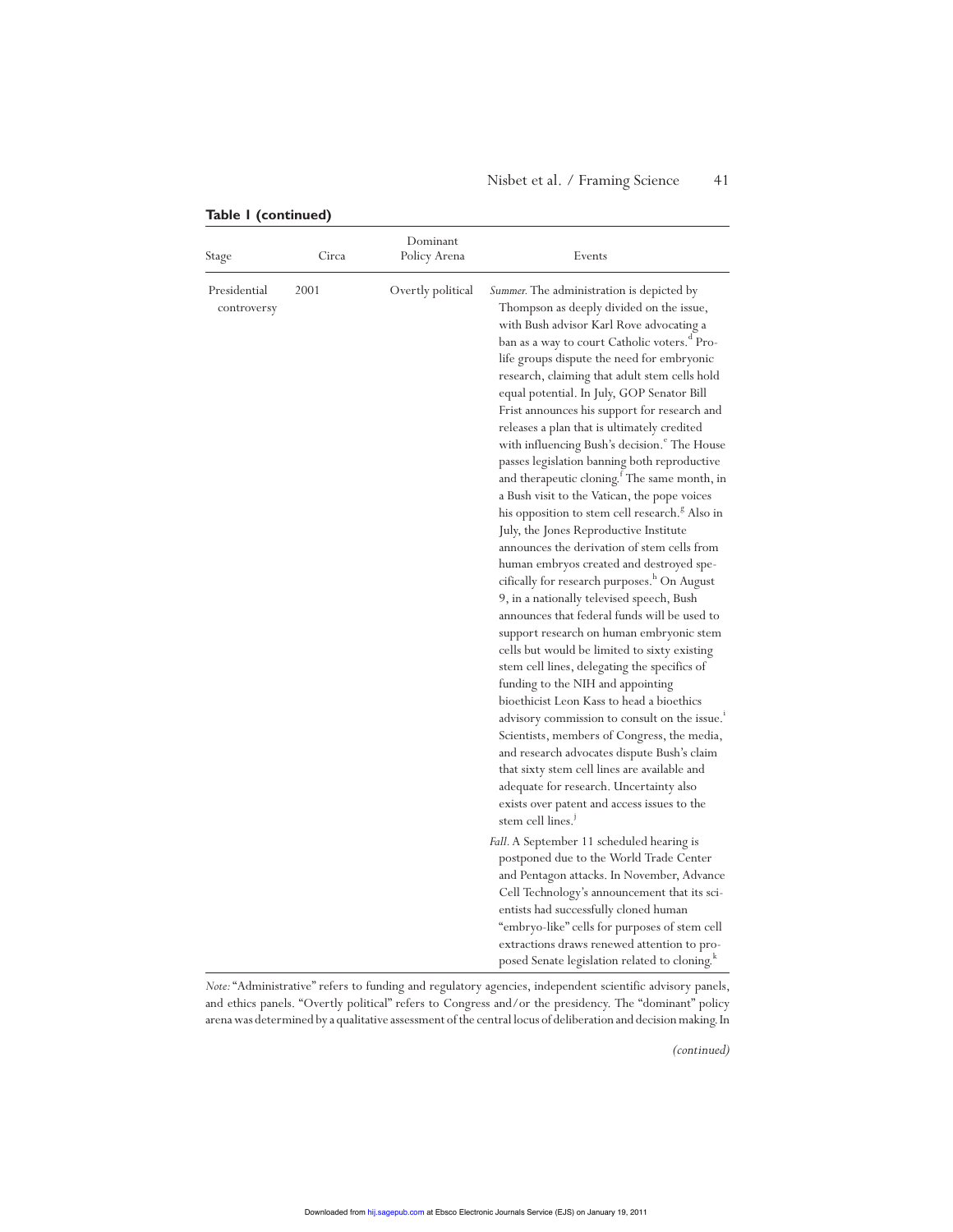| Stage                       | Circa | Dominant<br>Policy Arena | Events                                                                                                                                                                                                                                                                                                                                                                                                                                                                                                                                                                                                                                                                                                                                                                                                                                                                                                                                                                                                                                                                                                                                                                                                                                                                                                                                                                                                                                                                                                                                                                                           |
|-----------------------------|-------|--------------------------|--------------------------------------------------------------------------------------------------------------------------------------------------------------------------------------------------------------------------------------------------------------------------------------------------------------------------------------------------------------------------------------------------------------------------------------------------------------------------------------------------------------------------------------------------------------------------------------------------------------------------------------------------------------------------------------------------------------------------------------------------------------------------------------------------------------------------------------------------------------------------------------------------------------------------------------------------------------------------------------------------------------------------------------------------------------------------------------------------------------------------------------------------------------------------------------------------------------------------------------------------------------------------------------------------------------------------------------------------------------------------------------------------------------------------------------------------------------------------------------------------------------------------------------------------------------------------------------------------|
| Presidential<br>controversy | 2001  | Overtly political        | Summer. The administration is depicted by<br>Thompson as deeply divided on the issue,<br>with Bush advisor Karl Rove advocating a<br>ban as a way to court Catholic voters. <sup>d</sup> Pro-<br>life groups dispute the need for embryonic<br>research, claiming that adult stem cells hold<br>equal potential. In July, GOP Senator Bill<br>Frist announces his support for research and<br>releases a plan that is ultimately credited<br>with influencing Bush's decision. <sup>e</sup> The House<br>passes legislation banning both reproductive<br>and therapeutic cloning. <sup>†</sup> The same month, in<br>a Bush visit to the Vatican, the pope voices<br>his opposition to stem cell research. <sup>g</sup> Also in<br>July, the Jones Reproductive Institute<br>announces the derivation of stem cells from<br>human embryos created and destroyed spe-<br>cifically for research purposes. <sup>h</sup> On August<br>9, in a nationally televised speech, Bush<br>announces that federal funds will be used to<br>support research on human embryonic stem<br>cells but would be limited to sixty existing<br>stem cell lines, delegating the specifics of<br>funding to the NIH and appointing<br>bioethicist Leon Kass to head a bioethics<br>advisory commission to consult on the issue. <sup>1</sup><br>Scientists, members of Congress, the media,<br>and research advocates dispute Bush's claim<br>that sixty stem cell lines are available and<br>adequate for research. Uncertainty also<br>exists over patent and access issues to the<br>stem cell lines. <sup>1</sup> |
|                             |       |                          | Fall. A September 11 scheduled hearing is<br>postponed due to the World Trade Center<br>and Pentagon attacks. In November, Advance<br>Cell Technology's announcement that its sci-<br>entists had successfully cloned human<br>"embryo-like" cells for purposes of stem cell<br>extractions draws renewed attention to pro-<br>posed Senate legislation related to cloning. <sup>k</sup>                                                                                                                                                                                                                                                                                                                                                                                                                                                                                                                                                                                                                                                                                                                                                                                                                                                                                                                                                                                                                                                                                                                                                                                                         |

# **Table 1 (continued)**

*Note:* "Administrative" refers to funding and regulatory agencies, independent scientific advisory panels, and ethics panels. "Overtly political" refers to Congress and/or the presidency. The "dominant" policy arena was determined by a qualitative assessment of the central locus of deliberation and decision making. In

*(continued)*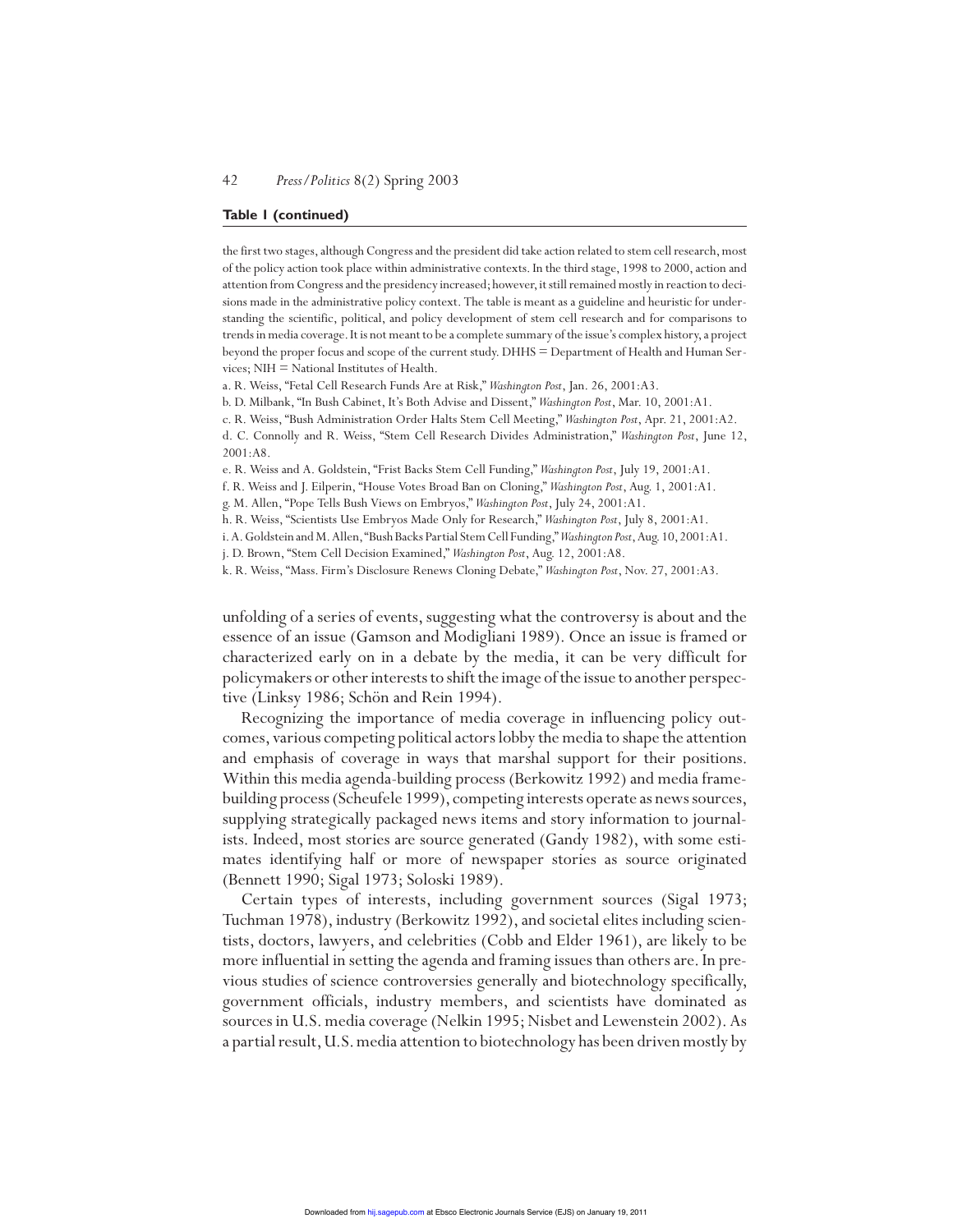#### **Table 1 (continued)**

the first two stages, although Congress and the president did take action related to stem cell research, most of the policy action took place within administrative contexts. In the third stage, 1998 to 2000, action and attention from Congress and the presidency increased; however, it still remained mostly in reaction to decisions made in the administrative policy context. The table is meant as a guideline and heuristic for understanding the scientific, political, and policy development of stem cell research and for comparisons to trends in media coverage. It is not meant to be a complete summary of the issue's complex history, a project beyond the proper focus and scope of the current study. DHHS = Department of Health and Human Services; NIH = National Institutes of Health.

a. R. Weiss, "Fetal Cell Research Funds Are at Risk," *Washington Post*, Jan. 26, 2001:A3.

b. D. Milbank, "In Bush Cabinet, It's Both Advise and Dissent," *Washington Post*, Mar. 10, 2001:A1.

c. R. Weiss, "Bush Administration Order Halts Stem Cell Meeting," *Washington Post*, Apr. 21, 2001:A2.

d. C. Connolly and R. Weiss, "Stem Cell Research Divides Administration," *Washington Post*, June 12, 2001:A8.

e. R. Weiss and A. Goldstein, "Frist Backs Stem Cell Funding," *Washington Post*, July 19, 2001:A1.

f. R. Weiss and J. Eilperin, "House Votes Broad Ban on Cloning," *Washington Post*, Aug. 1, 2001:A1.

g. M. Allen, "Pope Tells Bush Views on Embryos," *Washington Post*, July 24, 2001:A1.

h. R. Weiss, "Scientists Use Embryos Made Only for Research," *Washington Post*, July 8, 2001:A1.

i.A.Goldstein and M.Allen,"Bush Backs Partial Stem Cell Funding,"*Washington Post*,Aug.10,2001:A1.

j. D. Brown, "Stem Cell Decision Examined," *Washington Post*, Aug. 12, 2001:A8.

k. R. Weiss, "Mass. Firm's Disclosure Renews Cloning Debate," *Washington Post*, Nov. 27, 2001:A3.

unfolding of a series of events, suggesting what the controversy is about and the essence of an issue (Gamson and Modigliani 1989). Once an issue is framed or characterized early on in a debate by the media, it can be very difficult for policymakers or other interests to shift the image of the issue to another perspective (Linksy 1986; Schön and Rein 1994).

Recognizing the importance of media coverage in influencing policy outcomes, various competing political actors lobby the media to shape the attention and emphasis of coverage in ways that marshal support for their positions. Within this media agenda-building process (Berkowitz 1992) and media framebuilding process (Scheufele 1999), competing interests operate as news sources, supplying strategically packaged news items and story information to journalists. Indeed, most stories are source generated (Gandy 1982), with some estimates identifying half or more of newspaper stories as source originated (Bennett 1990; Sigal 1973; Soloski 1989).

Certain types of interests, including government sources (Sigal 1973; Tuchman 1978), industry (Berkowitz 1992), and societal elites including scientists, doctors, lawyers, and celebrities (Cobb and Elder 1961), are likely to be more influential in setting the agenda and framing issues than others are. In previous studies of science controversies generally and biotechnology specifically, government officials, industry members, and scientists have dominated as sources in U.S. media coverage (Nelkin 1995; Nisbet and Lewenstein 2002). As a partial result, U.S. media attention to biotechnology has been driven mostly by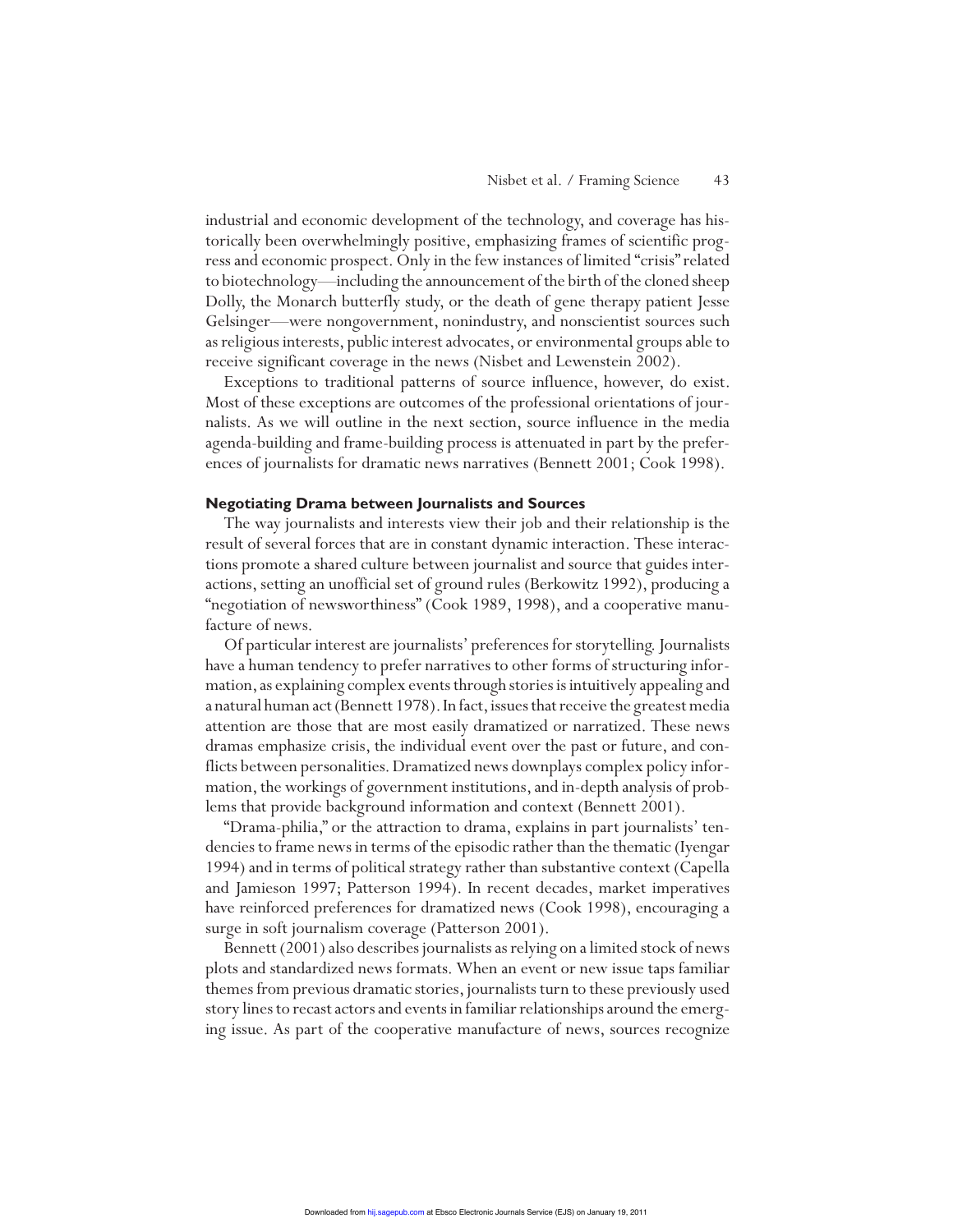industrial and economic development of the technology, and coverage has historically been overwhelmingly positive, emphasizing frames of scientific progress and economic prospect. Only in the few instances of limited "crisis" related to biotechnology—including the announcement of the birth of the cloned sheep Dolly, the Monarch butterfly study, or the death of gene therapy patient Jesse Gelsinger—were nongovernment, nonindustry, and nonscientist sources such as religious interests, public interest advocates, or environmental groups able to receive significant coverage in the news (Nisbet and Lewenstein 2002).

Exceptions to traditional patterns of source influence, however, do exist. Most of these exceptions are outcomes of the professional orientations of journalists. As we will outline in the next section, source influence in the media agenda-building and frame-building process is attenuated in part by the preferences of journalists for dramatic news narratives (Bennett 2001; Cook 1998).

#### **Negotiating Drama between Journalists and Sources**

The way journalists and interests view their job and their relationship is the result of several forces that are in constant dynamic interaction. These interactions promote a shared culture between journalist and source that guides interactions, setting an unofficial set of ground rules (Berkowitz 1992), producing a "negotiation of newsworthiness" (Cook 1989, 1998), and a cooperative manufacture of news.

Of particular interest are journalists' preferences for storytelling. Journalists have a human tendency to prefer narratives to other forms of structuring information,as explaining complex events through stories is intuitively appealing and a natural human act (Bennett 1978). In fact, issues that receive the greatest media attention are those that are most easily dramatized or narratized. These news dramas emphasize crisis, the individual event over the past or future, and conflicts between personalities. Dramatized news downplays complex policy information, the workings of government institutions, and in-depth analysis of problems that provide background information and context (Bennett 2001).

"Drama-philia," or the attraction to drama, explains in part journalists' tendencies to frame news in terms of the episodic rather than the thematic (Iyengar 1994) and in terms of political strategy rather than substantive context (Capella and Jamieson 1997; Patterson 1994). In recent decades, market imperatives have reinforced preferences for dramatized news (Cook 1998), encouraging a surge in soft journalism coverage (Patterson 2001).

Bennett (2001) also describes journalists as relying on a limited stock of news plots and standardized news formats. When an event or new issue taps familiar themes from previous dramatic stories, journalists turn to these previously used story lines to recast actors and events in familiar relationships around the emerging issue. As part of the cooperative manufacture of news, sources recognize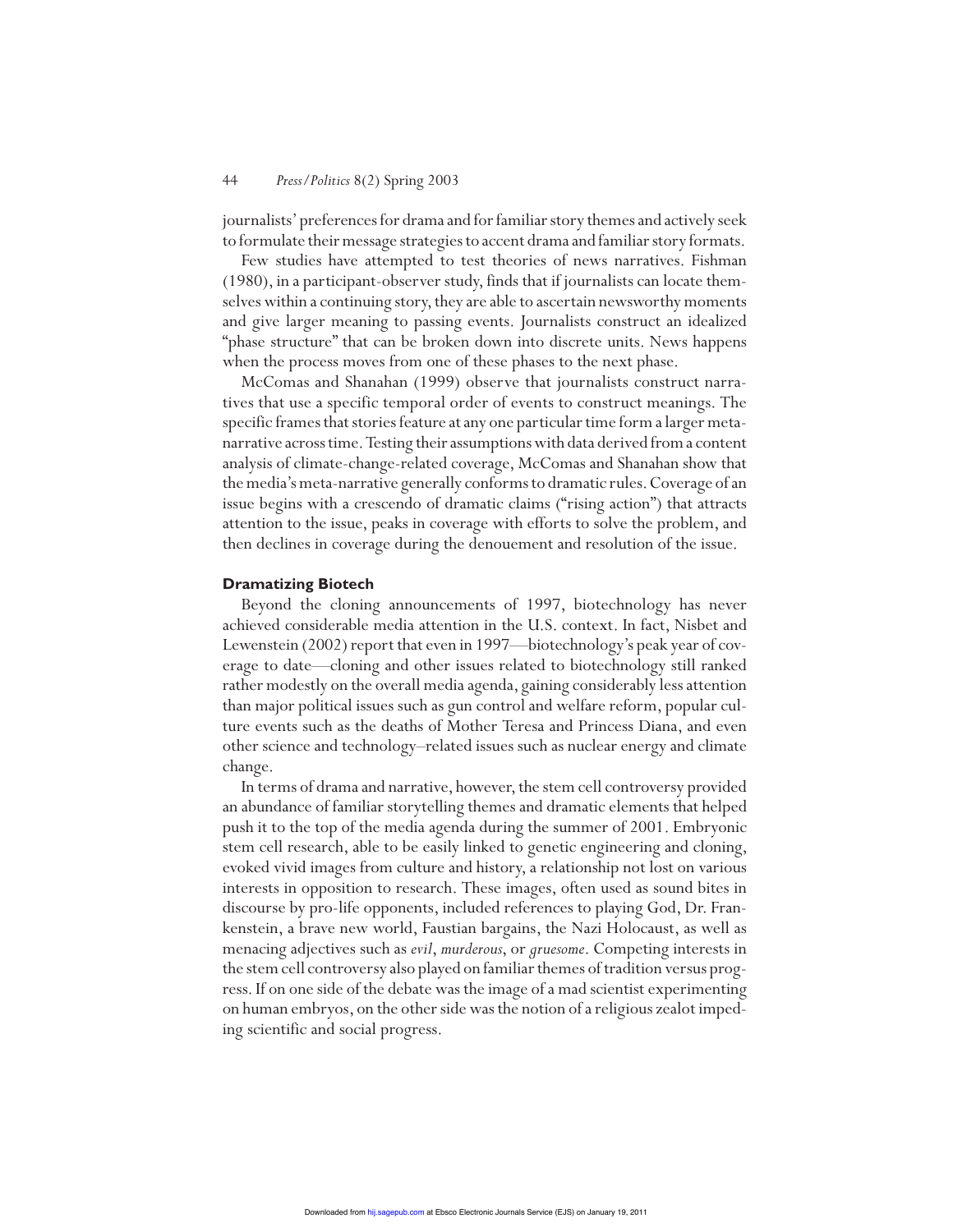journalists'preferences for drama and for familiar story themes and actively seek to formulate their message strategies to accent drama and familiar story formats.

Few studies have attempted to test theories of news narratives. Fishman (1980), in a participant-observer study, finds that if journalists can locate themselves within a continuing story, they are able to ascertain newsworthy moments and give larger meaning to passing events. Journalists construct an idealized "phase structure" that can be broken down into discrete units. News happens when the process moves from one of these phases to the next phase.

McComas and Shanahan (1999) observe that journalists construct narratives that use a specific temporal order of events to construct meanings. The specific frames that stories feature at any one particular time form a larger metanarrative across time. Testing their assumptions with data derived from a content analysis of climate-change-related coverage, McComas and Shanahan show that the media's meta-narrative generally conforms to dramatic rules.Coverage of an issue begins with a crescendo of dramatic claims ("rising action") that attracts attention to the issue, peaks in coverage with efforts to solve the problem, and then declines in coverage during the denouement and resolution of the issue.

#### **Dramatizing Biotech**

Beyond the cloning announcements of 1997, biotechnology has never achieved considerable media attention in the U.S. context. In fact, Nisbet and Lewenstein (2002) report that even in 1997—biotechnology's peak year of coverage to date—cloning and other issues related to biotechnology still ranked rather modestly on the overall media agenda, gaining considerably less attention than major political issues such as gun control and welfare reform, popular culture events such as the deaths of Mother Teresa and Princess Diana, and even other science and technology–related issues such as nuclear energy and climate change.

In terms of drama and narrative, however, the stem cell controversy provided an abundance of familiar storytelling themes and dramatic elements that helped push it to the top of the media agenda during the summer of 2001. Embryonic stem cell research, able to be easily linked to genetic engineering and cloning, evoked vivid images from culture and history, a relationship not lost on various interests in opposition to research. These images, often used as sound bites in discourse by pro-life opponents, included references to playing God, Dr. Frankenstein, a brave new world, Faustian bargains, the Nazi Holocaust, as well as menacing adjectives such as *evil*, *murderous*, or *gruesome*. Competing interests in the stem cell controversy also played on familiar themes of tradition versus progress. If on one side of the debate was the image of a mad scientist experimenting on human embryos, on the other side was the notion of a religious zealot impeding scientific and social progress.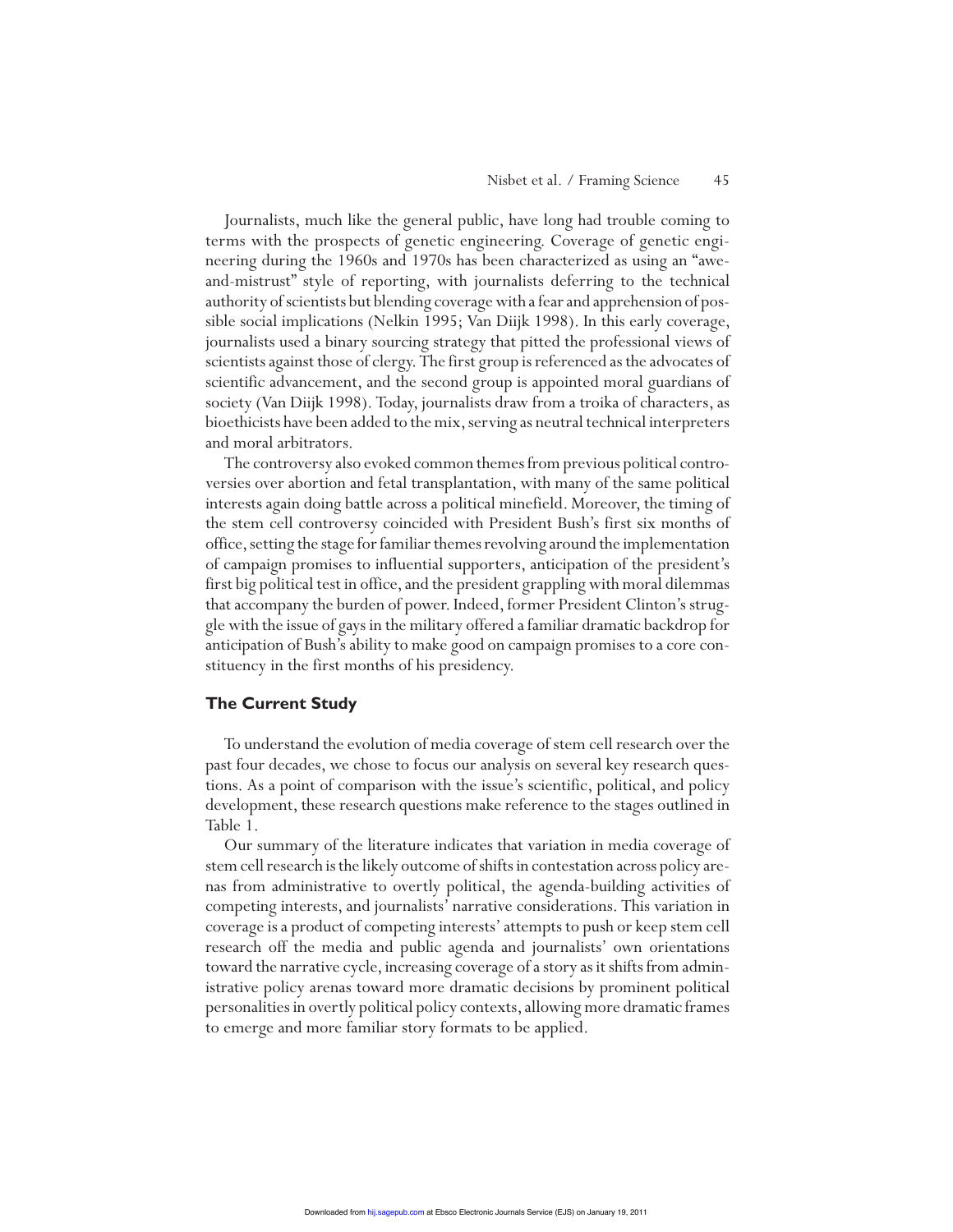Journalists, much like the general public, have long had trouble coming to terms with the prospects of genetic engineering. Coverage of genetic engineering during the 1960s and 1970s has been characterized as using an "aweand-mistrust" style of reporting, with journalists deferring to the technical authority of scientists but blending coverage with a fear and apprehension of possible social implications (Nelkin 1995; Van Diijk 1998). In this early coverage, journalists used a binary sourcing strategy that pitted the professional views of scientists against those of clergy. The first group is referenced as the advocates of scientific advancement, and the second group is appointed moral guardians of society (Van Diijk 1998). Today, journalists draw from a troika of characters, as bioethicists have been added to the mix, serving as neutral technical interpreters and moral arbitrators.

The controversy also evoked common themes from previous political controversies over abortion and fetal transplantation, with many of the same political interests again doing battle across a political minefield. Moreover, the timing of the stem cell controversy coincided with President Bush's first six months of office,setting the stage for familiar themes revolving around the implementation of campaign promises to influential supporters, anticipation of the president's first big political test in office, and the president grappling with moral dilemmas that accompany the burden of power. Indeed, former President Clinton's struggle with the issue of gays in the military offered a familiar dramatic backdrop for anticipation of Bush's ability to make good on campaign promises to a core constituency in the first months of his presidency.

# **The Current Study**

To understand the evolution of media coverage of stem cell research over the past four decades, we chose to focus our analysis on several key research questions. As a point of comparison with the issue's scientific, political, and policy development, these research questions make reference to the stages outlined in Table 1.

Our summary of the literature indicates that variation in media coverage of stem cell research is the likely outcome of shifts in contestation across policy arenas from administrative to overtly political, the agenda-building activities of competing interests, and journalists' narrative considerations. This variation in coverage is a product of competing interests' attempts to push or keep stem cell research off the media and public agenda and journalists' own orientations toward the narrative cycle, increasing coverage of a story as it shifts from administrative policy arenas toward more dramatic decisions by prominent political personalities in overtly political policy contexts, allowing more dramatic frames to emerge and more familiar story formats to be applied.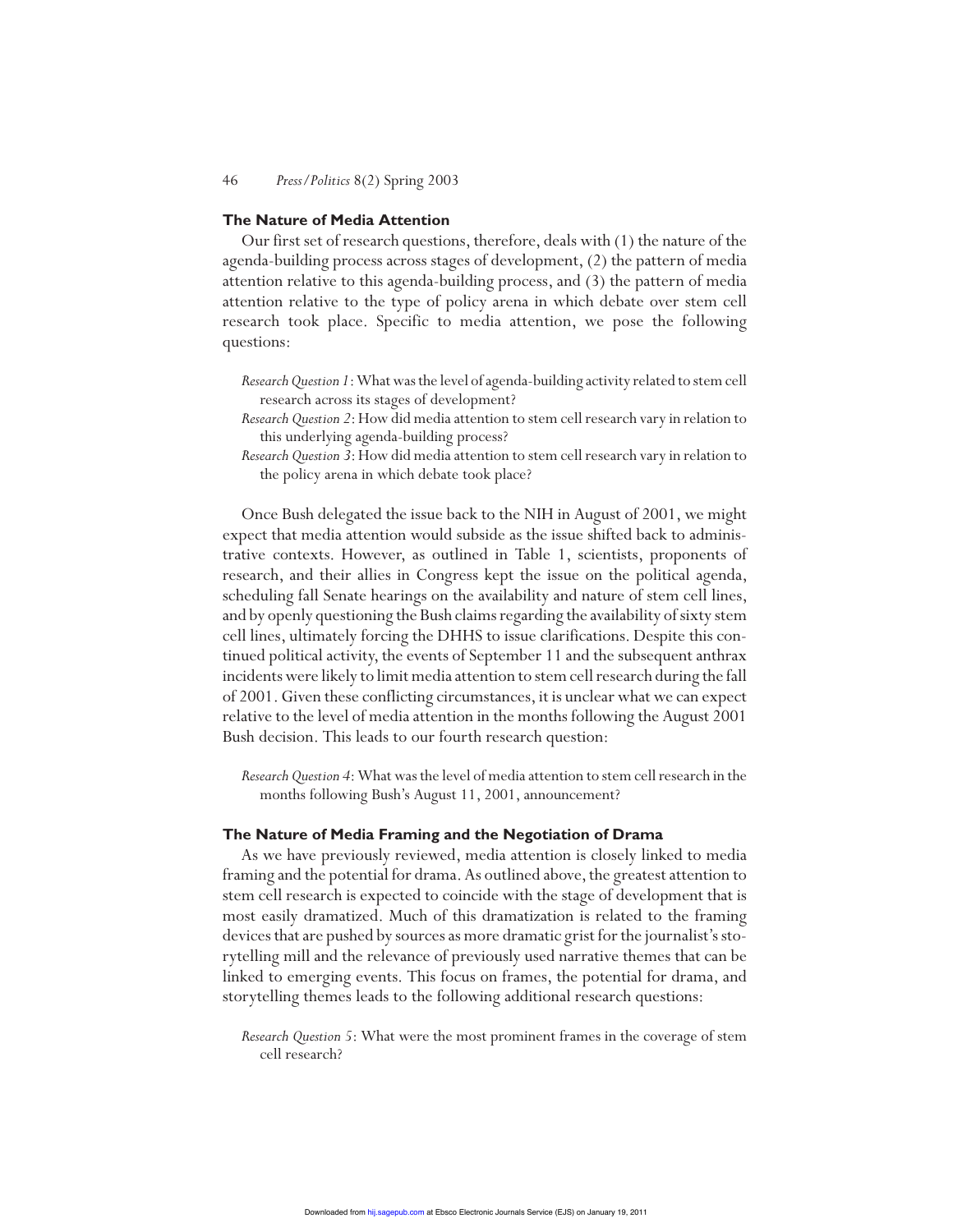#### **The Nature of Media Attention**

Our first set of research questions, therefore, deals with (1) the nature of the agenda-building process across stages of development, (2) the pattern of media attention relative to this agenda-building process, and (3) the pattern of media attention relative to the type of policy arena in which debate over stem cell research took place. Specific to media attention, we pose the following questions:

- *Research Question 1*:What was the level of agenda-building activity related to stem cell research across its stages of development?
- *Research Question 2*: How did media attention to stem cell research vary in relation to this underlying agenda-building process?
- *Research Question 3*: How did media attention to stem cell research vary in relation to the policy arena in which debate took place?

Once Bush delegated the issue back to the NIH in August of 2001, we might expect that media attention would subside as the issue shifted back to administrative contexts. However, as outlined in Table 1, scientists, proponents of research, and their allies in Congress kept the issue on the political agenda, scheduling fall Senate hearings on the availability and nature of stem cell lines, and by openly questioning the Bush claims regarding the availability of sixty stem cell lines, ultimately forcing the DHHS to issue clarifications. Despite this continued political activity, the events of September 11 and the subsequent anthrax incidents were likely to limit media attention to stem cell research during the fall of 2001. Given these conflicting circumstances, it is unclear what we can expect relative to the level of media attention in the months following the August 2001 Bush decision. This leads to our fourth research question:

*Research Question 4*: What was the level of media attention to stem cell research in the months following Bush's August 11, 2001, announcement?

#### **The Nature of Media Framing and the Negotiation of Drama**

As we have previously reviewed, media attention is closely linked to media framing and the potential for drama. As outlined above, the greatest attention to stem cell research is expected to coincide with the stage of development that is most easily dramatized. Much of this dramatization is related to the framing devices that are pushed by sources as more dramatic grist for the journalist's storytelling mill and the relevance of previously used narrative themes that can be linked to emerging events. This focus on frames, the potential for drama, and storytelling themes leads to the following additional research questions:

*Research Question 5*: What were the most prominent frames in the coverage of stem cell research?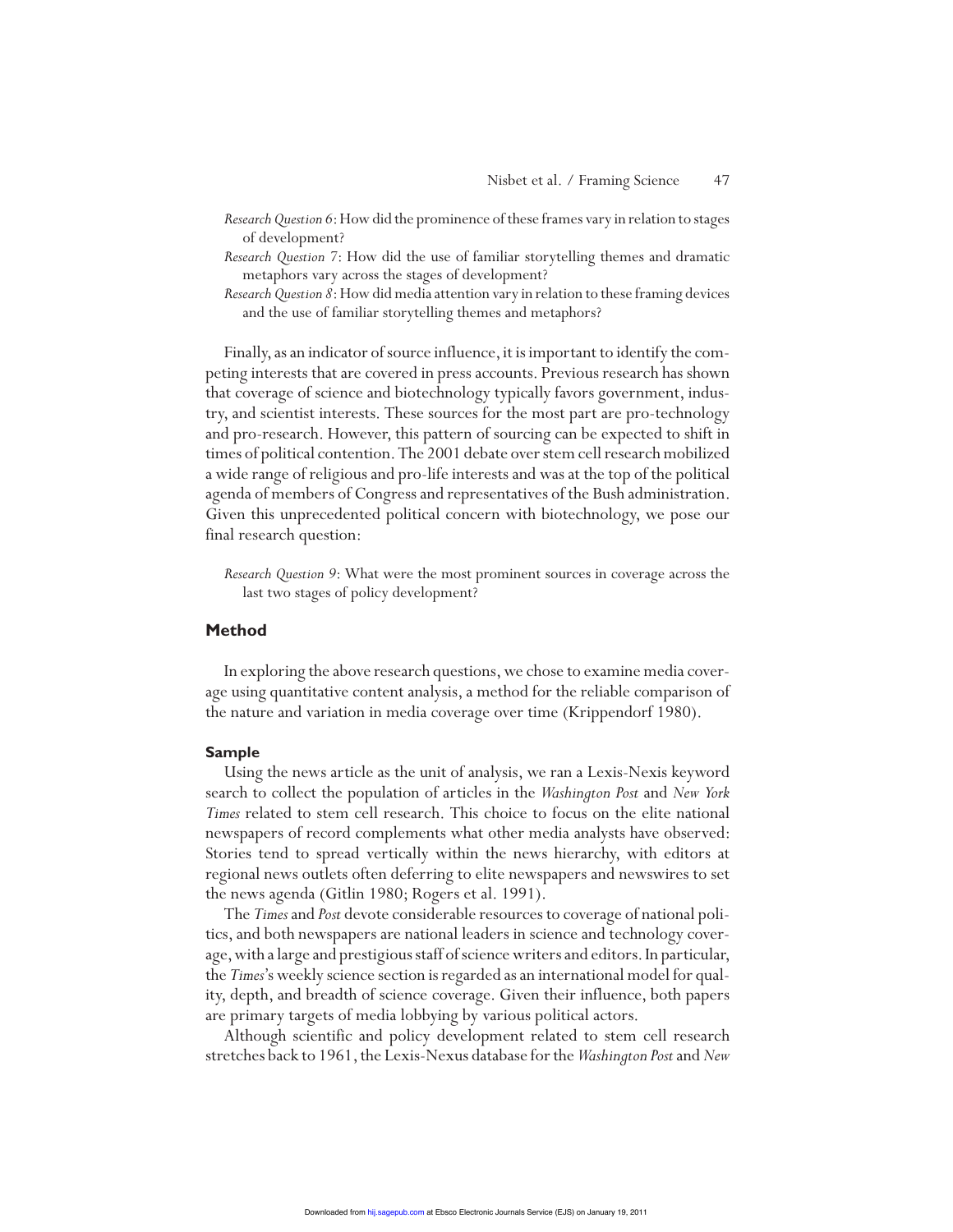- *Research Question 6*:How did the prominence of these frames vary in relation to stages of development?
- *Research Question 7*: How did the use of familiar storytelling themes and dramatic metaphors vary across the stages of development?
- *Research Question 8*: How did media attention vary in relation to these framing devices and the use of familiar storytelling themes and metaphors?

Finally, as an indicator of source influence, it is important to identify the competing interests that are covered in press accounts. Previous research has shown that coverage of science and biotechnology typically favors government, industry, and scientist interests. These sources for the most part are pro-technology and pro-research. However, this pattern of sourcing can be expected to shift in times of political contention.The 2001 debate over stem cell research mobilized a wide range of religious and pro-life interests and was at the top of the political agenda of members of Congress and representatives of the Bush administration. Given this unprecedented political concern with biotechnology, we pose our final research question:

*Research Question 9*: What were the most prominent sources in coverage across the last two stages of policy development?

# **Method**

In exploring the above research questions, we chose to examine media coverage using quantitative content analysis, a method for the reliable comparison of the nature and variation in media coverage over time (Krippendorf 1980).

#### **Sample**

Using the news article as the unit of analysis, we ran a Lexis-Nexis keyword search to collect the population of articles in the *Washington Post* and *New York Times* related to stem cell research. This choice to focus on the elite national newspapers of record complements what other media analysts have observed: Stories tend to spread vertically within the news hierarchy, with editors at regional news outlets often deferring to elite newspapers and newswires to set the news agenda (Gitlin 1980; Rogers et al. 1991).

The *Times*and *Post* devote considerable resources to coverage of national politics, and both newspapers are national leaders in science and technology coverage, with a large and prestigious staff of science writers and editors. In particular, the *Times*'s weekly science section is regarded as an international model for quality, depth, and breadth of science coverage. Given their influence, both papers are primary targets of media lobbying by various political actors.

Although scientific and policy development related to stem cell research stretches back to 1961, the Lexis-Nexus database for the *Washington Post* and *New*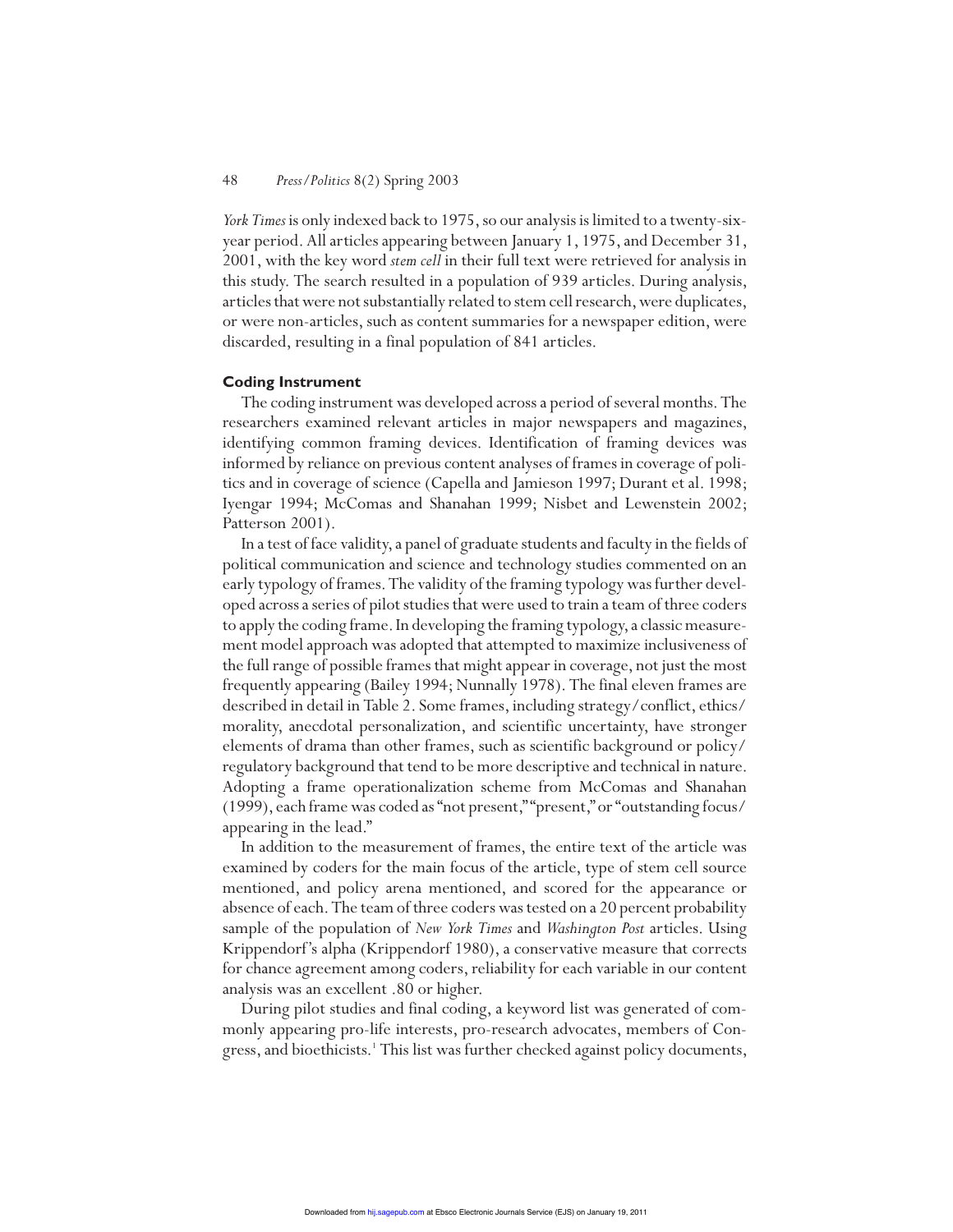*York Times* is only indexed back to 1975, so our analysis is limited to a twenty-sixyear period. All articles appearing between January 1, 1975, and December 31, 2001, with the key word *stem cell* in their full text were retrieved for analysis in this study. The search resulted in a population of 939 articles. During analysis, articles that were not substantially related to stem cell research, were duplicates, or were non-articles, such as content summaries for a newspaper edition, were discarded, resulting in a final population of 841 articles.

#### **Coding Instrument**

The coding instrument was developed across a period of several months. The researchers examined relevant articles in major newspapers and magazines, identifying common framing devices. Identification of framing devices was informed by reliance on previous content analyses of frames in coverage of politics and in coverage of science (Capella and Jamieson 1997; Durant et al. 1998; Iyengar 1994; McComas and Shanahan 1999; Nisbet and Lewenstein 2002; Patterson 2001).

In a test of face validity, a panel of graduate students and faculty in the fields of political communication and science and technology studies commented on an early typology of frames. The validity of the framing typology was further developed across a series of pilot studies that were used to train a team of three coders to apply the coding frame. In developing the framing typology, a classic measurement model approach was adopted that attempted to maximize inclusiveness of the full range of possible frames that might appear in coverage, not just the most frequently appearing (Bailey 1994; Nunnally 1978). The final eleven frames are described in detail in Table 2. Some frames, including strategy/conflict, ethics/ morality, anecdotal personalization, and scientific uncertainty, have stronger elements of drama than other frames, such as scientific background or policy/ regulatory background that tend to be more descriptive and technical in nature. Adopting a frame operationalization scheme from McComas and Shanahan  $(1999)$ , each frame was coded as "not present," "present," or "outstanding focus/ appearing in the lead."

In addition to the measurement of frames, the entire text of the article was examined by coders for the main focus of the article, type of stem cell source mentioned, and policy arena mentioned, and scored for the appearance or absence of each. The team of three coders was tested on a 20 percent probability sample of the population of *New York Times* and *Washington Post* articles. Using Krippendorf's alpha (Krippendorf 1980), a conservative measure that corrects for chance agreement among coders, reliability for each variable in our content analysis was an excellent .80 or higher.

During pilot studies and final coding, a keyword list was generated of commonly appearing pro-life interests, pro-research advocates, members of Congress, and bioethicists.<sup>1</sup> This list was further checked against policy documents,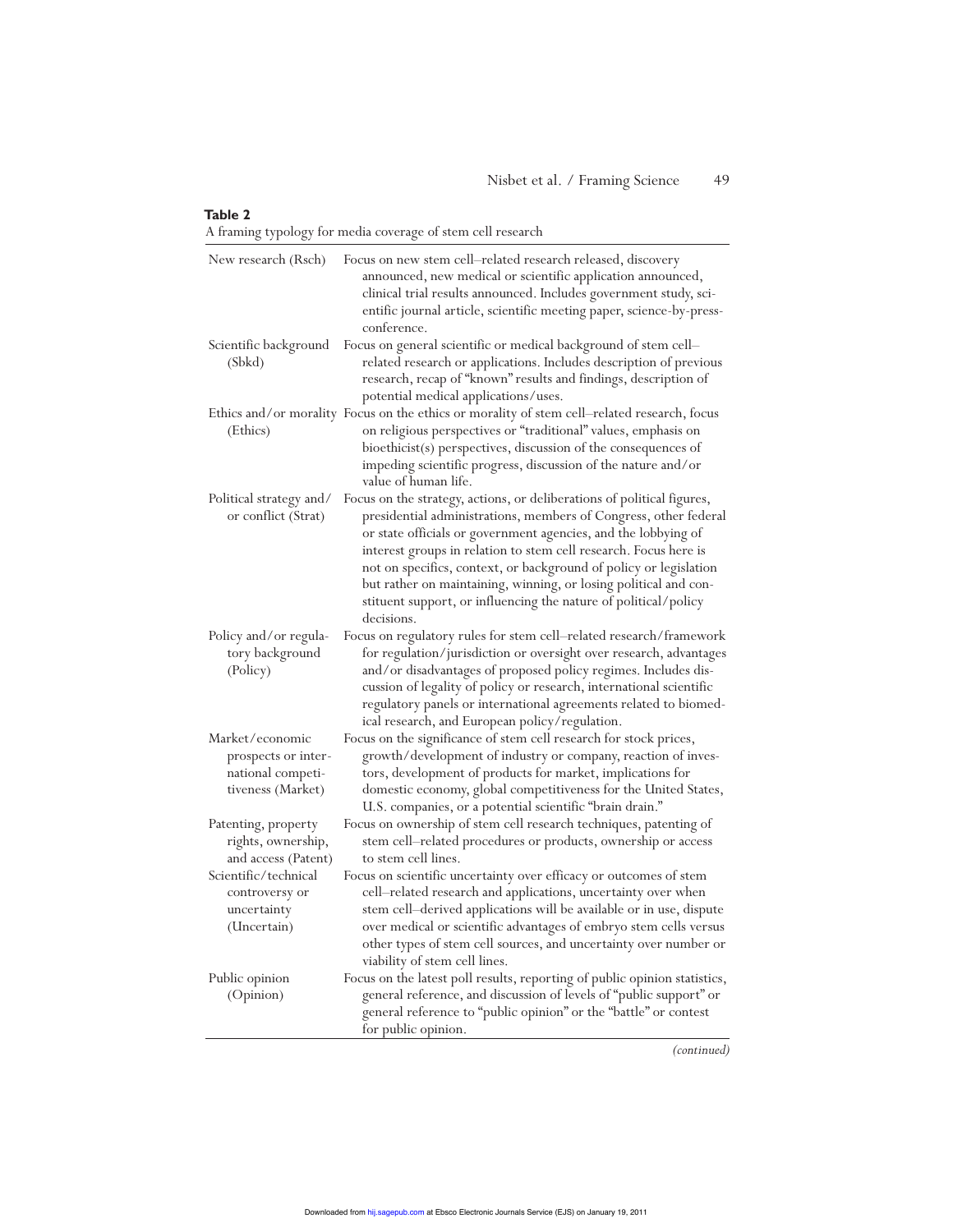# **Table 2**

A framing typology for media coverage of stem cell research

| New research (Rsch)                                                              | Focus on new stem cell-related research released, discovery<br>announced, new medical or scientific application announced,<br>clinical trial results announced. Includes government study, sci-<br>entific journal article, scientific meeting paper, science-by-press-<br>conference.                                                                                                                                                                                                                     |
|----------------------------------------------------------------------------------|------------------------------------------------------------------------------------------------------------------------------------------------------------------------------------------------------------------------------------------------------------------------------------------------------------------------------------------------------------------------------------------------------------------------------------------------------------------------------------------------------------|
| Scientific background<br>(Sbkd)                                                  | Focus on general scientific or medical background of stem cell-<br>related research or applications. Includes description of previous<br>research, recap of "known" results and findings, description of<br>potential medical applications/uses.                                                                                                                                                                                                                                                           |
| (Ethics)                                                                         | Ethics and/or morality Focus on the ethics or morality of stem cell-related research, focus<br>on religious perspectives or "traditional" values, emphasis on<br>bioethicist(s) perspectives, discussion of the consequences of<br>impeding scientific progress, discussion of the nature and/or<br>value of human life.                                                                                                                                                                                   |
| Political strategy and/<br>or conflict (Strat)                                   | Focus on the strategy, actions, or deliberations of political figures,<br>presidential administrations, members of Congress, other federal<br>or state officials or government agencies, and the lobbying of<br>interest groups in relation to stem cell research. Focus here is<br>not on specifics, context, or background of policy or legislation<br>but rather on maintaining, winning, or losing political and con-<br>stituent support, or influencing the nature of political/policy<br>decisions. |
| Policy and/or regula-<br>tory background<br>(Policy)                             | Focus on regulatory rules for stem cell-related research/framework<br>for regulation/jurisdiction or oversight over research, advantages<br>and/or disadvantages of proposed policy regimes. Includes dis-<br>cussion of legality of policy or research, international scientific<br>regulatory panels or international agreements related to biomed-<br>ical research, and European policy/regulation.                                                                                                    |
| Market/economic<br>prospects or inter-<br>national competi-<br>tiveness (Market) | Focus on the significance of stem cell research for stock prices,<br>growth/development of industry or company, reaction of inves-<br>tors, development of products for market, implications for<br>domestic economy, global competitiveness for the United States,<br>U.S. companies, or a potential scientific "brain drain."                                                                                                                                                                            |
| Patenting, property<br>rights, ownership,<br>and access (Patent)                 | Focus on ownership of stem cell research techniques, patenting of<br>stem cell-related procedures or products, ownership or access<br>to stem cell lines.                                                                                                                                                                                                                                                                                                                                                  |
| Scientific/technical<br>controversy or<br>uncertainty<br>(Uncertain)             | Focus on scientific uncertainty over efficacy or outcomes of stem<br>cell-related research and applications, uncertainty over when<br>stem cell-derived applications will be available or in use, dispute<br>over medical or scientific advantages of embryo stem cells versus<br>other types of stem cell sources, and uncertainty over number or<br>viability of stem cell lines.                                                                                                                        |
| Public opinion<br>(Opinion)                                                      | Focus on the latest poll results, reporting of public opinion statistics,<br>general reference, and discussion of levels of "public support" or<br>general reference to "public opinion" or the "battle" or contest<br>for public opinion.                                                                                                                                                                                                                                                                 |

*(continued)*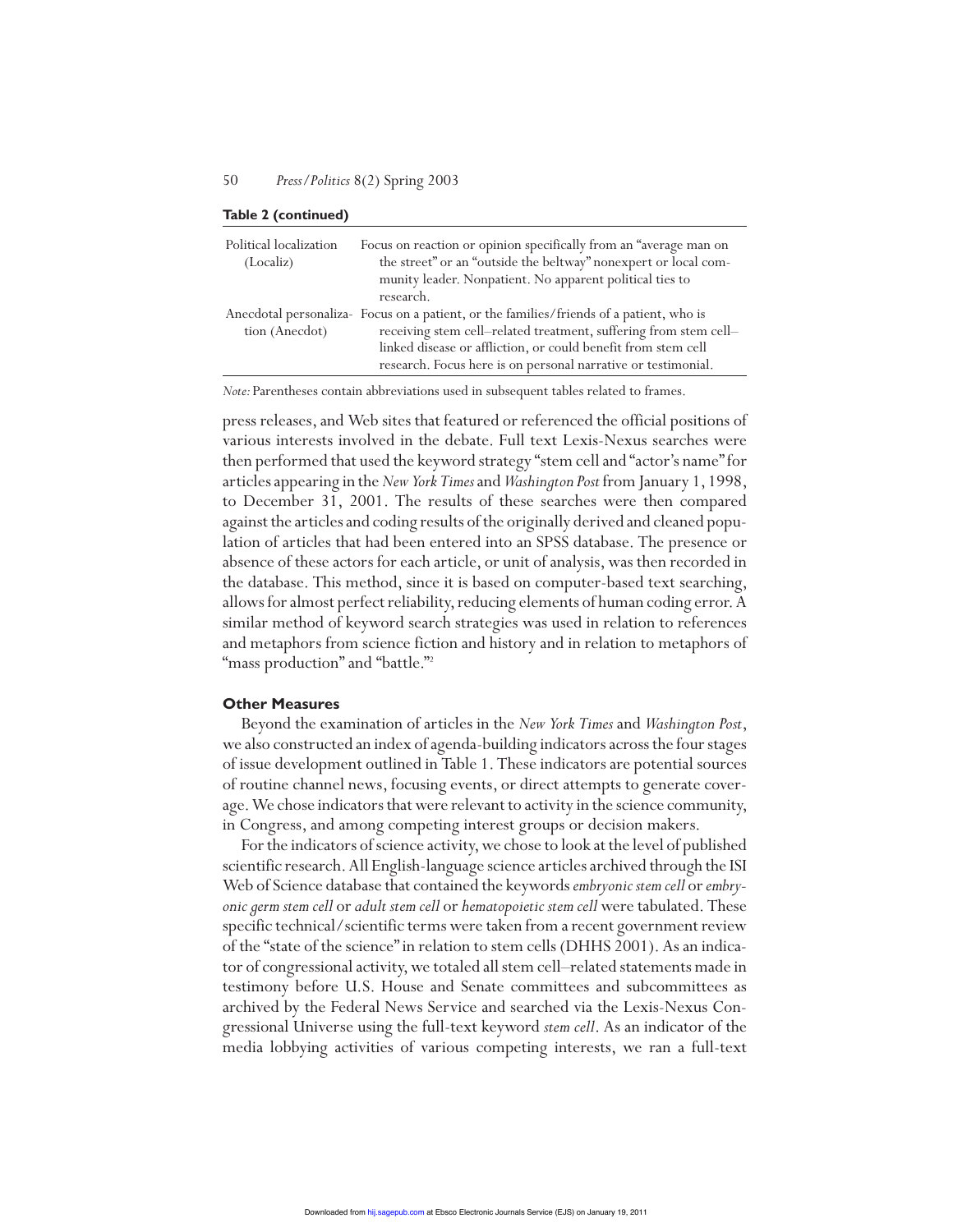#### **Table 2 (continued)**

| Political localization<br>(Localiz) | Focus on reaction or opinion specifically from an "average man on<br>the street" or an "outside the beltway" nonexpert or local com-<br>munity leader. Nonpatient. No apparent political ties to |
|-------------------------------------|--------------------------------------------------------------------------------------------------------------------------------------------------------------------------------------------------|
|                                     | research.                                                                                                                                                                                        |
|                                     | Anecdotal personaliza- Focus on a patient, or the families/friends of a patient, who is                                                                                                          |
| tion (Anecdot)                      | receiving stem cell-related treatment, suffering from stem cell-                                                                                                                                 |
|                                     | linked disease or affliction, or could benefit from stem cell                                                                                                                                    |
|                                     | research. Focus here is on personal narrative or testimonial.                                                                                                                                    |

*Note:*Parentheses contain abbreviations used in subsequent tables related to frames.

press releases, and Web sites that featured or referenced the official positions of various interests involved in the debate. Full text Lexis-Nexus searches were then performed that used the keyword strategy "stem cell and "actor's name" for articles appearing in the*New York Times*and *Washington Post* from January 1,1998, to December 31, 2001. The results of these searches were then compared against the articles and coding results of the originally derived and cleaned population of articles that had been entered into an SPSS database. The presence or absence of these actors for each article, or unit of analysis, was then recorded in the database. This method, since it is based on computer-based text searching, allows for almost perfect reliability, reducing elements of human coding error. A similar method of keyword search strategies was used in relation to references and metaphors from science fiction and history and in relation to metaphors of "mass production" and "battle."<sup>2</sup>

# **Other Measures**

Beyond the examination of articles in the *New York Times* and *Washington Post*, we also constructed an index of agenda-building indicators across the four stages of issue development outlined in Table 1. These indicators are potential sources of routine channel news, focusing events, or direct attempts to generate coverage.We chose indicators that were relevant to activity in the science community, in Congress, and among competing interest groups or decision makers.

For the indicators of science activity, we chose to look at the level of published scientific research. All English-language science articles archived through the ISI Web of Science database that contained the keywords*embryonic stem cell* or*embryonic germ stem cell* or*adult stem cell* or *hematopoietic stem cell* were tabulated. These specific technical/scientific terms were taken from a recent government review of the "state of the science" in relation to stem cells (DHHS 2001). As an indicator of congressional activity, we totaled all stem cell–related statements made in testimony before U.S. House and Senate committees and subcommittees as archived by the Federal News Service and searched via the Lexis-Nexus Congressional Universe using the full-text keyword *stem cell*. As an indicator of the media lobbying activities of various competing interests, we ran a full-text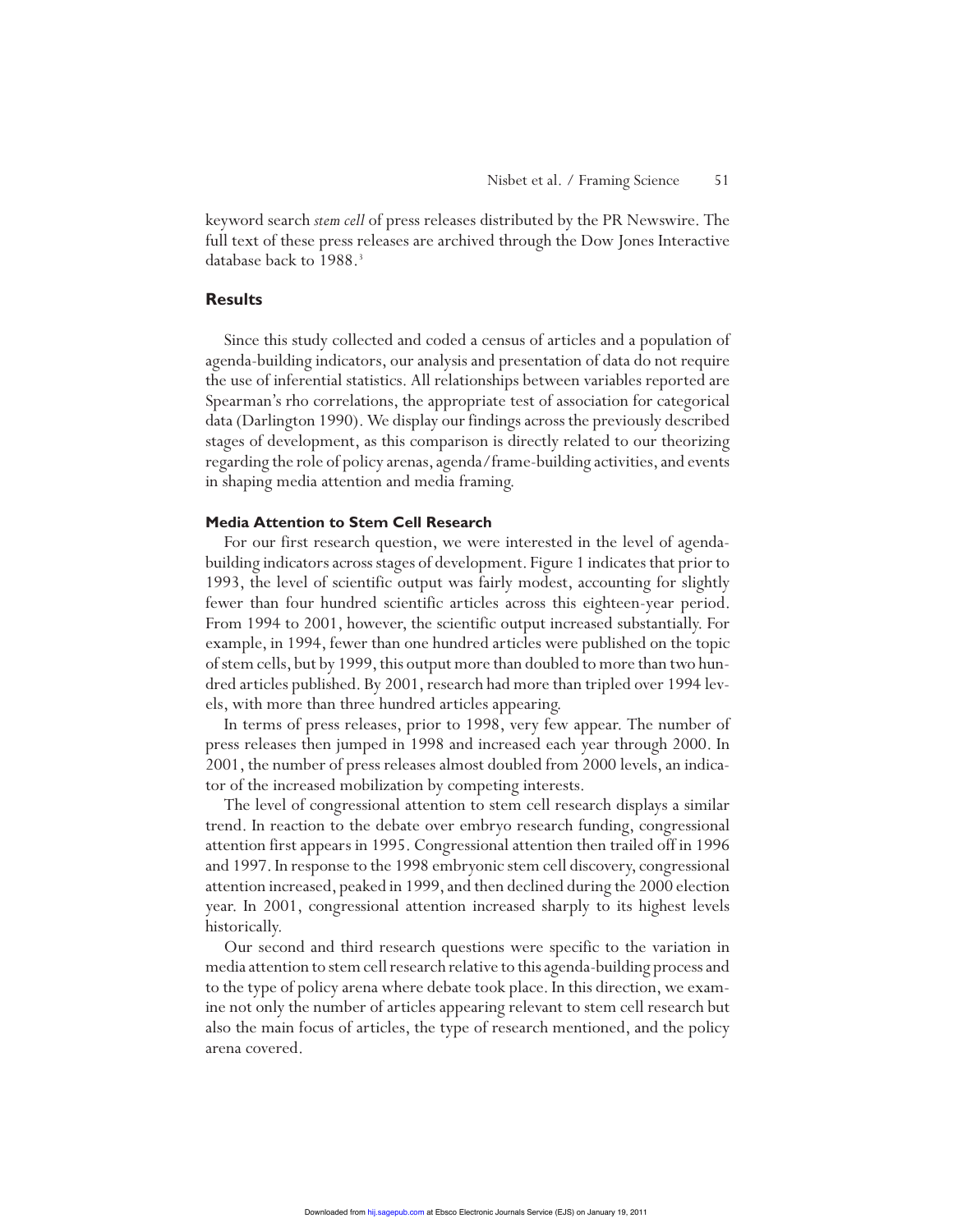keyword search *stem cell* of press releases distributed by the PR Newswire. The full text of these press releases are archived through the Dow Jones Interactive database back to 1988.<sup>3</sup>

# **Results**

Since this study collected and coded a census of articles and a population of agenda-building indicators, our analysis and presentation of data do not require the use of inferential statistics. All relationships between variables reported are Spearman's rho correlations, the appropriate test of association for categorical data (Darlington 1990). We display our findings across the previously described stages of development, as this comparison is directly related to our theorizing regarding the role of policy arenas, agenda/frame-building activities, and events in shaping media attention and media framing.

# **Media Attention to Stem Cell Research**

For our first research question, we were interested in the level of agendabuilding indicators across stages of development. Figure 1 indicates that prior to 1993, the level of scientific output was fairly modest, accounting for slightly fewer than four hundred scientific articles across this eighteen-year period. From 1994 to 2001, however, the scientific output increased substantially. For example, in 1994, fewer than one hundred articles were published on the topic of stem cells, but by 1999, this output more than doubled to more than two hundred articles published. By 2001, research had more than tripled over 1994 levels, with more than three hundred articles appearing.

In terms of press releases, prior to 1998, very few appear. The number of press releases then jumped in 1998 and increased each year through 2000. In 2001, the number of press releases almost doubled from 2000 levels, an indicator of the increased mobilization by competing interests.

The level of congressional attention to stem cell research displays a similar trend. In reaction to the debate over embryo research funding, congressional attention first appears in 1995. Congressional attention then trailed off in 1996 and 1997. In response to the 1998 embryonic stem cell discovery, congressional attention increased, peaked in 1999, and then declined during the 2000 election year. In 2001, congressional attention increased sharply to its highest levels historically.

Our second and third research questions were specific to the variation in media attention to stem cell research relative to this agenda-building process and to the type of policy arena where debate took place. In this direction, we examine not only the number of articles appearing relevant to stem cell research but also the main focus of articles, the type of research mentioned, and the policy arena covered.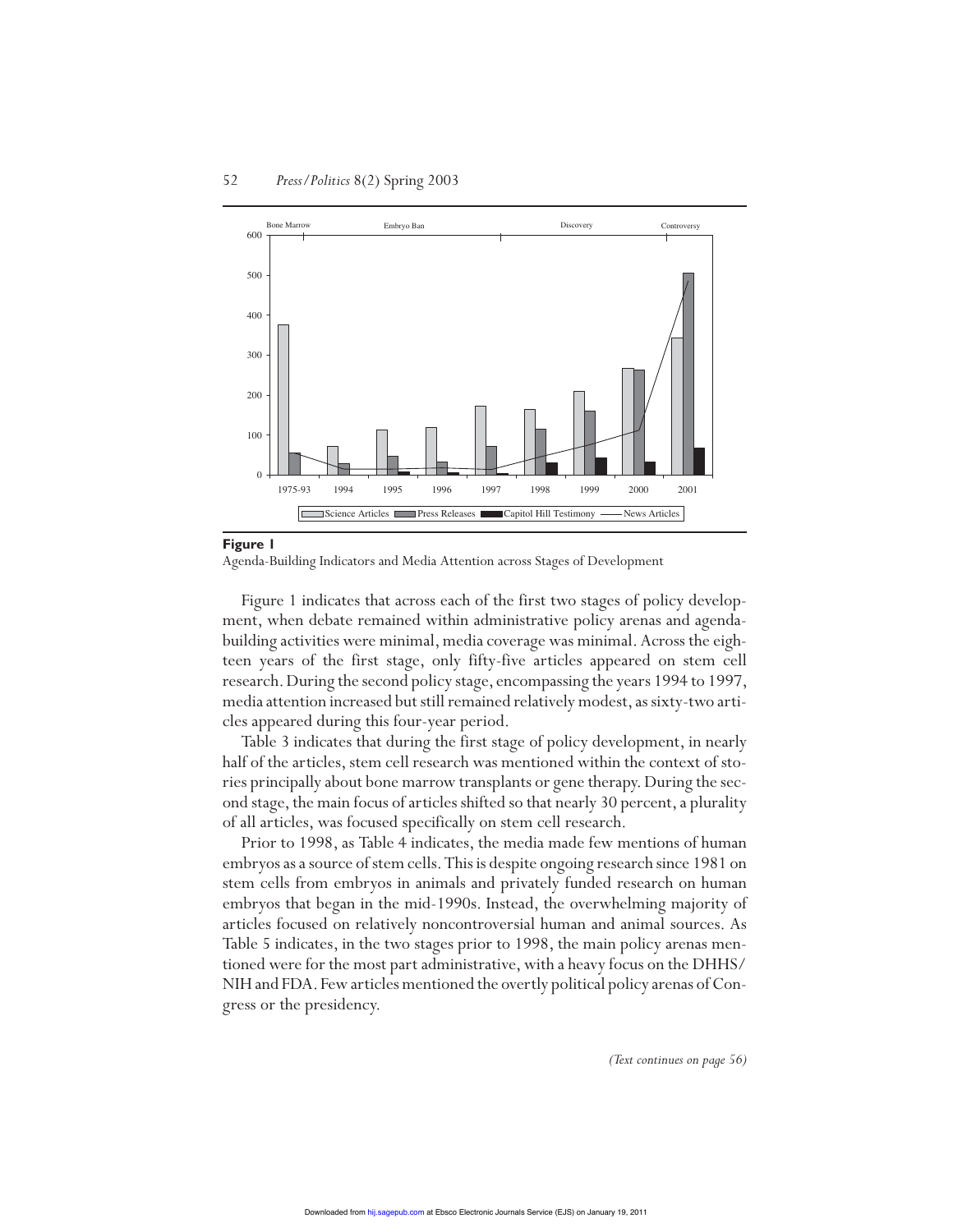

#### **Figure 1**

Agenda-Building Indicators and Media Attention across Stages of Development

Figure 1 indicates that across each of the first two stages of policy development, when debate remained within administrative policy arenas and agendabuilding activities were minimal, media coverage was minimal. Across the eighteen years of the first stage, only fifty-five articles appeared on stem cell research. During the second policy stage, encompassing the years 1994 to 1997, media attention increased but still remained relatively modest, as sixty-two articles appeared during this four-year period.

Table 3 indicates that during the first stage of policy development, in nearly half of the articles, stem cell research was mentioned within the context of stories principally about bone marrow transplants or gene therapy. During the second stage, the main focus of articles shifted so that nearly 30 percent, a plurality of all articles, was focused specifically on stem cell research.

Prior to 1998, as Table 4 indicates, the media made few mentions of human embryos as a source of stem cells. This is despite ongoing research since 1981 on stem cells from embryos in animals and privately funded research on human embryos that began in the mid-1990s. Instead, the overwhelming majority of articles focused on relatively noncontroversial human and animal sources. As Table 5 indicates, in the two stages prior to 1998, the main policy arenas mentioned were for the most part administrative, with a heavy focus on the DHHS/ NIH and FDA.Few articles mentioned the overtly political policy arenas of Congress or the presidency.

*(Text continues on page 56)*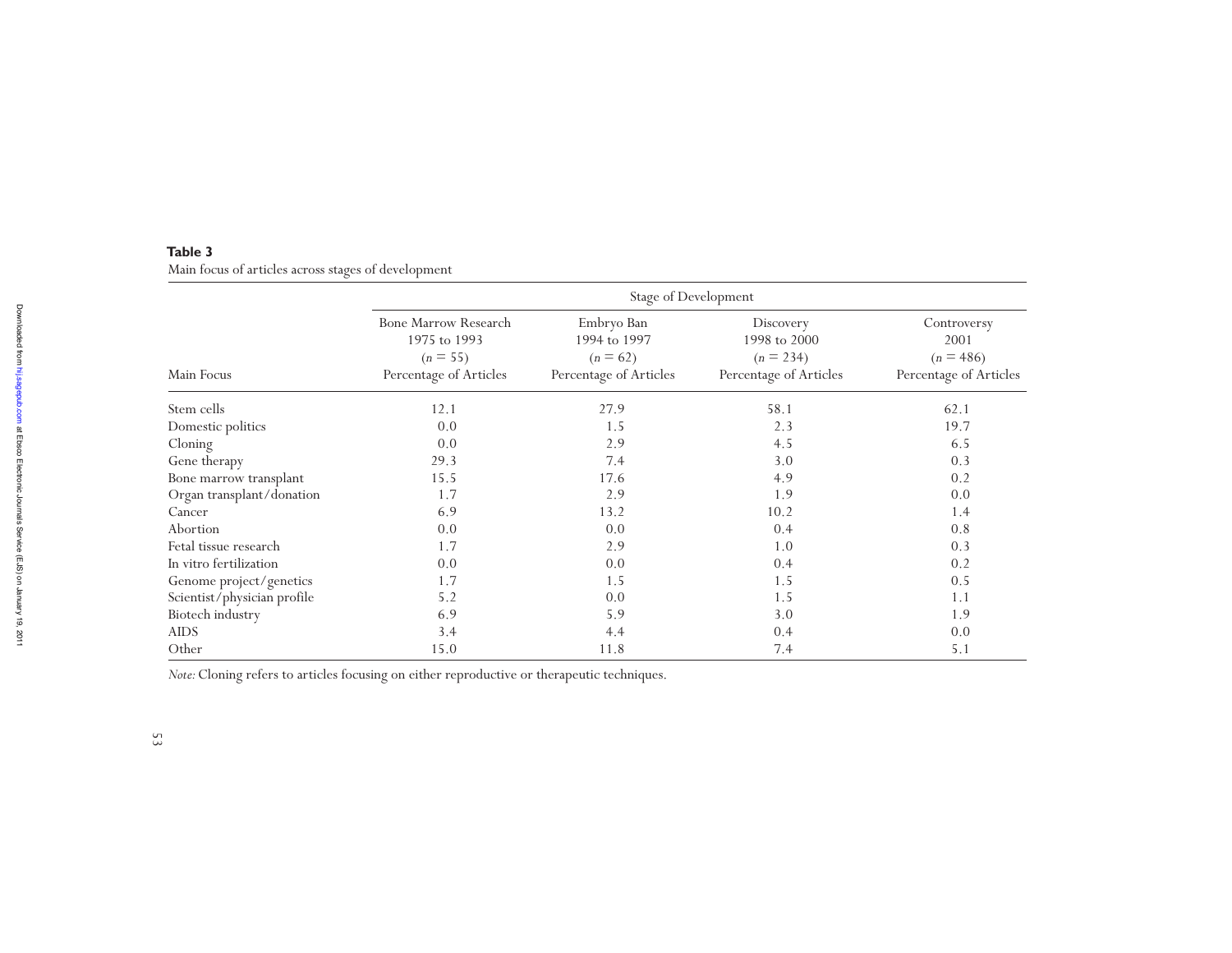| Table 3                                             |  |  |  |
|-----------------------------------------------------|--|--|--|
| Main focus of articles across stages of development |  |  |  |

|                             | Stage of Development                                                                |                                                                    |                                                                    |                                                              |  |  |  |  |
|-----------------------------|-------------------------------------------------------------------------------------|--------------------------------------------------------------------|--------------------------------------------------------------------|--------------------------------------------------------------|--|--|--|--|
| Main Focus                  | <b>Bone Marrow Research</b><br>1975 to 1993<br>$(n = 55)$<br>Percentage of Articles | Embryo Ban<br>1994 to 1997<br>$(n = 62)$<br>Percentage of Articles | Discovery<br>1998 to 2000<br>$(n = 234)$<br>Percentage of Articles | Controversy<br>2001<br>$(n = 486)$<br>Percentage of Articles |  |  |  |  |
| Stem cells                  | 12.1                                                                                | 27.9                                                               | 58.1                                                               | 62.1                                                         |  |  |  |  |
| Domestic politics           | 0.0                                                                                 | 1.5                                                                | 2.3                                                                | 19.7                                                         |  |  |  |  |
| Cloning                     | 0.0                                                                                 | 2.9                                                                | 4.5                                                                | 6.5                                                          |  |  |  |  |
| Gene therapy                | 29.3                                                                                | 7.4                                                                | 3.0                                                                | 0.3                                                          |  |  |  |  |
| Bone marrow transplant      | 15.5                                                                                | 17.6                                                               | 4.9                                                                | 0.2                                                          |  |  |  |  |
| Organ transplant/donation   | 1.7                                                                                 | 2.9                                                                | 1.9                                                                | 0.0                                                          |  |  |  |  |
| Cancer                      | 6.9                                                                                 | 13.2                                                               | 10.2                                                               | 1.4                                                          |  |  |  |  |
| Abortion                    | 0.0                                                                                 | 0.0                                                                | 0.4                                                                | 0.8                                                          |  |  |  |  |
| Fetal tissue research       | 1.7                                                                                 | 2.9                                                                | 1.0                                                                | 0.3                                                          |  |  |  |  |
| In vitro fertilization      | 0.0                                                                                 | 0.0                                                                | 0.4                                                                | 0.2                                                          |  |  |  |  |
| Genome project/genetics     | 1.7                                                                                 | 1.5                                                                | 1.5                                                                | 0.5                                                          |  |  |  |  |
| Scientist/physician profile | 5.2                                                                                 | 0.0                                                                | 1.5                                                                | 1.1                                                          |  |  |  |  |
| Biotech industry            | 6.9                                                                                 | 5.9                                                                | 3.0                                                                | 1.9                                                          |  |  |  |  |
| <b>AIDS</b>                 | 3.4                                                                                 | 4.4                                                                | 0.4                                                                | 0.0                                                          |  |  |  |  |
| Other                       | 15.0                                                                                | 11.8                                                               | 7.4                                                                | 5.1                                                          |  |  |  |  |

*Note:*Cloning refers to articles focusing on either reproductive or therapeutic techniques.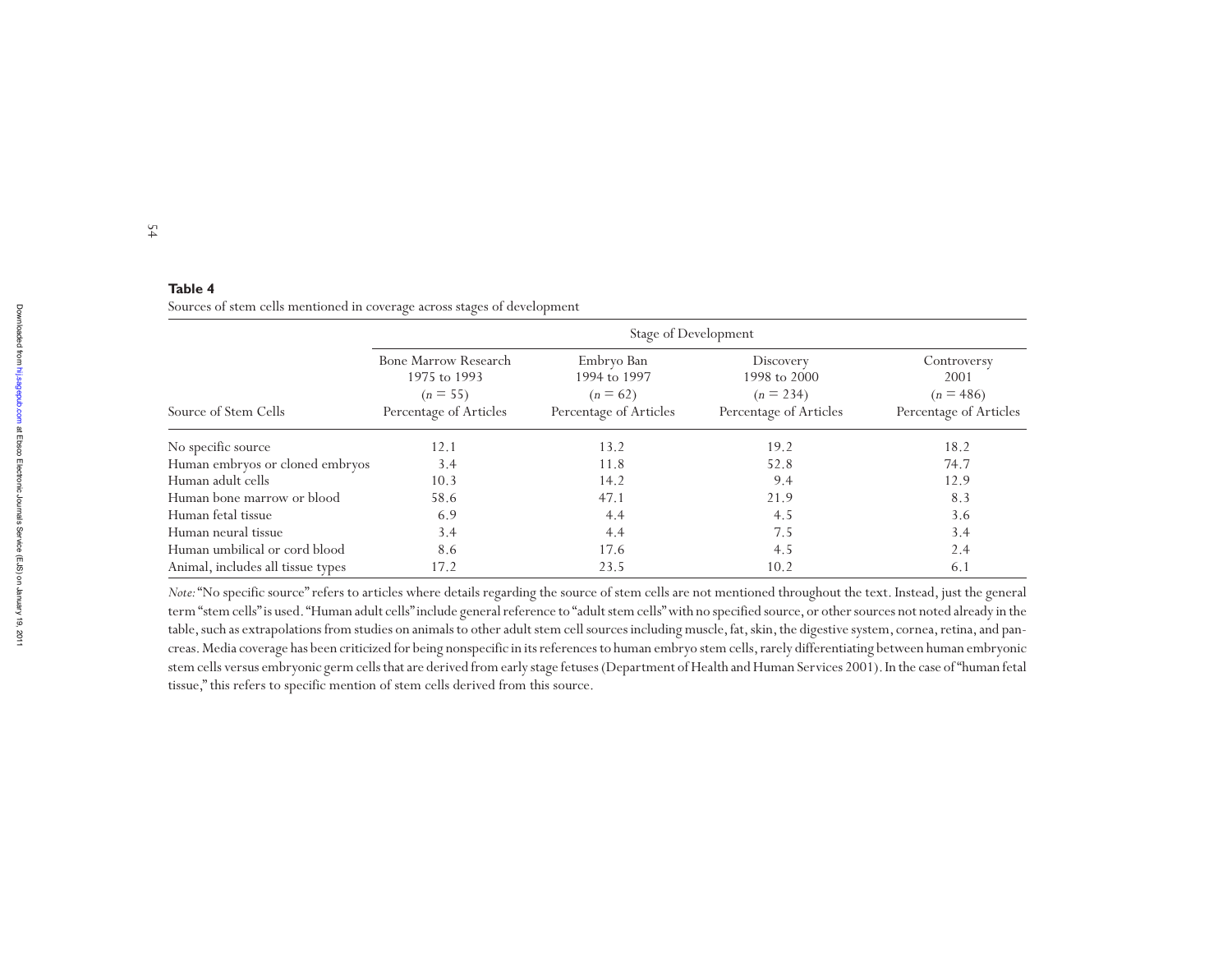#### **Table 4**

Sources of stem cells mentioned in coverage across stages of development

|                                   | Stage of Development                                                                |                                                                    |                                                                    |                                                              |  |  |  |
|-----------------------------------|-------------------------------------------------------------------------------------|--------------------------------------------------------------------|--------------------------------------------------------------------|--------------------------------------------------------------|--|--|--|
| Source of Stem Cells              | <b>Bone Marrow Research</b><br>1975 to 1993<br>$(n = 55)$<br>Percentage of Articles | Embryo Ban<br>1994 to 1997<br>$(n = 62)$<br>Percentage of Articles | Discovery<br>1998 to 2000<br>$(n = 234)$<br>Percentage of Articles | Controversy<br>2001<br>$(n = 486)$<br>Percentage of Articles |  |  |  |
| No specific source                | 12.1                                                                                | 13.2                                                               | 19.2                                                               | 18.2                                                         |  |  |  |
| Human embryos or cloned embryos   | 3.4                                                                                 | 11.8                                                               | 52.8                                                               | 74.7                                                         |  |  |  |
| Human adult cells                 | 10.3                                                                                | 14.2                                                               | 9.4                                                                | 12.9                                                         |  |  |  |
| Human bone marrow or blood        | 58.6                                                                                | 47.1                                                               | 21.9                                                               | 8.3                                                          |  |  |  |
| Human fetal tissue                | 6.9                                                                                 | 4.4                                                                | 4.5                                                                | 3.6                                                          |  |  |  |
| Human neural tissue               | 3.4                                                                                 | 4.4                                                                | 7.5                                                                | 3.4                                                          |  |  |  |
| Human umbilical or cord blood     | 8.6                                                                                 | 17.6                                                               | 4.5                                                                | 2.4                                                          |  |  |  |
| Animal, includes all tissue types | 17.2                                                                                | 23.5                                                               | 10.2                                                               | 6.1                                                          |  |  |  |

*Note:*"No specific source" refers to articles where details regarding the source of stem cells are not mentioned throughout the text. Instead, just the general term "stem cells"is used."Human adult cells"include general reference to "adult stem cells"with no specified source,or other sources not noted already in the table, such as extrapolations from studies on animals to other adult stem cell sources including muscle, fat, skin, the digestive system, cornea, retina, and pancreas. Media coverage has been criticized for being nonspecific in its references to human embryo stem cells, rarely differentiating between human embryonic stem cells versus embryonic germ cells that are derived from early stage fetuses (Department of Health and Human Services 2001). In the case of "human fetal tissue," this refers to specific mention of stem cells derived from this source.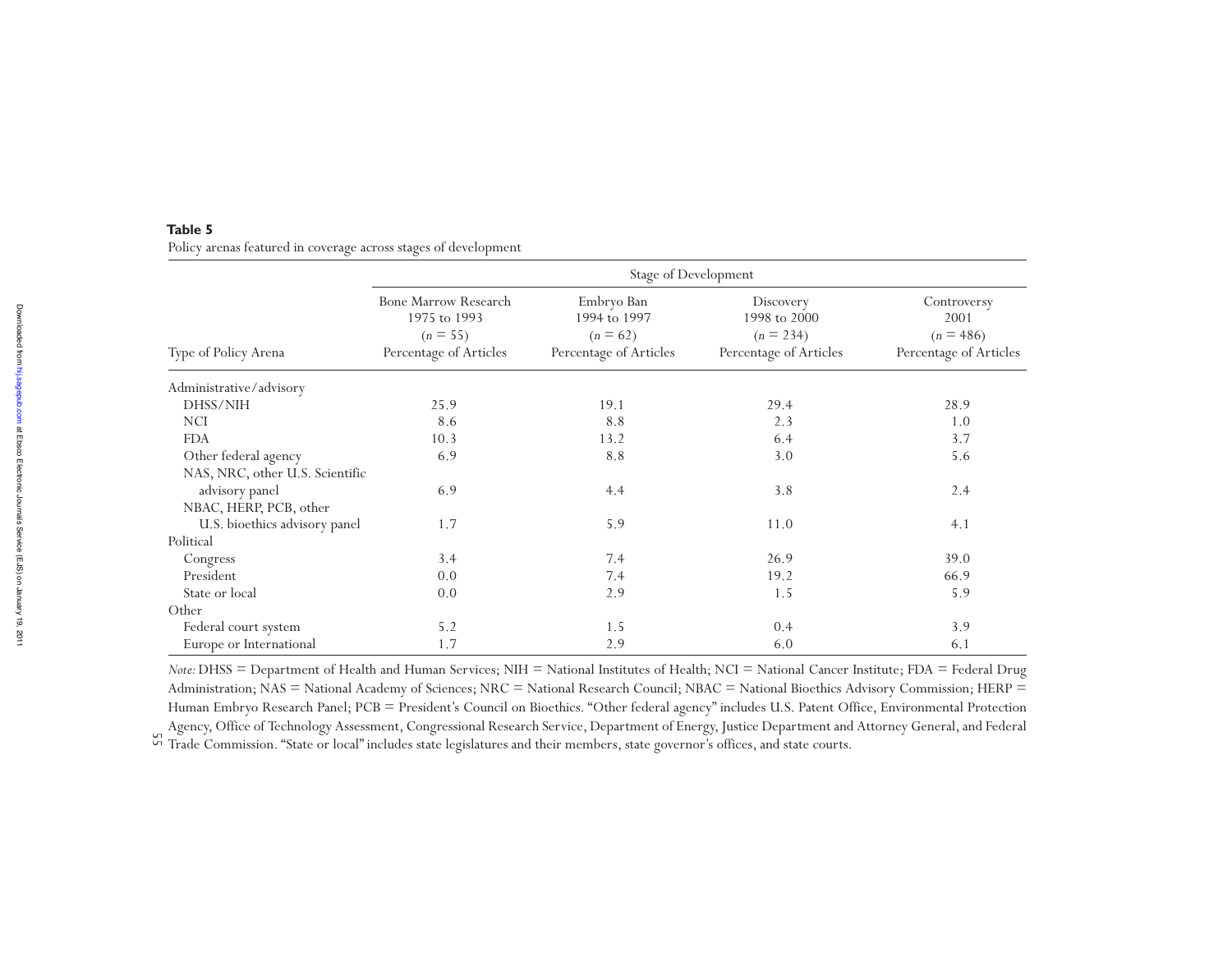| Table 5                                                         |  |  |
|-----------------------------------------------------------------|--|--|
| Policy arenas featured in coverage across stages of development |  |  |

|                                 | Stage of Development                                                                |                                                                    |                                                                    |                                                              |  |  |  |  |
|---------------------------------|-------------------------------------------------------------------------------------|--------------------------------------------------------------------|--------------------------------------------------------------------|--------------------------------------------------------------|--|--|--|--|
| Type of Policy Arena            | <b>Bone Marrow Research</b><br>1975 to 1993<br>$(n = 55)$<br>Percentage of Articles | Embryo Ban<br>1994 to 1997<br>$(n = 62)$<br>Percentage of Articles | Discovery<br>1998 to 2000<br>$(n = 234)$<br>Percentage of Articles | Controversy<br>2001<br>$(n = 486)$<br>Percentage of Articles |  |  |  |  |
| Administrative/advisory         |                                                                                     |                                                                    |                                                                    |                                                              |  |  |  |  |
| DHSS/NIH                        | 25.9                                                                                | 19.1                                                               | 29.4                                                               | 28.9                                                         |  |  |  |  |
| <b>NCI</b>                      | 8.6                                                                                 | 8.8                                                                | 2.3                                                                | 1.0                                                          |  |  |  |  |
| <b>FDA</b>                      | 10.3                                                                                | 13.2                                                               | 6.4                                                                | 3.7                                                          |  |  |  |  |
| Other federal agency            | 6.9                                                                                 | 8.8                                                                | 3.0                                                                | 5.6                                                          |  |  |  |  |
| NAS, NRC, other U.S. Scientific |                                                                                     |                                                                    |                                                                    |                                                              |  |  |  |  |
| advisory panel                  | 6.9                                                                                 | 4.4                                                                | 3.8                                                                | 2.4                                                          |  |  |  |  |
| NBAC, HERP, PCB, other          |                                                                                     |                                                                    |                                                                    |                                                              |  |  |  |  |
| U.S. bioethics advisory panel   | 1.7                                                                                 | 5.9                                                                | 11.0                                                               | 4.1                                                          |  |  |  |  |
| Political                       |                                                                                     |                                                                    |                                                                    |                                                              |  |  |  |  |
| Congress                        | 3.4                                                                                 | 7.4                                                                | 26.9                                                               | 39.0                                                         |  |  |  |  |
| President                       | 0.0                                                                                 | 7.4                                                                | 19.2                                                               | 66.9                                                         |  |  |  |  |
| State or local                  | 0.0                                                                                 | 2.9                                                                | 1.5                                                                | 5.9                                                          |  |  |  |  |
| Other                           |                                                                                     |                                                                    |                                                                    |                                                              |  |  |  |  |
| Federal court system            | 5.2                                                                                 | 1.5                                                                | 0.4                                                                | 3.9                                                          |  |  |  |  |
| Europe or International         | 1.7                                                                                 | 2.9                                                                | 6.0                                                                | 6.1                                                          |  |  |  |  |

Agency, Office of Technology Assessment, Congressional Research Service, Department of Energy, Justice Department and Attorney General, and Federal<br>Trade Commission. "State or local" includes atate legislatures and their m *Note:*DHSS = Department of Health and Human Services; NIH = National Institutes of Health; NCI = National Cancer Institute; FDA = Federal Drug Administration; NAS = National Academy of Sciences; NRC = National Research Council; NBAC = National Bioethics Advisory Commission; HERP = Human Embryo Research Panel; PCB = President's Council on Bioethics. "Other federal agency" includes U.S. Patent Office, Environmental Protection Trade Commission. "State or local" includes state legislatures and their members, state governor's offices, and state courts.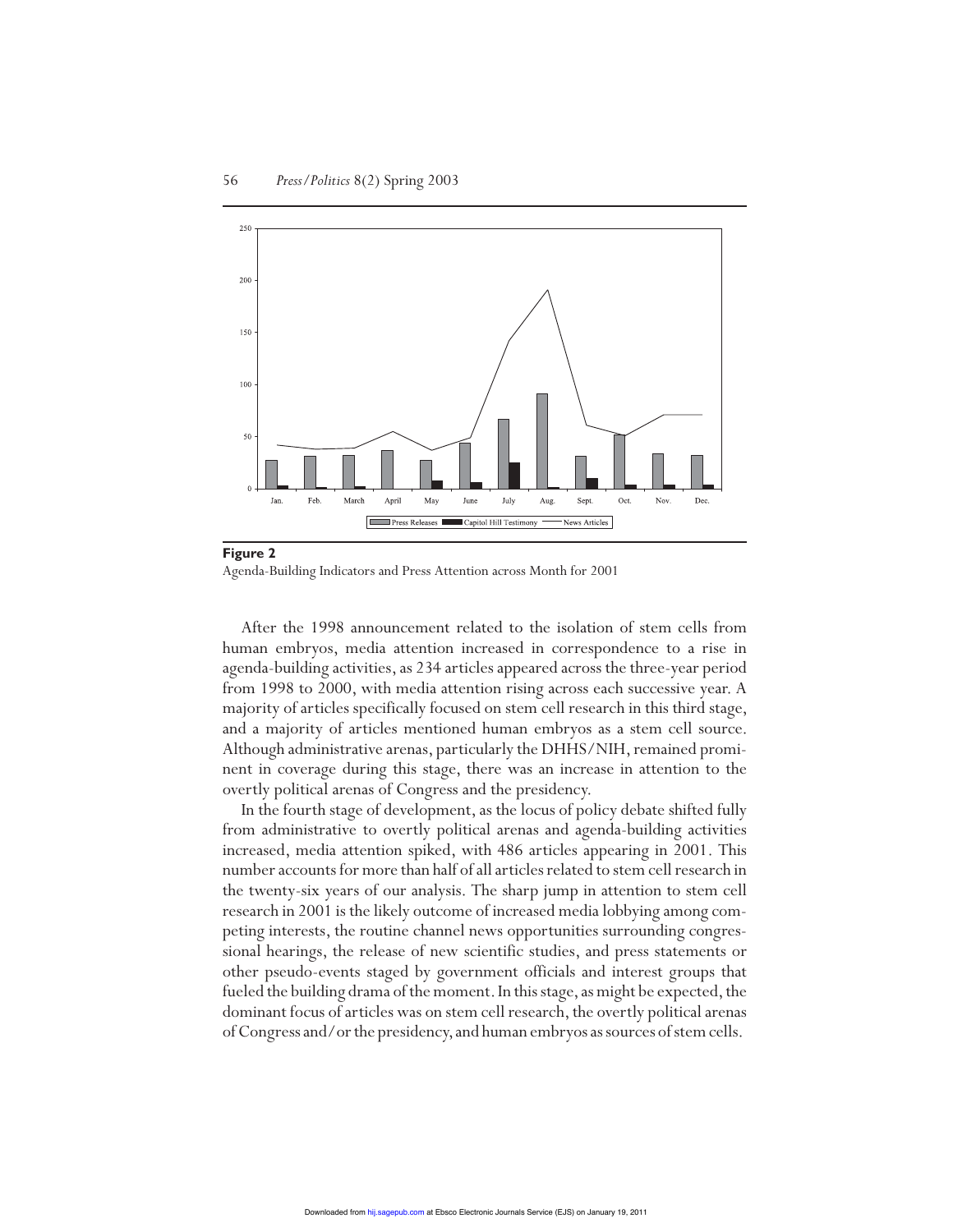

#### **Figure 2**

Agenda-Building Indicators and Press Attention across Month for 2001

After the 1998 announcement related to the isolation of stem cells from human embryos, media attention increased in correspondence to a rise in agenda-building activities, as 234 articles appeared across the three-year period from 1998 to 2000, with media attention rising across each successive year. A majority of articles specifically focused on stem cell research in this third stage, and a majority of articles mentioned human embryos as a stem cell source. Although administrative arenas, particularly the DHHS/NIH, remained prominent in coverage during this stage, there was an increase in attention to the overtly political arenas of Congress and the presidency.

In the fourth stage of development, as the locus of policy debate shifted fully from administrative to overtly political arenas and agenda-building activities increased, media attention spiked, with 486 articles appearing in 2001. This number accounts for more than half of all articles related to stem cell research in the twenty-six years of our analysis. The sharp jump in attention to stem cell research in 2001 is the likely outcome of increased media lobbying among competing interests, the routine channel news opportunities surrounding congressional hearings, the release of new scientific studies, and press statements or other pseudo-events staged by government officials and interest groups that fueled the building drama of the moment. In this stage, as might be expected, the dominant focus of articles was on stem cell research, the overtly political arenas of Congress and/or the presidency,and human embryos as sources of stem cells.

Downloaded from [hij.sagepub.com](http://hij.sagepub.com/) at Ebsco Electronic Journals Service (EJS) on January 19, 2011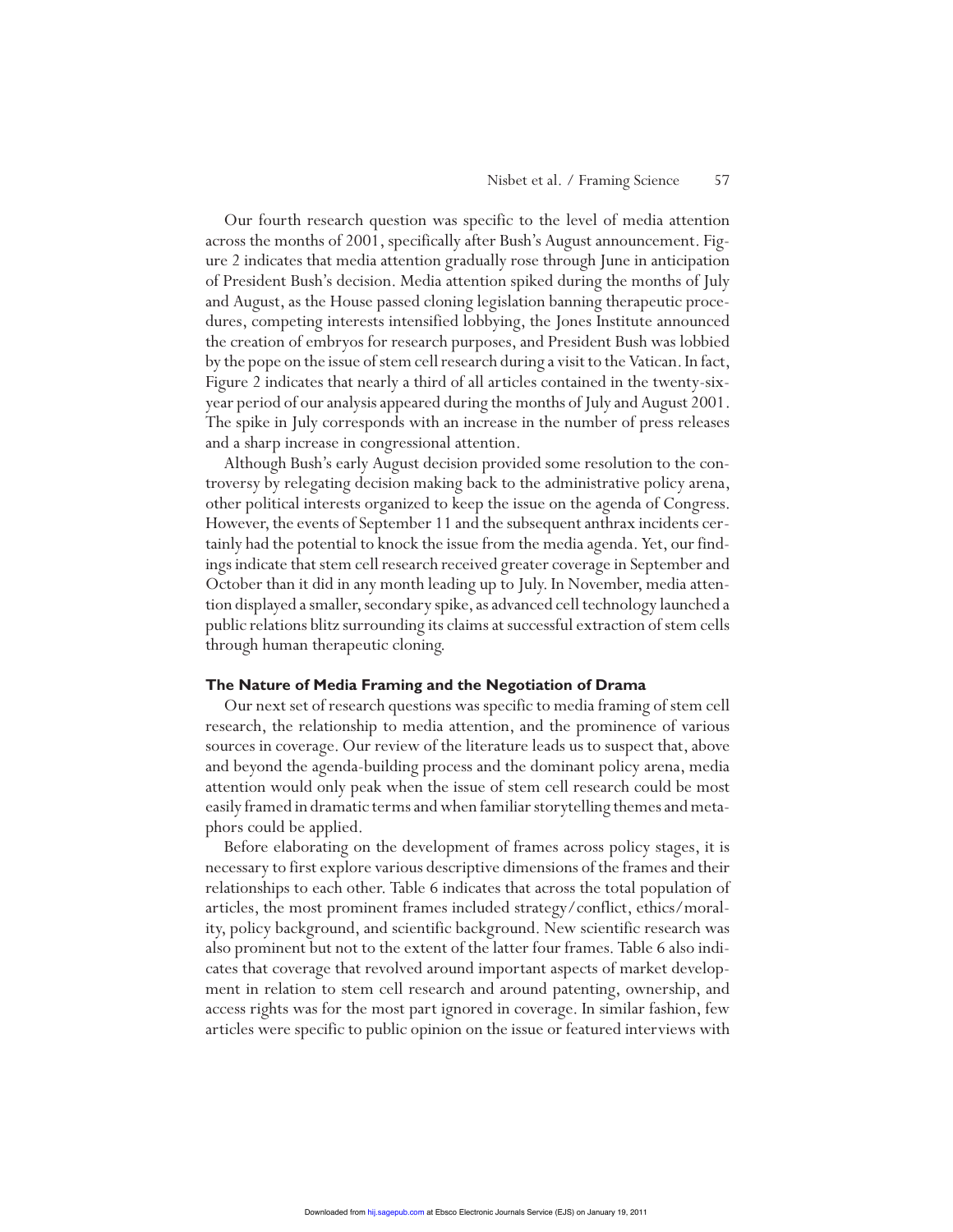Our fourth research question was specific to the level of media attention across the months of 2001, specifically after Bush's August announcement. Figure 2 indicates that media attention gradually rose through June in anticipation of President Bush's decision. Media attention spiked during the months of July and August, as the House passed cloning legislation banning therapeutic procedures, competing interests intensified lobbying, the Jones Institute announced the creation of embryos for research purposes, and President Bush was lobbied by the pope on the issue of stem cell research during a visit to the Vatican. In fact, Figure 2 indicates that nearly a third of all articles contained in the twenty-sixyear period of our analysis appeared during the months of July and August 2001. The spike in July corresponds with an increase in the number of press releases and a sharp increase in congressional attention.

Although Bush's early August decision provided some resolution to the controversy by relegating decision making back to the administrative policy arena, other political interests organized to keep the issue on the agenda of Congress. However, the events of September 11 and the subsequent anthrax incidents certainly had the potential to knock the issue from the media agenda. Yet, our findings indicate that stem cell research received greater coverage in September and October than it did in any month leading up to July. In November, media attention displayed a smaller, secondary spike, as advanced cell technology launched a public relations blitz surrounding its claims at successful extraction of stem cells through human therapeutic cloning.

#### **The Nature of Media Framing and the Negotiation of Drama**

Our next set of research questions was specific to media framing of stem cell research, the relationship to media attention, and the prominence of various sources in coverage. Our review of the literature leads us to suspect that, above and beyond the agenda-building process and the dominant policy arena, media attention would only peak when the issue of stem cell research could be most easily framed in dramatic terms and when familiar storytelling themes and metaphors could be applied.

Before elaborating on the development of frames across policy stages, it is necessary to first explore various descriptive dimensions of the frames and their relationships to each other. Table 6 indicates that across the total population of articles, the most prominent frames included strategy/conflict, ethics/morality, policy background, and scientific background. New scientific research was also prominent but not to the extent of the latter four frames. Table 6 also indicates that coverage that revolved around important aspects of market development in relation to stem cell research and around patenting, ownership, and access rights was for the most part ignored in coverage. In similar fashion, few articles were specific to public opinion on the issue or featured interviews with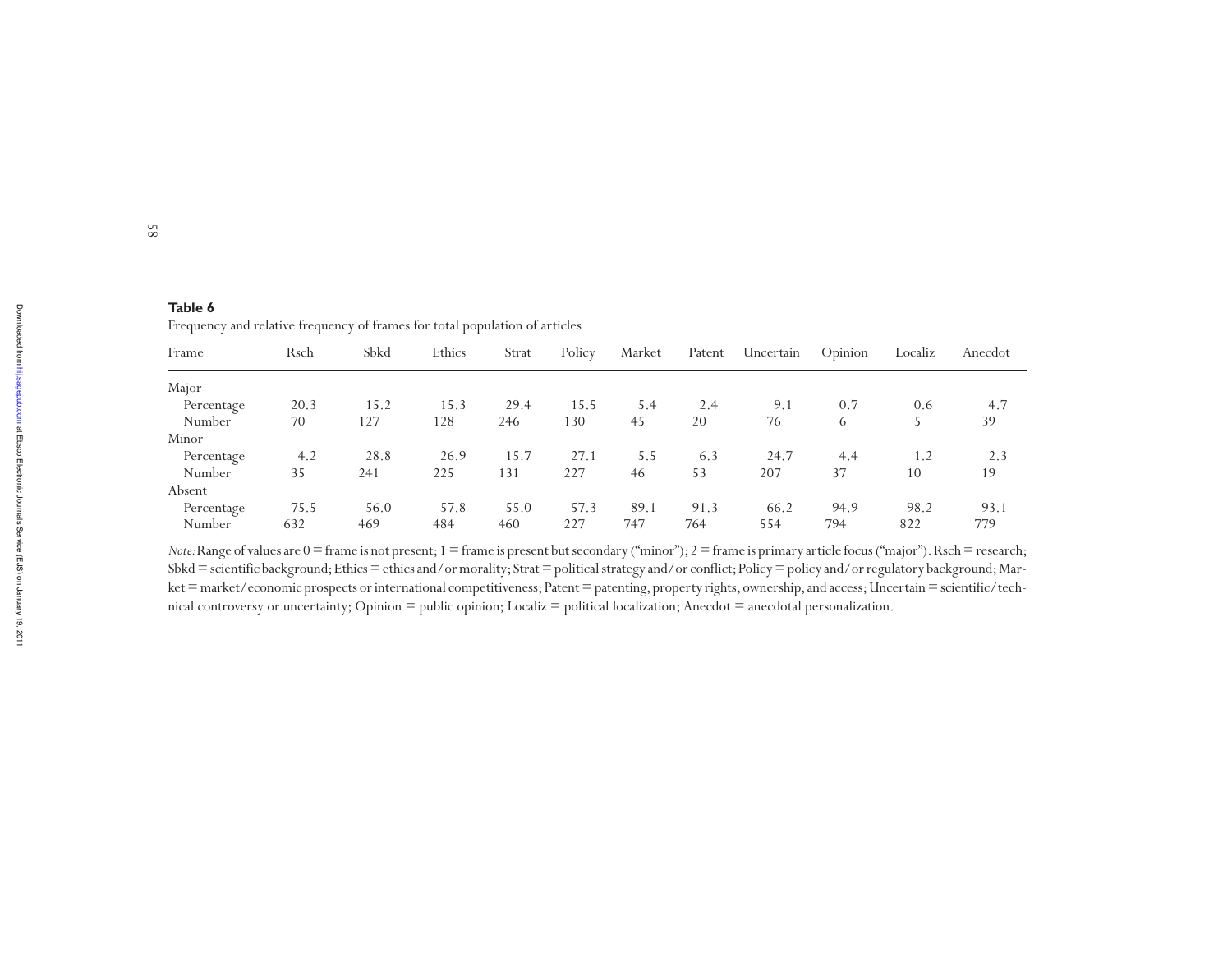| Table 6 |                                                                             |  |  |
|---------|-----------------------------------------------------------------------------|--|--|
|         | Frequency and relative frequency of frames for total population of articles |  |  |

| Frame      | Rsch | Sbkd | Ethics | Strat | Policy | Market | Patent | Uncertain | Opinion | Localiz | Anecdot |
|------------|------|------|--------|-------|--------|--------|--------|-----------|---------|---------|---------|
| Major      |      |      |        |       |        |        |        |           |         |         |         |
| Percentage | 20.3 | 15.2 | 15.3   | 29.4  | 15.5   | 5.4    | 2.4    | 9.1       | 0.7     | 0.6     | 4.7     |
| Number     | 70   | 127  | 128    | 246   | 130    | 45     | 20     | 76        | 6       |         | 39      |
| Minor      |      |      |        |       |        |        |        |           |         |         |         |
| Percentage | 4.2  | 28.8 | 26.9   | 15.7  | 27.1   | 5.5    | 6.3    | 24.7      | 4.4     | 1.2     | 2.3     |
| Number     | 35   | 241  | 225    | 131   | 227    | 46     | 53     | 207       | 37      | 10      | 19      |
| Absent     |      |      |        |       |        |        |        |           |         |         |         |
| Percentage | 75.5 | 56.0 | 57.8   | 55.0  | 57.3   | 89.1   | 91.3   | 66.2      | 94.9    | 98.2    | 93.1    |
| Number     | 632  | 469  | 484    | 460   | 227    | 747    | 764    | 554       | 794     | 822     | 779     |

*Note*:Range of values are  $0 =$  frame is not present; 1 = frame is present but secondary ("minor"); 2 = frame is primary article focus ("major"). Rsch = research; Sbkd = scientific background;Ethics = ethics and/or morality;Strat = political strategy and/or conflict;Policy = policy and/or regulatory background;Market = market/economic prospects or international competitiveness; Patent = patenting, property rights, ownership, and access; Uncertain = scientific/technical controversy or uncertainty; Opinion = public opinion; Localiz = political localization; Anecdot = anecdotal personalization.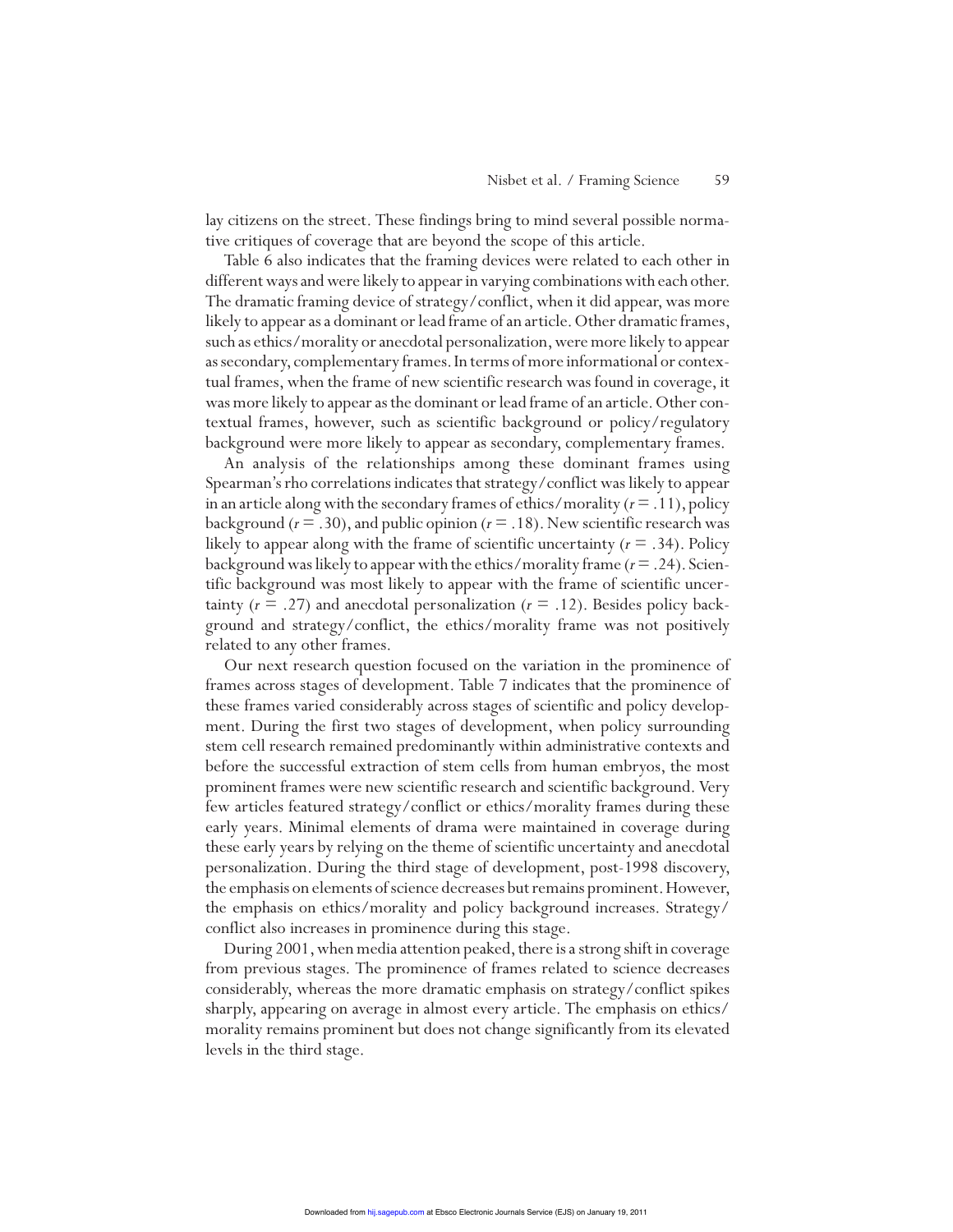lay citizens on the street. These findings bring to mind several possible normative critiques of coverage that are beyond the scope of this article.

Table 6 also indicates that the framing devices were related to each other in different ways and were likely to appear in varying combinations with each other. The dramatic framing device of strategy/conflict, when it did appear, was more likely to appear as a dominant or lead frame of an article. Other dramatic frames, such as ethics/morality or anecdotal personalization, were more likely to appear as secondary, complementary frames. In terms of more informational or contextual frames, when the frame of new scientific research was found in coverage, it was more likely to appear as the dominant or lead frame of an article. Other contextual frames, however, such as scientific background or policy/regulatory background were more likely to appear as secondary, complementary frames.

An analysis of the relationships among these dominant frames using Spearman's rho correlations indicates that strategy/conflict was likely to appear in an article along with the secondary frames of ethics/morality  $(r = .11)$ , policy background ( $r = .30$ ), and public opinion ( $r = .18$ ). New scientific research was likely to appear along with the frame of scientific uncertainty (*r* = .34). Policy background was likely to appear with the ethics/morality frame  $(r = .24)$ . Scientific background was most likely to appear with the frame of scientific uncertainty  $(r = .27)$  and anecdotal personalization  $(r = .12)$ . Besides policy background and strategy/conflict, the ethics/morality frame was not positively related to any other frames.

Our next research question focused on the variation in the prominence of frames across stages of development. Table 7 indicates that the prominence of these frames varied considerably across stages of scientific and policy development. During the first two stages of development, when policy surrounding stem cell research remained predominantly within administrative contexts and before the successful extraction of stem cells from human embryos, the most prominent frames were new scientific research and scientific background. Very few articles featured strategy/conflict or ethics/morality frames during these early years. Minimal elements of drama were maintained in coverage during these early years by relying on the theme of scientific uncertainty and anecdotal personalization. During the third stage of development, post-1998 discovery, the emphasis on elements of science decreases but remains prominent.However, the emphasis on ethics/morality and policy background increases. Strategy/ conflict also increases in prominence during this stage.

During 2001, when media attention peaked, there is a strong shift in coverage from previous stages. The prominence of frames related to science decreases considerably, whereas the more dramatic emphasis on strategy/conflict spikes sharply, appearing on average in almost every article. The emphasis on ethics/ morality remains prominent but does not change significantly from its elevated levels in the third stage.

Downloaded from [hij.sagepub.com](http://hij.sagepub.com/) at Ebsco Electronic Journals Service (EJS) on January 19, 2011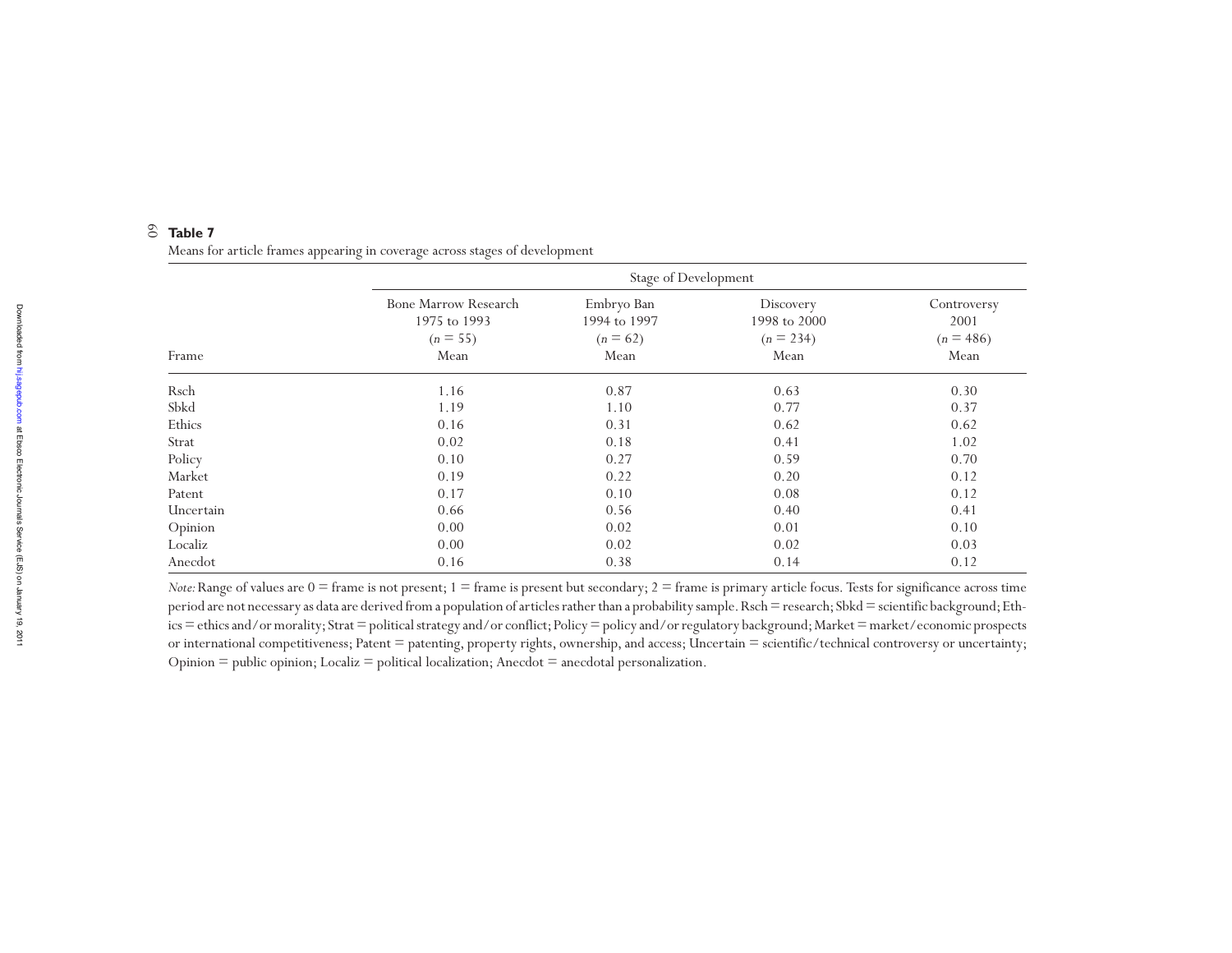# 60 **Table 7**

Means for article frames appearing in coverage across stages of development

|           |                                                                   | Stage of Development                             |                                                  |                                            |  |  |  |
|-----------|-------------------------------------------------------------------|--------------------------------------------------|--------------------------------------------------|--------------------------------------------|--|--|--|
| Frame     | <b>Bone Marrow Research</b><br>1975 to 1993<br>$(n = 55)$<br>Mean | Embryo Ban<br>1994 to 1997<br>$(n = 62)$<br>Mean | Discovery<br>1998 to 2000<br>$(n = 234)$<br>Mean | Controversy<br>2001<br>$(n = 486)$<br>Mean |  |  |  |
| Rsch      | 1.16                                                              | 0.87                                             | 0.63                                             | 0.30                                       |  |  |  |
| Sbkd      | 1.19                                                              | 1.10                                             | 0.77                                             | 0.37                                       |  |  |  |
| Ethics    | 0.16                                                              | 0.31                                             | 0.62                                             | 0.62                                       |  |  |  |
| Strat     | 0.02                                                              | 0.18                                             | 0.41                                             | 1.02                                       |  |  |  |
| Policy    | 0.10                                                              | 0.27                                             | 0.59                                             | 0.70                                       |  |  |  |
| Market    | 0.19                                                              | 0.22                                             | 0.20                                             | 0.12                                       |  |  |  |
| Patent    | 0.17                                                              | 0.10                                             | 0.08                                             | 0.12                                       |  |  |  |
| Uncertain | 0.66                                                              | 0.56                                             | 0.40                                             | 0.41                                       |  |  |  |
| Opinion   | 0.00                                                              | 0.02                                             | 0.01                                             | 0.10                                       |  |  |  |
| Localiz   | 0.00                                                              | 0.02                                             | 0.02                                             | 0.03                                       |  |  |  |
| Anecdot   | 0.16                                                              | 0.38                                             | 0.14                                             | 0.12                                       |  |  |  |

*Note:* Range of values are  $0 =$  frame is not present;  $1 =$  frame is present but secondary;  $2 =$  frame is primary article focus. Tests for significance across time period are not necessary as data are derived from a population of articles rather than a probability sample. Rsch = research; Sbkd = scientific background; Ethics = ethics and/or morality; Strat = political strategy and/or conflict; Policy = policy and/or regulatory background; Market = market/economic prospects or international competitiveness; Patent = patenting, property rights, ownership, and access; Uncertain = scientific/technical controversy or uncertainty;  $O$ pinion = public opinion; Localiz = political localization; Anecdot = anecdotal personalization.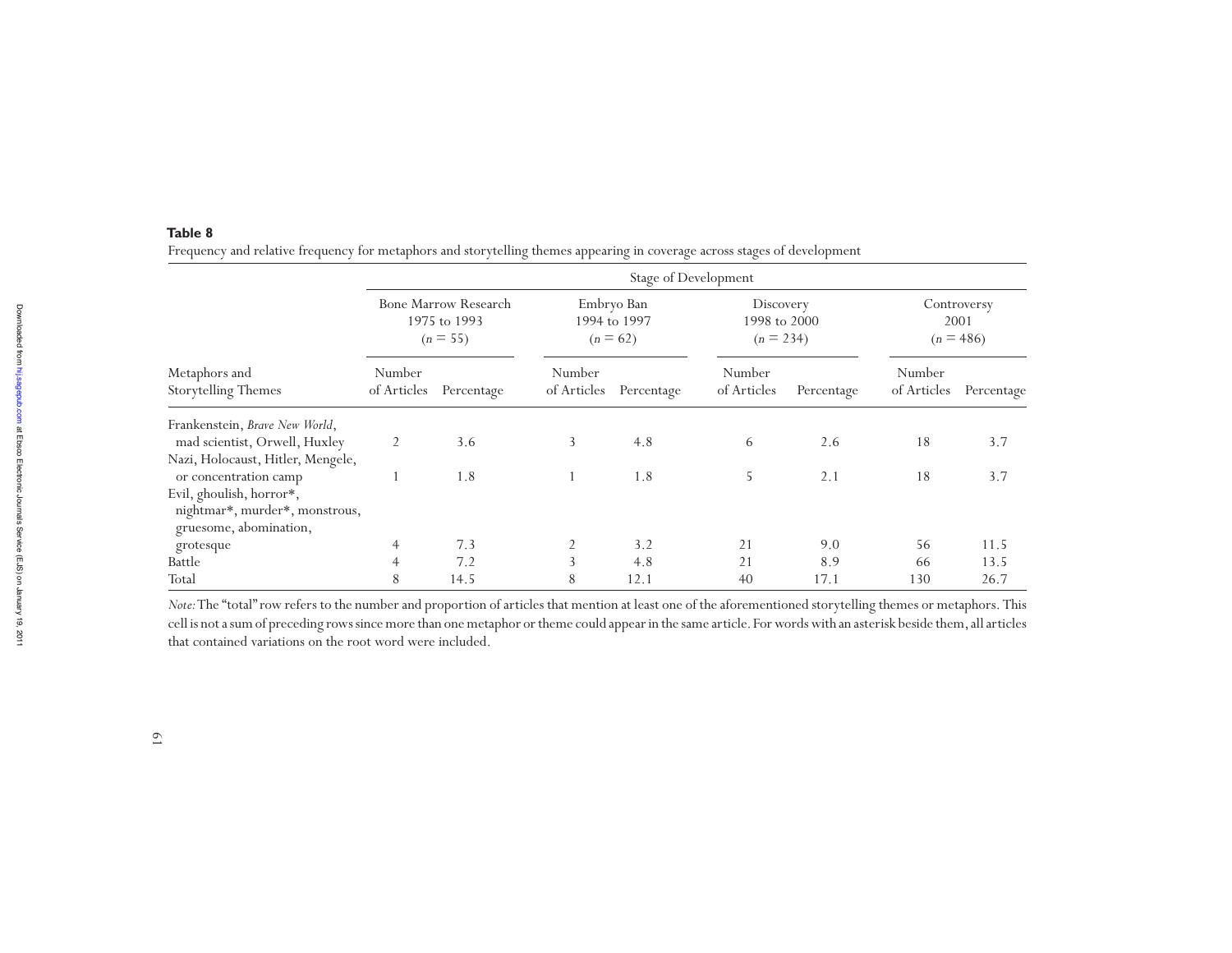#### **Table 8**

Frequency and relative frequency for metaphors and storytelling themes appearing in coverage across stages of development

|                                             | Stage of Development                                      |            |                                          |            |                                          |            |                                    |            |
|---------------------------------------------|-----------------------------------------------------------|------------|------------------------------------------|------------|------------------------------------------|------------|------------------------------------|------------|
|                                             | <b>Bone Marrow Research</b><br>1975 to 1993<br>$(n = 55)$ |            | Embryo Ban<br>1994 to 1997<br>$(n = 62)$ |            | Discovery<br>1998 to 2000<br>$(n = 234)$ |            | Controversy<br>2001<br>$(n = 486)$ |            |
| Metaphors and<br><b>Storytelling Themes</b> | Number<br>of Articles                                     | Percentage | Number<br>of Articles                    | Percentage | Number<br>of Articles                    | Percentage | Number<br>of Articles              | Percentage |
| Frankenstein, Brave New World,              |                                                           |            |                                          |            |                                          |            |                                    |            |
| mad scientist, Orwell, Huxley               | 2                                                         | 3.6        | 3                                        | 4.8        | 6                                        | 2.6        | 18                                 | 3.7        |
| Nazi, Holocaust, Hitler, Mengele,           |                                                           |            |                                          |            |                                          |            |                                    |            |
| or concentration camp                       |                                                           | 1.8        |                                          | 1.8        | 5                                        | 2.1        | 18                                 | 3.7        |
| Evil, ghoulish, horror*,                    |                                                           |            |                                          |            |                                          |            |                                    |            |
| nightmar*, murder*, monstrous,              |                                                           |            |                                          |            |                                          |            |                                    |            |
| gruesome, abomination,                      |                                                           |            |                                          |            |                                          |            |                                    |            |
| grotesque                                   | 4                                                         | 7.3        | 2                                        | 3.2        | 21                                       | 9.0        | 56                                 | 11.5       |
| Battle                                      | 4                                                         | 7.2        | 3                                        | 4.8        | 21                                       | 8.9        | 66                                 | 13.5       |
| Total                                       | 8                                                         | 14.5       | 8                                        | 12.1       | 40                                       | 17.1       | 130                                | 26.7       |

*Note:*The "total" row refers to the number and proportion of articles that mention at least one of the aforementioned storytelling themes or metaphors. This cell is not a sum of preceding rows since more than one metaphor or theme could appear in the same article. For words with an asterisk beside them, all articles that contained variations on the root word were included.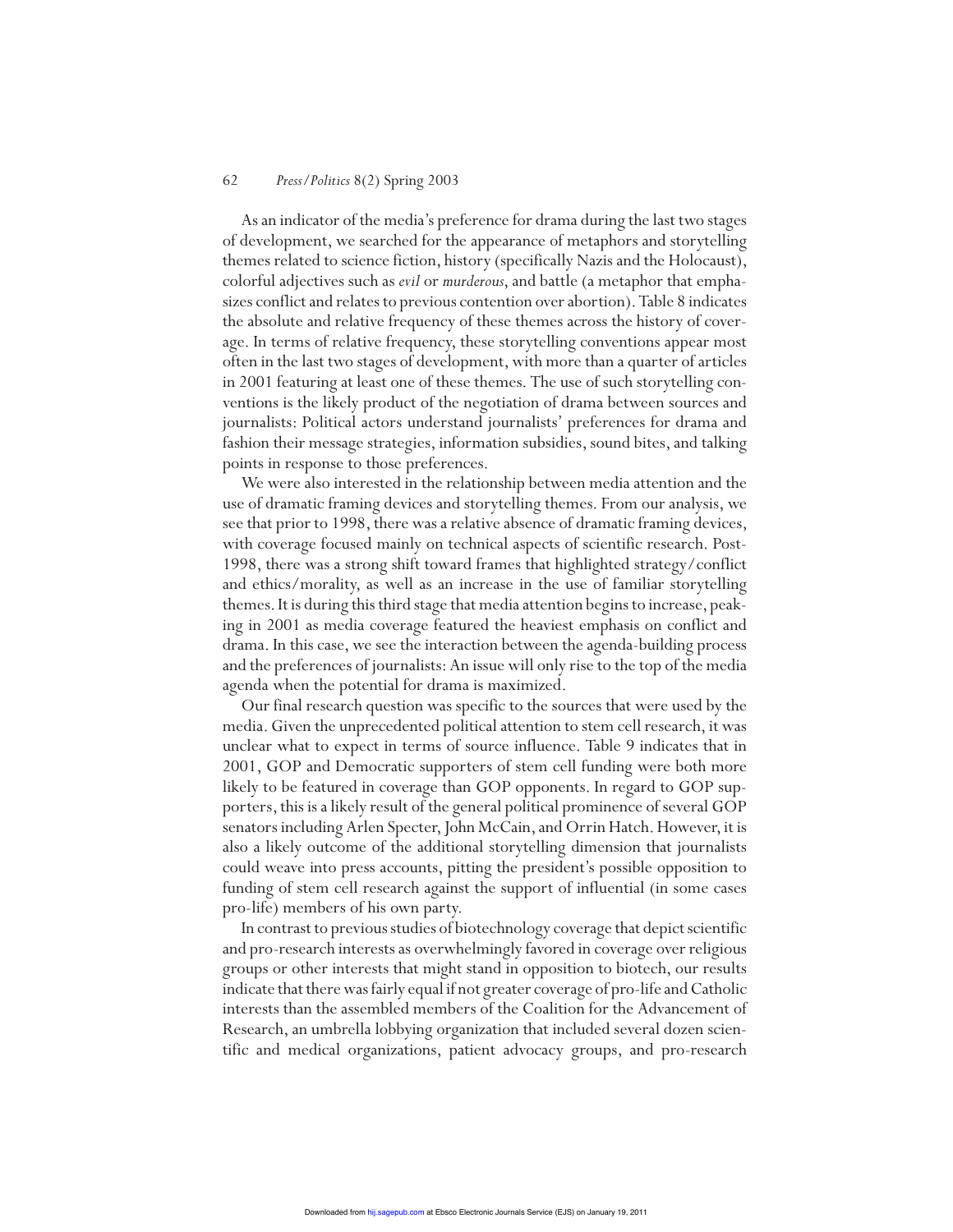As an indicator of the media's preference for drama during the last two stages of development, we searched for the appearance of metaphors and storytelling themes related to science fiction, history (specifically Nazis and the Holocaust), colorful adjectives such as *evil* or *murderous*, and battle (a metaphor that emphasizes conflict and relates to previous contention over abortion). Table 8 indicates the absolute and relative frequency of these themes across the history of coverage. In terms of relative frequency, these storytelling conventions appear most often in the last two stages of development, with more than a quarter of articles in 2001 featuring at least one of these themes. The use of such storytelling conventions is the likely product of the negotiation of drama between sources and journalists: Political actors understand journalists' preferences for drama and fashion their message strategies, information subsidies, sound bites, and talking points in response to those preferences.

We were also interested in the relationship between media attention and the use of dramatic framing devices and storytelling themes. From our analysis, we see that prior to 1998, there was a relative absence of dramatic framing devices, with coverage focused mainly on technical aspects of scientific research. Post-1998, there was a strong shift toward frames that highlighted strategy/conflict and ethics/morality, as well as an increase in the use of familiar storytelling themes. It is during this third stage that media attention begins to increase, peaking in 2001 as media coverage featured the heaviest emphasis on conflict and drama. In this case, we see the interaction between the agenda-building process and the preferences of journalists: An issue will only rise to the top of the media agenda when the potential for drama is maximized.

Our final research question was specific to the sources that were used by the media. Given the unprecedented political attention to stem cell research, it was unclear what to expect in terms of source influence. Table 9 indicates that in 2001, GOP and Democratic supporters of stem cell funding were both more likely to be featured in coverage than GOP opponents. In regard to GOP supporters, this is a likely result of the general political prominence of several GOP senators including Arlen Specter, John McCain, and Orrin Hatch. However, it is also a likely outcome of the additional storytelling dimension that journalists could weave into press accounts, pitting the president's possible opposition to funding of stem cell research against the support of influential (in some cases pro-life) members of his own party.

In contrast to previous studies of biotechnology coverage that depict scientific and pro-research interests as overwhelmingly favored in coverage over religious groups or other interests that might stand in opposition to biotech, our results indicate that there was fairly equal if not greater coverage of pro-life and Catholic interests than the assembled members of the Coalition for the Advancement of Research, an umbrella lobbying organization that included several dozen scientific and medical organizations, patient advocacy groups, and pro-research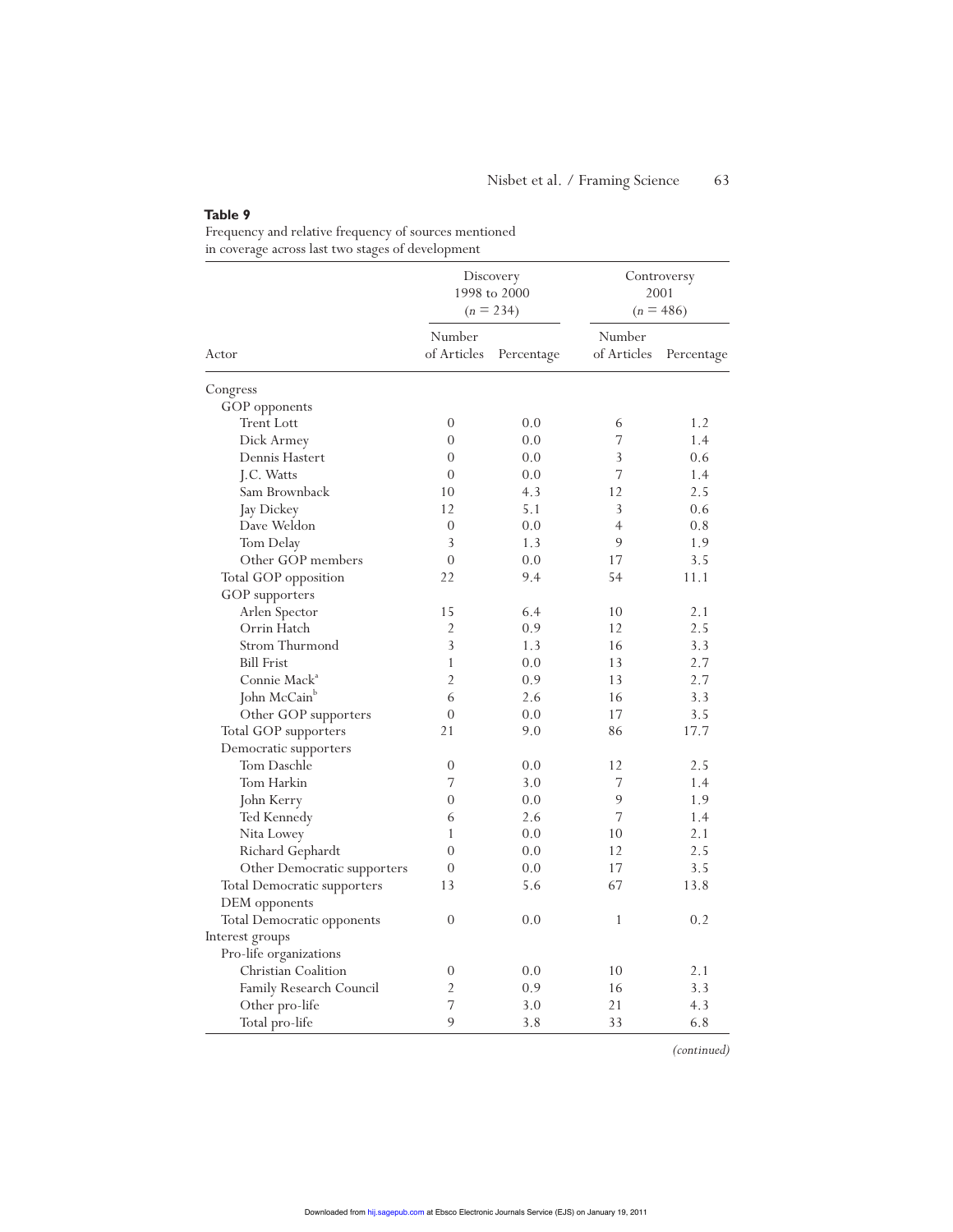# **Table 9**

Frequency and relative frequency of sources mentioned

in coverage across last two stages of development

|                             |                       | Discovery<br>1998 to 2000<br>$(n = 234)$ | Controversy<br>2001<br>$(n = 486)$ |            |
|-----------------------------|-----------------------|------------------------------------------|------------------------------------|------------|
| Actor                       | Number<br>of Articles | Percentage                               | Number<br>of Articles              | Percentage |
| Congress                    |                       |                                          |                                    |            |
| GOP opponents               |                       |                                          |                                    |            |
| <b>Trent Lott</b>           | $\boldsymbol{0}$      | 0.0                                      | 6                                  | 1.2        |
| Dick Armey                  | 0                     | 0.0                                      | 7                                  | 1.4        |
| Dennis Hastert              | 0                     | 0.0                                      | 3                                  | 0.6        |
| J.C. Watts                  | $\overline{0}$        | 0.0                                      | 7                                  | 1.4        |
| Sam Brownback               | 10                    | 4.3                                      | 12                                 | 2.5        |
| Jay Dickey                  | 12                    | 5.1                                      | 3                                  | 0.6        |
| Dave Weldon                 | $\overline{0}$        | 0.0                                      | $\overline{4}$                     | 0.8        |
| Tom Delay                   | 3                     | 1.3                                      | 9                                  | 1.9        |
| Other GOP members           | $\overline{0}$        | 0.0                                      | 17                                 | 3.5        |
| Total GOP opposition        | 22                    | 9.4                                      | 54                                 | 11.1       |
| GOP supporters              |                       |                                          |                                    |            |
| Arlen Spector               | 15                    | 6.4                                      | 10                                 | 2.1        |
| Orrin Hatch                 | 2                     | 0.9                                      | 12                                 | 2.5        |
| Strom Thurmond              | 3                     | 1.3                                      | 16                                 | 3.3        |
| <b>Bill Frist</b>           | $\mathbf{1}$          | 0.0                                      | 13                                 | 2.7        |
| Connie Mack <sup>a</sup>    | $\overline{2}$        | 0.9                                      | 13                                 | 2.7        |
| John McCain <sup>b</sup>    | 6                     | 2.6                                      | 16                                 | 3.3        |
| Other GOP supporters        | 0                     | 0.0                                      | 17                                 | 3.5        |
| Total GOP supporters        | 21                    | 9.0                                      | 86                                 | 17.7       |
| Democratic supporters       |                       |                                          |                                    |            |
| Tom Daschle                 | $\overline{0}$        | 0.0                                      | 12                                 | 2.5        |
| Tom Harkin                  | 7                     | 3.0                                      | 7                                  | 1.4        |
| John Kerry                  | 0                     | 0.0                                      | 9                                  | 1.9        |
| Ted Kennedy                 | 6                     | 2.6                                      | 7                                  | 1.4        |
| Nita Lowey                  | 1                     | 0.0                                      | 10                                 | 2.1        |
| Richard Gephardt            | $\Omega$              | 0.0                                      | 12                                 | 2.5        |
| Other Democratic supporters | 0                     | 0.0                                      | 17                                 | 3.5        |
| Total Democratic supporters | 13                    | 5.6                                      | 67                                 | 13.8       |
| DEM opponents               |                       |                                          |                                    |            |
| Total Democratic opponents  | 0                     | 0.0                                      | 1                                  | 0.2        |
| Interest groups             |                       |                                          |                                    |            |
| Pro-life organizations      |                       |                                          |                                    |            |
| Christian Coalition         | 0                     | 0.0                                      | 10                                 | 2.1        |
| Family Research Council     | $\overline{2}$        | 0.9                                      | 16                                 | 3.3        |
| Other pro-life              | 7                     | 3.0                                      | 21                                 | 4.3        |
| Total pro-life              | 9                     | 3.8                                      | 33                                 | 6.8        |

*(continued)*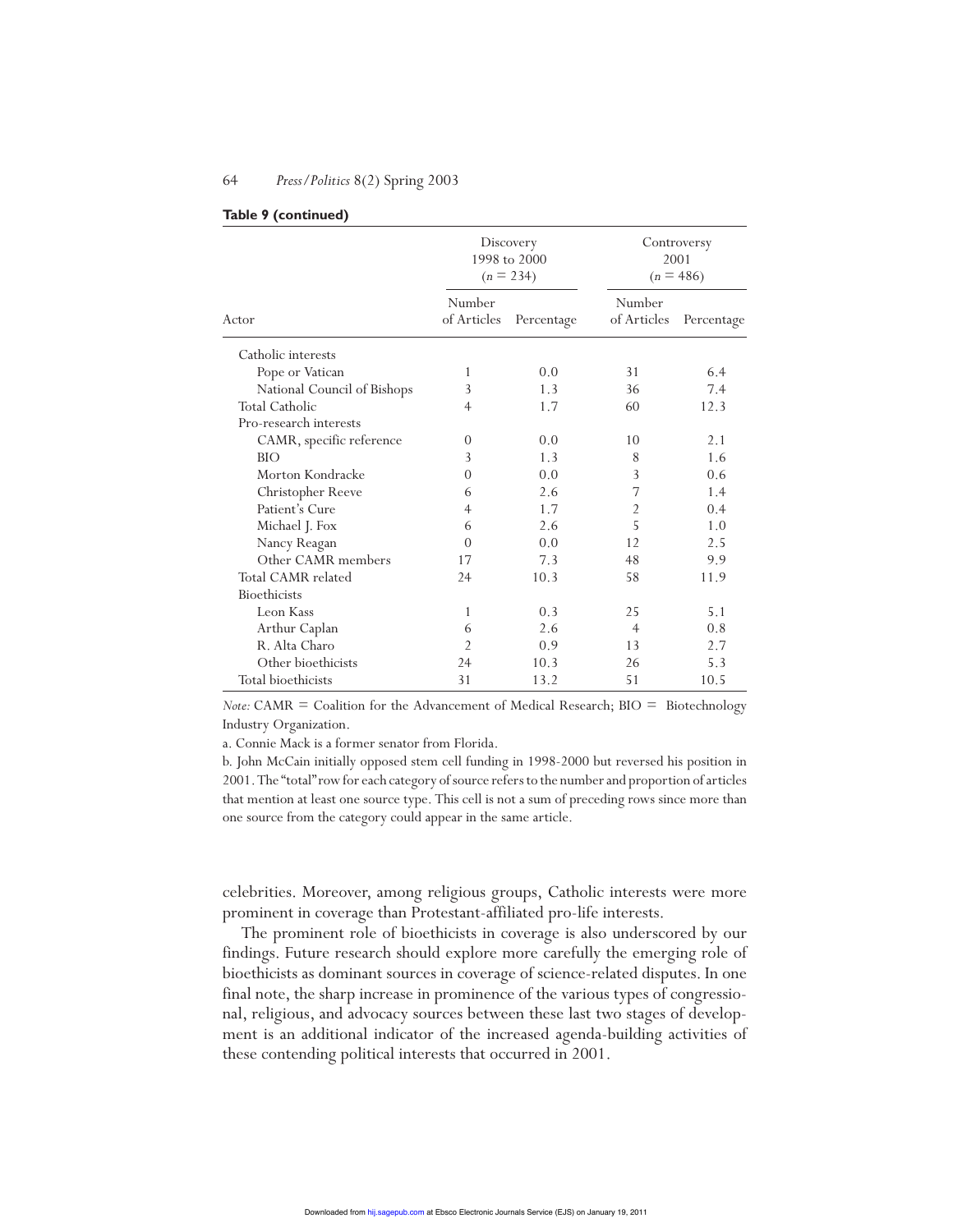|                             |                          | Discovery<br>1998 to 2000<br>$(n = 234)$ | Controversy<br>2001<br>$(n = 486)$ |            |
|-----------------------------|--------------------------|------------------------------------------|------------------------------------|------------|
| Actor                       | Number<br>of Articles    | Percentage                               | Number<br>of Articles              | Percentage |
| Catholic interests          |                          |                                          |                                    |            |
| Pope or Vatican             | 1                        | 0.0                                      | 31                                 | 6.4        |
| National Council of Bishops | 3                        | 1.3                                      | 36                                 | 7.4        |
| <b>Total Catholic</b>       | $\overline{4}$           | 1.7                                      | 60                                 | 12.3       |
| Pro-research interests      |                          |                                          |                                    |            |
| CAMR, specific reference    | $\Omega$                 | 0.0                                      | 10                                 | 2.1        |
| BIO                         | 3                        | 1.3                                      | 8                                  | 1.6        |
| Morton Kondracke            | $\Omega$                 | 0.0                                      | 3                                  | 0.6        |
| Christopher Reeve           | 6                        | 2.6                                      | 7                                  | 1.4        |
| Patient's Cure              | $\overline{4}$           | 1.7                                      | 2                                  | 0.4        |
| Michael J. Fox              | 6                        | 2.6                                      | 5                                  | 1.0        |
| Nancy Reagan                | $\Omega$                 | 0.0                                      | 12                                 | 2.5        |
| Other CAMR members          | 17                       | 7.3                                      | 48                                 | 9.9        |
| <b>Total CAMR related</b>   | 24                       | 10.3                                     | 58                                 | 11.9       |
| Bioethicists                |                          |                                          |                                    |            |
| Leon Kass                   | 1                        | 0.3                                      | 25                                 | 5.1        |
| Arthur Caplan               | 6                        | 2.6                                      | $\overline{4}$                     | 0.8        |
| R. Alta Charo               | $\overline{\mathcal{L}}$ | 0.9                                      | 13                                 | 2.7        |
| Other bioethicists          | 24                       | 10.3                                     | 26                                 | 5.3        |
| Total bioethicists          | 31                       | 13.2                                     | 51                                 | 10.5       |

*Note:* CAMR = Coalition for the Advancement of Medical Research; BIO = Biotechnology Industry Organization.

a. Connie Mack is a former senator from Florida.

b. John McCain initially opposed stem cell funding in 1998-2000 but reversed his position in 2001.The "total"row for each category of source refers to the number and proportion of articles that mention at least one source type. This cell is not a sum of preceding rows since more than one source from the category could appear in the same article.

celebrities. Moreover, among religious groups, Catholic interests were more prominent in coverage than Protestant-affiliated pro-life interests.

The prominent role of bioethicists in coverage is also underscored by our findings. Future research should explore more carefully the emerging role of bioethicists as dominant sources in coverage of science-related disputes. In one final note, the sharp increase in prominence of the various types of congressional, religious, and advocacy sources between these last two stages of development is an additional indicator of the increased agenda-building activities of these contending political interests that occurred in 2001.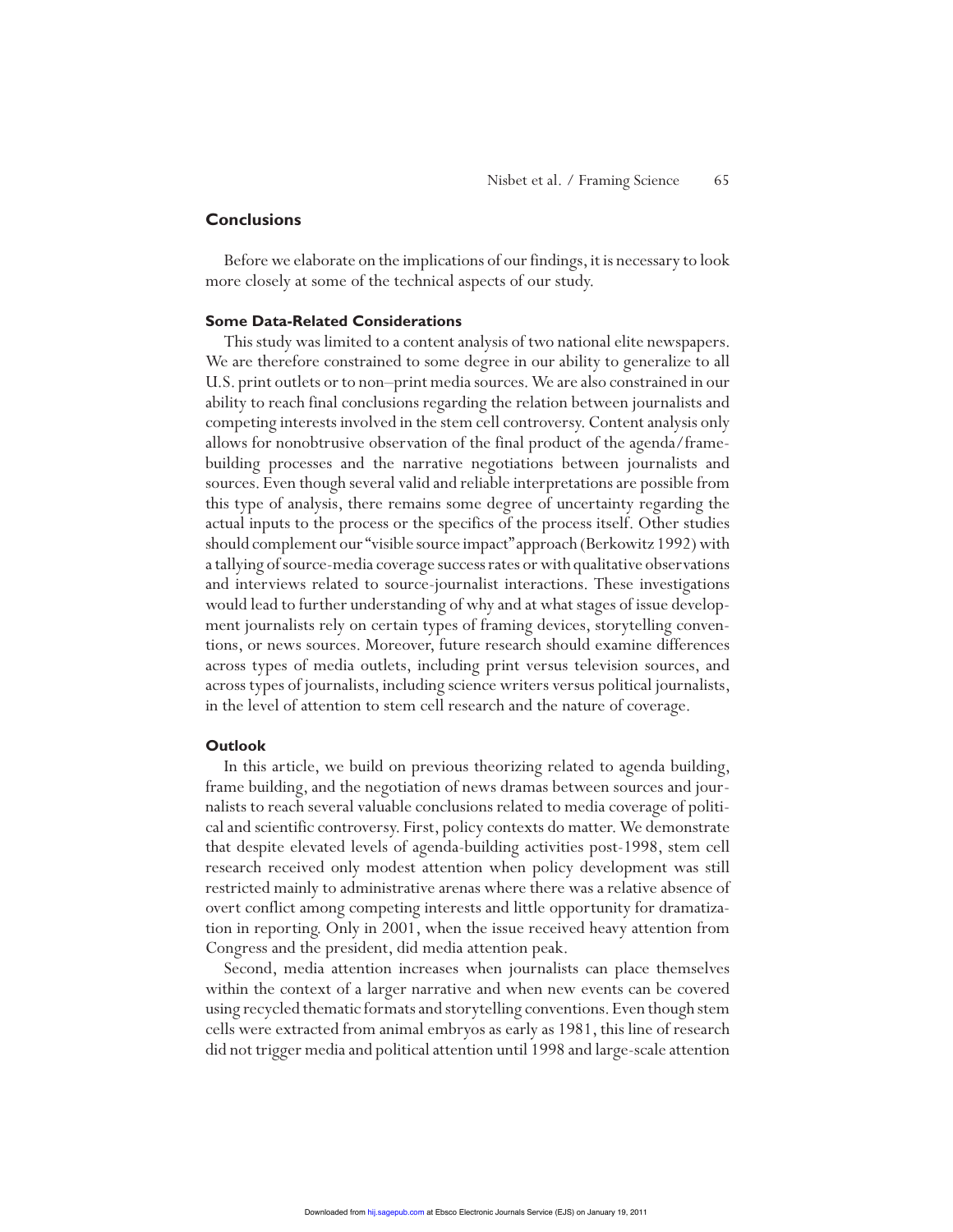# **Conclusions**

Before we elaborate on the implications of our findings, it is necessary to look more closely at some of the technical aspects of our study.

#### **Some Data-Related Considerations**

This study was limited to a content analysis of two national elite newspapers. We are therefore constrained to some degree in our ability to generalize to all U.S. print outlets or to non–print media sources. We are also constrained in our ability to reach final conclusions regarding the relation between journalists and competing interests involved in the stem cell controversy. Content analysis only allows for nonobtrusive observation of the final product of the agenda/framebuilding processes and the narrative negotiations between journalists and sources. Even though several valid and reliable interpretations are possible from this type of analysis, there remains some degree of uncertainty regarding the actual inputs to the process or the specifics of the process itself. Other studies should complement our "visible source impact"approach (Berkowitz 1992) with a tallying of source-media coverage success rates or with qualitative observations and interviews related to source-journalist interactions. These investigations would lead to further understanding of why and at what stages of issue development journalists rely on certain types of framing devices, storytelling conventions, or news sources. Moreover, future research should examine differences across types of media outlets, including print versus television sources, and across types of journalists, including science writers versus political journalists, in the level of attention to stem cell research and the nature of coverage.

#### **Outlook**

In this article, we build on previous theorizing related to agenda building, frame building, and the negotiation of news dramas between sources and journalists to reach several valuable conclusions related to media coverage of political and scientific controversy. First, policy contexts do matter. We demonstrate that despite elevated levels of agenda-building activities post-1998, stem cell research received only modest attention when policy development was still restricted mainly to administrative arenas where there was a relative absence of overt conflict among competing interests and little opportunity for dramatization in reporting. Only in 2001, when the issue received heavy attention from Congress and the president, did media attention peak.

Second, media attention increases when journalists can place themselves within the context of a larger narrative and when new events can be covered using recycled thematic formats and storytelling conventions.Even though stem cells were extracted from animal embryos as early as 1981, this line of research did not trigger media and political attention until 1998 and large-scale attention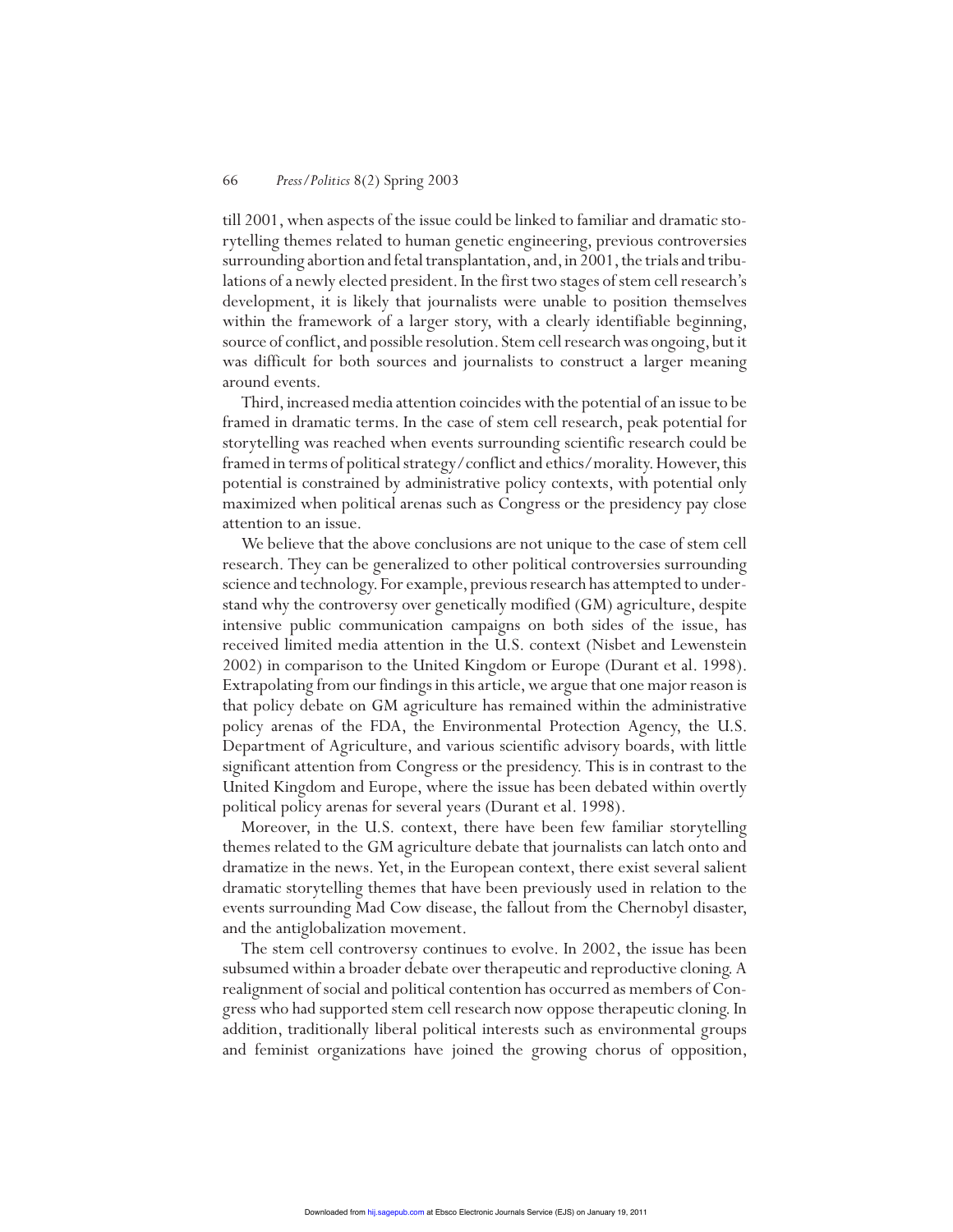till 2001, when aspects of the issue could be linked to familiar and dramatic storytelling themes related to human genetic engineering, previous controversies surrounding abortion and fetal transplantation, and, in 2001, the trials and tribulations of a newly elected president. In the first two stages of stem cell research's development, it is likely that journalists were unable to position themselves within the framework of a larger story, with a clearly identifiable beginning, source of conflict, and possible resolution. Stem cell research was ongoing, but it was difficult for both sources and journalists to construct a larger meaning around events.

Third, increased media attention coincides with the potential of an issue to be framed in dramatic terms. In the case of stem cell research, peak potential for storytelling was reached when events surrounding scientific research could be framed in terms of political strategy/conflict and ethics/morality. However, this potential is constrained by administrative policy contexts, with potential only maximized when political arenas such as Congress or the presidency pay close attention to an issue.

We believe that the above conclusions are not unique to the case of stem cell research. They can be generalized to other political controversies surrounding science and technology. For example, previous research has attempted to understand why the controversy over genetically modified (GM) agriculture, despite intensive public communication campaigns on both sides of the issue, has received limited media attention in the U.S. context (Nisbet and Lewenstein 2002) in comparison to the United Kingdom or Europe (Durant et al. 1998). Extrapolating from our findings in this article, we argue that one major reason is that policy debate on GM agriculture has remained within the administrative policy arenas of the FDA, the Environmental Protection Agency, the U.S. Department of Agriculture, and various scientific advisory boards, with little significant attention from Congress or the presidency. This is in contrast to the United Kingdom and Europe, where the issue has been debated within overtly political policy arenas for several years (Durant et al. 1998).

Moreover, in the U.S. context, there have been few familiar storytelling themes related to the GM agriculture debate that journalists can latch onto and dramatize in the news. Yet, in the European context, there exist several salient dramatic storytelling themes that have been previously used in relation to the events surrounding Mad Cow disease, the fallout from the Chernobyl disaster, and the antiglobalization movement.

The stem cell controversy continues to evolve. In 2002, the issue has been subsumed within a broader debate over therapeutic and reproductive cloning. A realignment of social and political contention has occurred as members of Congress who had supported stem cell research now oppose therapeutic cloning. In addition, traditionally liberal political interests such as environmental groups and feminist organizations have joined the growing chorus of opposition,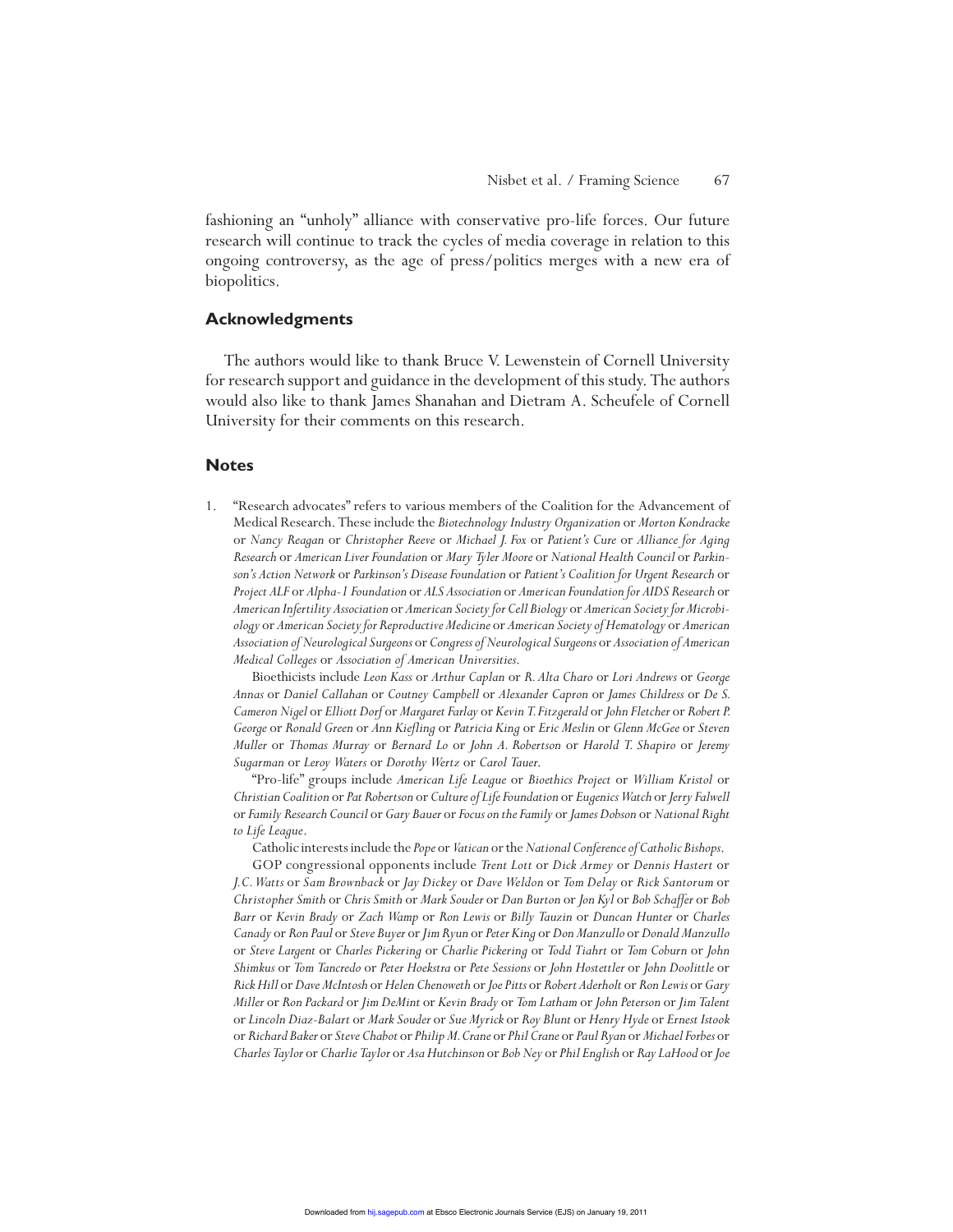fashioning an "unholy" alliance with conservative pro-life forces. Our future research will continue to track the cycles of media coverage in relation to this ongoing controversy, as the age of press/politics merges with a new era of biopolitics.

# **Acknowledgments**

The authors would like to thank Bruce V. Lewenstein of Cornell University for research support and guidance in the development of this study. The authors would also like to thank James Shanahan and Dietram A. Scheufele of Cornell University for their comments on this research.

#### **Notes**

1. "Research advocates" refers to various members of the Coalition for the Advancement of Medical Research. These include the *Biotechnology Industry Organization* or *Morton Kondracke* or *Nancy Reagan* or *Christopher Reeve* or *Michael J. Fox* or *Patient's Cure* or *Alliance for Aging Research* or *American Liver Foundation* or *Mary Tyler Moore* or *National Health Council* or *Parkinson's Action Network* or *Parkinson's Disease Foundation* or *Patient's Coalition for Urgent Research* or *Project ALF* or *Alpha-1 Foundation* or *ALS Association* or *American Foundation for AIDS Research* or *American Infertility Association* or *American Society for Cell Biology* or *American Society for Microbiology* or *American Society for Reproductive Medicine* or *American Society of Hematology* or *American Association of Neurological Surgeons* or *Congress of Neurological Surgeons* or *Association of American Medical Colleges* or *Association of American Universities*.

Bioethicists include *Leon Kass* or *Arthur Caplan* or *R. Alta Charo* or *Lori Andrews* or *George Annas* or *Daniel Callahan* or *Coutney Campbell* or *Alexander Capron* or *James Childress* or *De S. Cameron Nigel* or *Elliott Dorf* or*Margaret Farlay* or *Kevin T.Fitzgerald* or*John Fletcher* or *Robert P. George* or *Ronald Green* or *Ann Kiefling* or *Patricia King* or *Eric Meslin* or *Glenn McGee* or *Steven Muller* or *Thomas Murray* or *Bernard Lo* or *John A. Robertson* or *Harold T. Shapiro* or *Jeremy Sugarman* or *Leroy Waters* or *Dorothy Wertz* or *Carol Tauer*.

"Pro-life" groups include *American Life League* or *Bioethics Project* or *William Kristol* or *Christian Coalition* or *Pat Robertson* or *Culture of Life Foundation* or *Eugenics Watch* or*Jerry Falwell* or *Family Research Council* or *Gary Bauer* or *Focus on the Family* or*James Dobson* or *National Right to Life League*.

Catholic interests include the *Pope* or *Vatican* or the*National Conference of Catholic Bishops*.

GOP congressional opponents include *Trent Lott* or *Dick Armey* or *Dennis Hastert* or *J.C.Watts* or *Sam Brownback* or *Jay Dickey* or *Dave Weldon* or *Tom Delay* or *Rick Santorum* or *Christopher Smith* or *Chris Smith* or *Mark Souder* or *Dan Burton* or *Jon Kyl* or *Bob Schaffer* or *Bob Barr* or *Kevin Brady* or *Zach Wamp* or *Ron Lewis* or *Billy Tauzin* or *Duncan Hunter* or *Charles Canady* or *Ron Paul* or *Steve Buyer* or*Jim Ryun* or *Peter King* or *Don Manzullo* or *Donald Manzullo* or *Steve Largent* or *Charles Pickering* or *Charlie Pickering* or *Todd Tiahrt* or *Tom Coburn* or *John Shimkus* or *Tom Tancredo* or *Peter Hoekstra* or *Pete Sessions* or *John Hostettler* or *John Doolittle* or *Rick Hill* or *Dave McIntosh* or*Helen Chenoweth* or*Joe Pitts* or *Robert Aderholt* or *Ron Lewis* or *Gary Miller* or *Ron Packard* or *Jim DeMint* or *Kevin Brady* or *Tom Latham* or *John Peterson* or *Jim Talent* or *Lincoln Diaz-Balart* or *Mark Souder* or *Sue Myrick* or *Roy Blunt* or *Henry Hyde* or *Ernest Istook* or *Richard Baker* or *Steve Chabot* or *Philip M.Crane* or *Phil Crane* or *Paul Ryan* or*Michael Forbes* or *Charles Taylor* or *Charlie Taylor* or *Asa Hutchinson* or *Bob Ney* or *Phil English* or *Ray LaHood* or*Joe*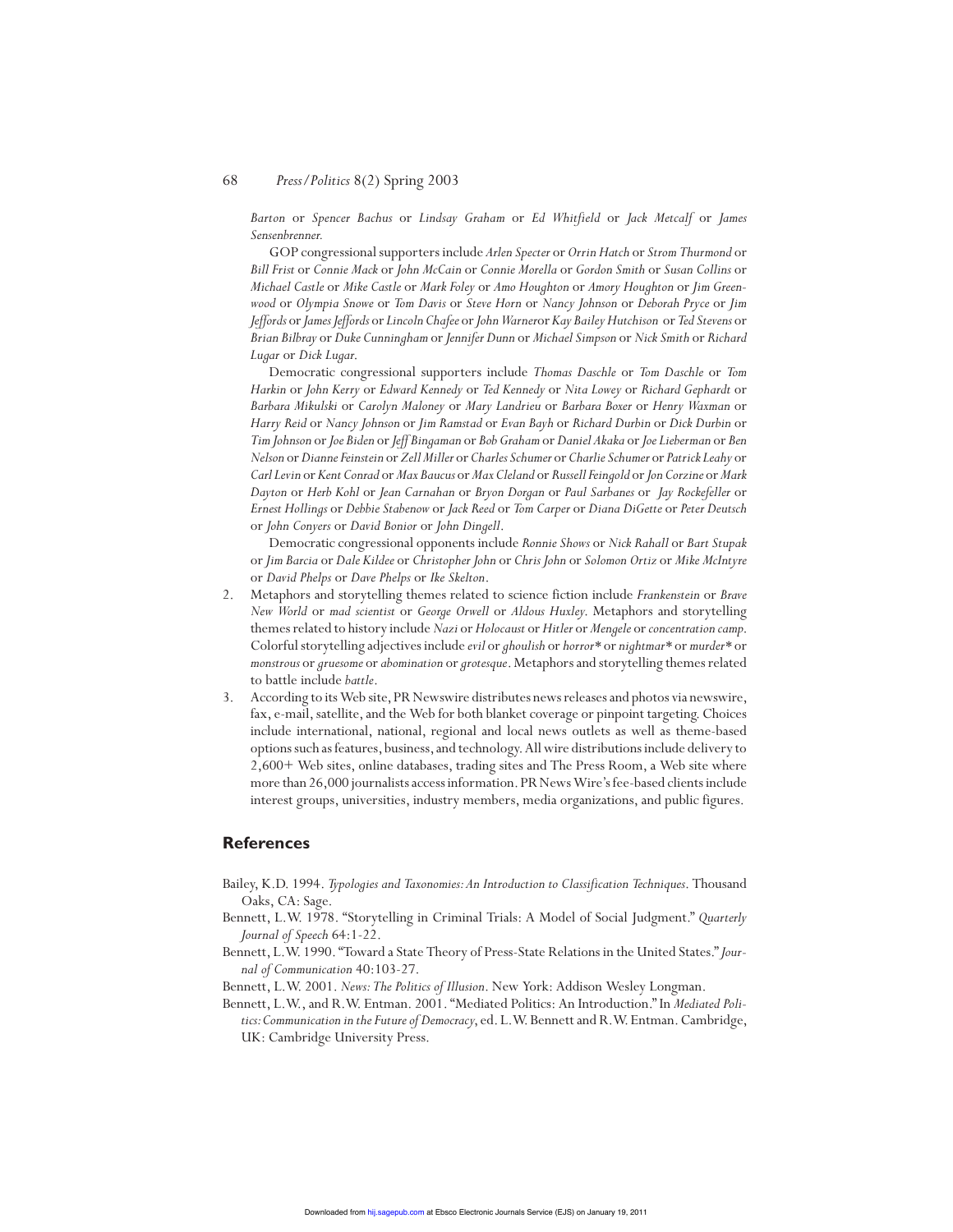*Barton* or *Spencer Bachus* or *Lindsay Graham* or *Ed Whitfield* or *Jack Metcalf* or *James Sensenbrenner.*

GOP congressional supporters include *Arlen Specter* or *Orrin Hatch* or *Strom Thurmond* or *Bill Frist* or *Connie Mack* or *John McCain* or *Connie Morella* or *Gordon Smith* or *Susan Collins* or *Michael Castle* or *Mike Castle* or *Mark Foley* or *Amo Houghton* or *Amory Houghton* or *Jim Greenwood* or *Olympia Snowe* or *Tom Davis* or *Steve Horn* or *Nancy Johnson* or *Deborah Pryce* or *Jim Jeffords* or*James Jeffords* or *Lincoln Chafee* or*John Warner*or *Kay Bailey Hutchison* or *Ted Stevens* or *Brian Bilbray* or *Duke Cunningham* or*Jennifer Dunn* or*Michael Simpson* or *Nick Smith* or *Richard Lugar* or *Dick Lugar*.

Democratic congressional supporters include *Thomas Daschle* or *Tom Daschle* or *Tom Harkin* or *John Kerry* or *Edward Kennedy* or *Ted Kennedy* or *Nita Lowey* or *Richard Gephardt* or *Barbara Mikulski* or *Carolyn Maloney* or *Mary Landrieu* or *Barbara Boxer* or *Henry Waxman* or *Harry Reid* or *Nancy Johnson* or *Jim Ramstad* or *Evan Bayh* or *Richard Durbin* or *Dick Durbin* or *Tim Johnson* or*Joe Biden* or*Jeff Bingaman* or *Bob Graham* or *Daniel Akaka* or*Joe Lieberman* or *Ben Nelson* or*Dianne Feinstein* or *Zell Miller* or *Charles Schumer* or *Charlie Schumer* or *Patrick Leahy* or *Carl Levin* or *Kent Conrad* or*Max Baucus* or*Max Cleland* or *Russell Feingold* or*Jon Corzine* or*Mark Dayton* or *Herb Kohl* or *Jean Carnahan* or *Bryon Dorgan* or *Paul Sarbanes* or *Jay Rockefeller* or *Ernest Hollings* or *Debbie Stabenow* or *Jack Reed* or *Tom Carper* or *Diana DiGette* or *Peter Deutsch* or *John Conyers* or *David Bonior* or *John Dingell*.

Democratic congressional opponents include *Ronnie Shows* or *Nick Rahall* or *Bart Stupak* or *Jim Barcia* or *Dale Kildee* or *Christopher John* or *Chris John* or *Solomon Ortiz* or *Mike McIntyre* or *David Phelps* or *Dave Phelps* or *Ike Skelton*.

- 2. Metaphors and storytelling themes related to science fiction include *Frankenstein* or *Brave New World* or *mad scientist* or *George Orwell* or *Aldous Huxley*. Metaphors and storytelling themes related to history include *Nazi* or *Holocaust* or *Hitler* or*Mengele* or*concentration camp*. Colorful storytelling adjectives include *evil* or*ghoulish* or *horror\** or *nightmar\** or *murder\** or *monstrous* or*gruesome* or*abomination* or*grotesque*. Metaphors and storytelling themes related to battle include *battle*.
- 3. According to its Web site,PR Newswire distributes news releases and photos via newswire, fax, e-mail, satellite, and the Web for both blanket coverage or pinpoint targeting. Choices include international, national, regional and local news outlets as well as theme-based options such as features, business, and technology. All wire distributions include delivery to 2,600+ Web sites, online databases, trading sites and The Press Room, a Web site where more than 26,000 journalists access information.PR News Wire's fee-based clients include interest groups, universities, industry members, media organizations, and public figures.

# **References**

- Bailey, K.D. 1994. *Typologies and Taxonomies: An Introduction to Classification Techniques*. Thousand Oaks, CA: Sage.
- Bennett, L.W. 1978. "Storytelling in Criminal Trials: A Model of Social Judgment." *Quarterly Journal of Speech* 64:1-22.
- Bennett, L.W. 1990. "Toward a State Theory of Press-State Relations in the United States."*Journal of Communication* 40:103-27.

Bennett, L.W. 2001. *News: The Politics of Illusion*. New York: Addison Wesley Longman.

Bennett, L.W., and R.W. Entman. 2001. "Mediated Politics: An Introduction." In *Mediated Politics:Communication in the Future of Democracy*, ed. L.W. Bennett and R.W. Entman. Cambridge, UK: Cambridge University Press.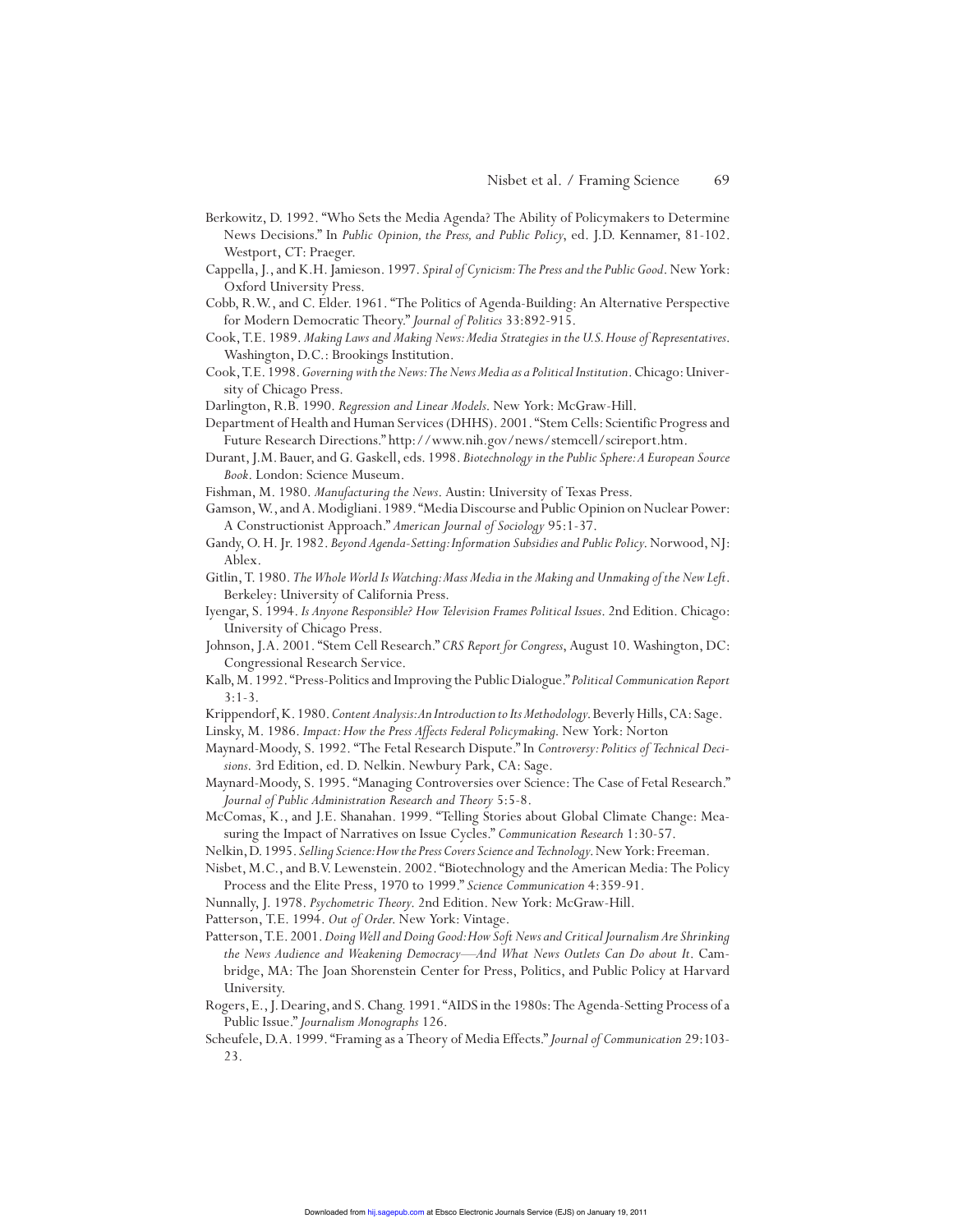- Berkowitz, D. 1992. "Who Sets the Media Agenda? The Ability of Policymakers to Determine News Decisions." In *Public Opinion, the Press, and Public Policy*, ed. J.D. Kennamer, 81-102. Westport, CT: Praeger.
- Cappella, J., and K.H. Jamieson. 1997. *Spiral of Cynicism:The Press and the Public Good*. New York: Oxford University Press.
- Cobb, R.W., and C. Elder. 1961. "The Politics of Agenda-Building: An Alternative Perspective for Modern Democratic Theory." *Journal of Politics* 33:892-915.
- Cook, T.E. 1989.*Making Laws and Making News:Media Strategies in the U.S.House of Representatives*. Washington, D.C.: Brookings Institution.
- Cook,T.E.1998.*Governing with the News:The News Media as a Political Institution*.Chicago:University of Chicago Press.
- Darlington, R.B. 1990. *Regression and Linear Models*. New York: McGraw-Hill.
- Department of Health and Human Services (DHHS). 2001. "Stem Cells: Scientific Progress and Future Research Directions." http://www.nih.gov/news/stemcell/scireport.htm.
- Durant, J.M. Bauer, and G. Gaskell, eds. 1998. *Biotechnology in the Public Sphere:A European Source Book*. London: Science Museum.
- Fishman, M. 1980. *Manufacturing the News*. Austin: University of Texas Press.
- Gamson,W.,and A.Modigliani.1989."Media Discourse and Public Opinion on Nuclear Power: A Constructionist Approach." *American Journal of Sociology* 95:1-37.
- Gandy, O. H. Jr. 1982. *Beyond Agenda-Setting:Information Subsidies and Public Policy*. Norwood, NJ: Ablex.
- Gitlin, T. 1980.*The Whole World Is Watching:Mass Media in the Making and Unmaking of the New Left*. Berkeley: University of California Press.
- Iyengar, S. 1994. *Is Anyone Responsible? How Television Frames Political Issues*. 2nd Edition. Chicago: University of Chicago Press.
- Johnson, J.A. 2001. "Stem Cell Research." *CRS Report for Congress*, August 10. Washington, DC: Congressional Research Service.
- Kalb, M. 1992. "Press-Politics and Improving the Public Dialogue." *Political Communication Report* 3:1-3.
- Krippendorf,K.1980.*Content Analysis:An Introduction to Its Methodology*.Beverly Hills,CA:Sage.
- Linsky, M. 1986. *Impact: How the Press Affects Federal Policymaking*. New York: Norton

Maynard-Moody, S. 1992. "The Fetal Research Dispute." In *Controversy: Politics of Technical Decisions*. 3rd Edition, ed. D. Nelkin. Newbury Park, CA: Sage.

- Maynard-Moody, S. 1995. "Managing Controversies over Science: The Case of Fetal Research." *Journal of Public Administration Research and Theory* 5:5-8.
- McComas, K., and J.E. Shanahan. 1999. "Telling Stories about Global Climate Change: Measuring the Impact of Narratives on Issue Cycles." *Communication Research* 1:30-57.
- Nelkin,D.1995.*Selling Science:How the Press Covers Science and Technology*.New York:Freeman.
- Nisbet, M.C., and B.V. Lewenstein. 2002. "Biotechnology and the American Media: The Policy Process and the Elite Press, 1970 to 1999." *Science Communication* 4:359-91.
- Nunnally, J. 1978. *Psychometric Theory*. 2nd Edition. New York: McGraw-Hill.
- Patterson, T.E. 1994. *Out of Order*. New York: Vintage.
- Patterson,T.E.2001.*Doing Well and Doing Good:How Soft News and Critical Journalism Are Shrinking the News Audience and Weakening Democracy—And What News Outlets Can Do about It*. Cambridge, MA: The Joan Shorenstein Center for Press, Politics, and Public Policy at Harvard University.
- Rogers, E., J. Dearing, and S. Chang. 1991. "AIDS in the 1980s: The Agenda-Setting Process of a Public Issue." *Journalism Monographs* 126.
- Scheufele, D.A. 1999. "Framing as a Theory of Media Effects."*Journal of Communication* 29:103- 23.